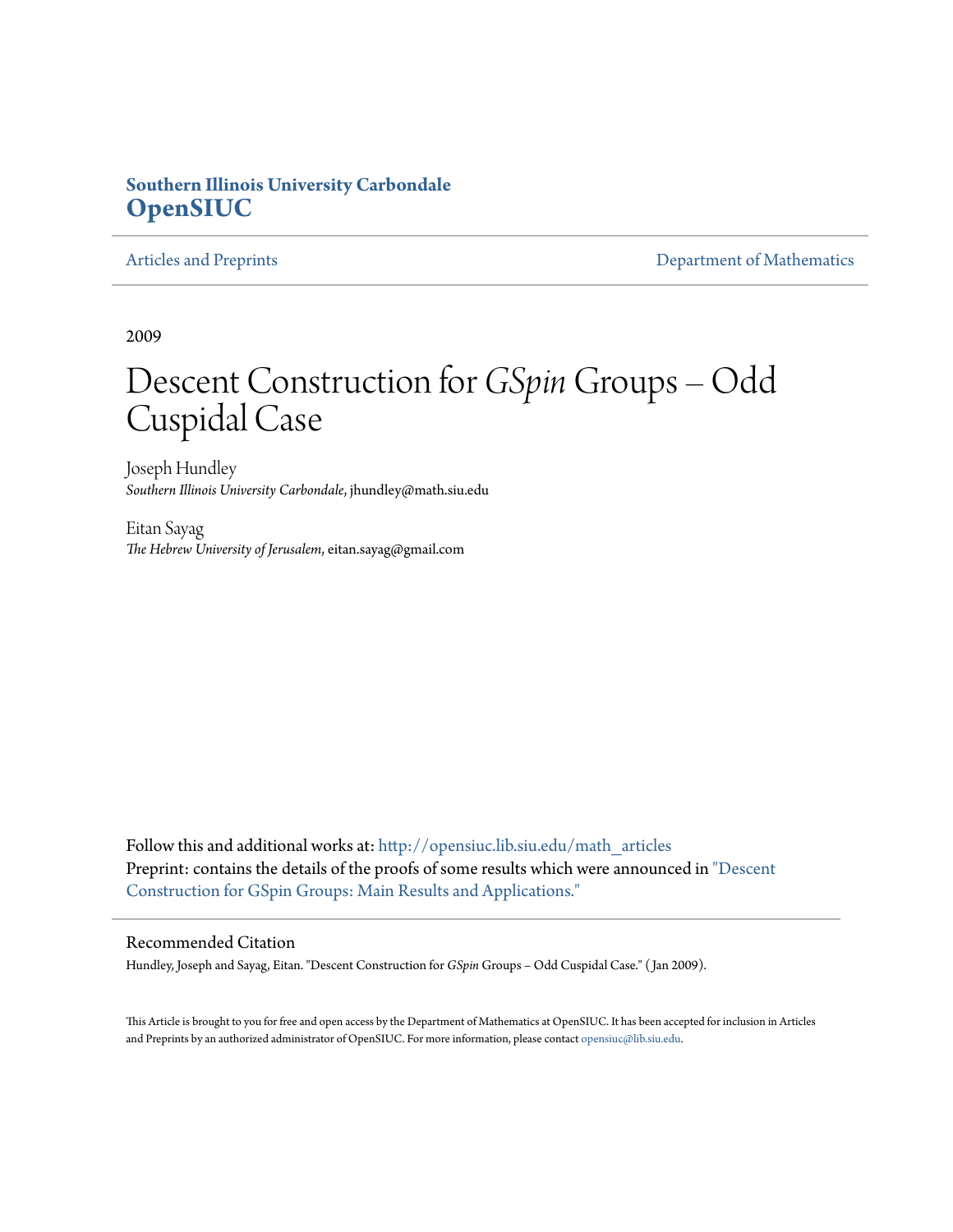# **Southern Illinois University Carbondale [OpenSIUC](http://opensiuc.lib.siu.edu?utm_source=opensiuc.lib.siu.edu%2Fmath_articles%2F101&utm_medium=PDF&utm_campaign=PDFCoverPages)**

[Articles and Preprints](http://opensiuc.lib.siu.edu/math_articles?utm_source=opensiuc.lib.siu.edu%2Fmath_articles%2F101&utm_medium=PDF&utm_campaign=PDFCoverPages) **[Department of Mathematics](http://opensiuc.lib.siu.edu/math?utm_source=opensiuc.lib.siu.edu%2Fmath_articles%2F101&utm_medium=PDF&utm_campaign=PDFCoverPages)** 

2009

# Descent Construction for *GSpin*Groups – Odd Cuspidal Case

Joseph Hundley *Southern Illinois University Carbondale*, jhundley@math.siu.edu

Eitan Sayag *The Hebrew University of Jerusalem*, eitan.sayag@gmail.com

Follow this and additional works at: [http://opensiuc.lib.siu.edu/math\\_articles](http://opensiuc.lib.siu.edu/math_articles?utm_source=opensiuc.lib.siu.edu%2Fmath_articles%2F101&utm_medium=PDF&utm_campaign=PDFCoverPages) Preprint: contains the details of the proofs of some results which were announced in ["Descent](http://aimsciences.org/journals/pdfs.jsp?paperID=4220&mode=full) [Construction for GSpin Groups: Main Results and Applications."](http://aimsciences.org/journals/pdfs.jsp?paperID=4220&mode=full)

# Recommended Citation

Hundley, Joseph and Sayag, Eitan. "Descent Construction for *GSpin* Groups – Odd Cuspidal Case." ( Jan 2009).

This Article is brought to you for free and open access by the Department of Mathematics at OpenSIUC. It has been accepted for inclusion in Articles and Preprints by an authorized administrator of OpenSIUC. For more information, please contact [opensiuc@lib.siu.edu](mailto:opensiuc@lib.siu.edu).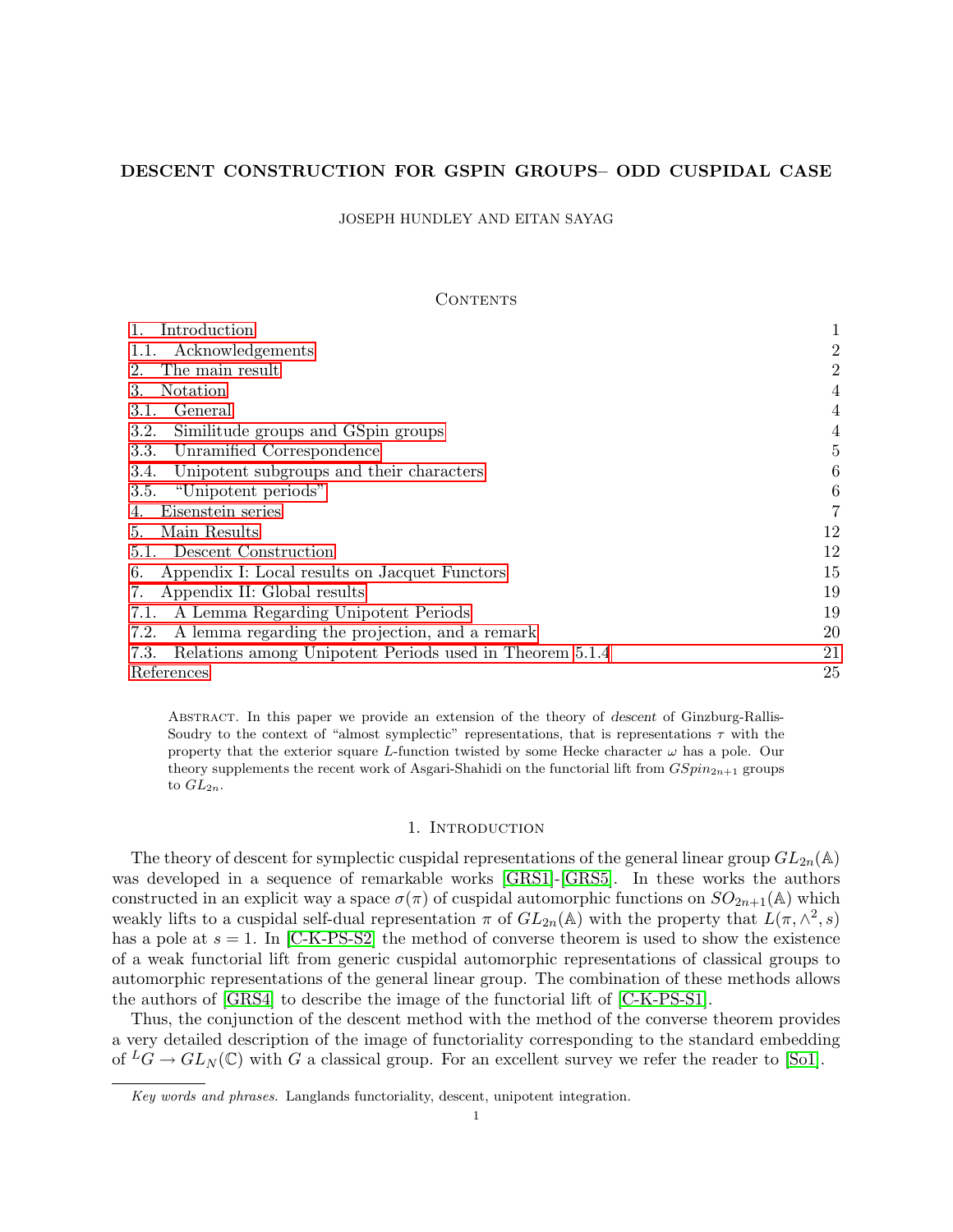# DESCENT CONSTRUCTION FOR GSPIN GROUPS– ODD CUSPIDAL CASE

JOSEPH HUNDLEY AND EITAN SAYAG

# **CONTENTS**

| Introduction                                                    |                |
|-----------------------------------------------------------------|----------------|
| Acknowledgements<br>1.1.                                        | $\overline{2}$ |
| The main result<br>2.                                           | $\overline{2}$ |
| Notation<br>3.                                                  | 4              |
| General<br>3.1.                                                 | 4              |
| 3.2.<br>Similitude groups and GSpin groups                      | 4              |
| Unramified Correspondence<br>3.3.                               | 5              |
| 3.4.<br>Unipotent subgroups and their characters                | 6              |
| "Unipotent periods"<br>3.5.                                     | 6              |
| Eisenstein series                                               | 7              |
| Main Results<br>5.                                              | 12             |
| 5.1. Descent Construction                                       | 12             |
| Appendix I: Local results on Jacquet Functors<br>6.             | 15             |
| Appendix II: Global results<br>7.                               | 19             |
| A Lemma Regarding Unipotent Periods<br>7.1.                     | 19             |
| 7.2.<br>A lemma regarding the projection, and a remark          | 20             |
| Relations among Unipotent Periods used in Theorem 5.1.4<br>7.3. | 21             |
| References                                                      | 25             |

Abstract. In this paper we provide an extension of the theory of descent of Ginzburg-Rallis-Soudry to the context of "almost symplectic" representations, that is representations  $\tau$  with the property that the exterior square L-function twisted by some Hecke character  $\omega$  has a pole. Our theory supplements the recent work of Asgari-Shahidi on the functorial lift from  $GSpin_{2n+1}$  groups to  $GL_{2n}$ .

# 1. INTRODUCTION

The theory of descent for symplectic cuspidal representations of the general linear group  $GL_{2n}(\mathbb{A})$ was developed in a sequence of remarkable works [GRS1]-[GRS5]. In these works the authors constructed in an explicit way a space  $\sigma(\pi)$  of cuspidal automorphic functions on  $SO_{2n+1}(\mathbb{A})$  which weakly lifts to a cuspidal self-dual representation  $\pi$  of  $GL_{2n}(\mathbb{A})$  with the property that  $L(\pi, \wedge^2, s)$ has a pole at  $s = 1$ . In [C-K-PS-S2] the method of converse theorem is used to show the existence of a weak functorial lift from generic cuspidal automorphic representations of classical groups to automorphic representations of the general linear group. The combination of these methods allows the authors of [GRS4] to describe the image of the functorial lift of [C-K-PS-S1].

Thus, the conjunction of the descent method with the method of the converse theorem provides a very detailed description of the image of functoriality corresponding to the standard embedding of  ${}^L G \to GL_N(\mathbb{C})$  with G a classical group. For an excellent survey we refer the reader to [So1].

Key words and phrases. Langlands functoriality, descent, unipotent integration.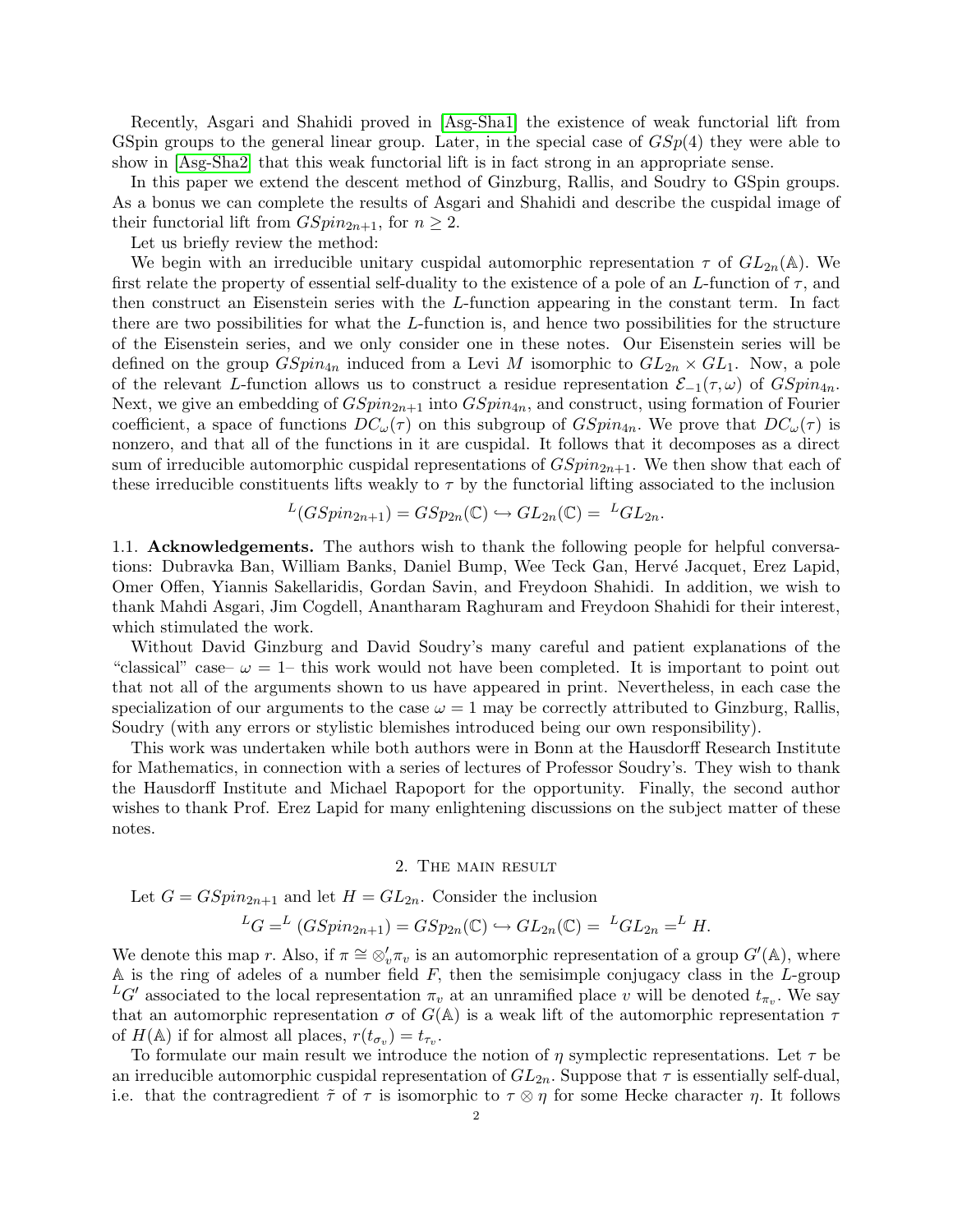Recently, Asgari and Shahidi proved in [Asg-Sha1] the existence of weak functorial lift from GSpin groups to the general linear group. Later, in the special case of  $GSp(4)$  they were able to show in [Asg-Sha2] that this weak functorial lift is in fact strong in an appropriate sense.

In this paper we extend the descent method of Ginzburg, Rallis, and Soudry to GSpin groups. As a bonus we can complete the results of Asgari and Shahidi and describe the cuspidal image of their functorial lift from  $GSpin_{2n+1}$ , for  $n \geq 2$ .

Let us briefly review the method:

We begin with an irreducible unitary cuspidal automorphic representation  $\tau$  of  $GL_{2n}(\mathbb{A})$ . We first relate the property of essential self-duality to the existence of a pole of an L-function of  $\tau$ , and then construct an Eisenstein series with the L-function appearing in the constant term. In fact there are two possibilities for what the  $L$ -function is, and hence two possibilities for the structure of the Eisenstein series, and we only consider one in these notes. Our Eisenstein series will be defined on the group  $GSpin_{4n}$  induced from a Levi M isomorphic to  $GL_{2n} \times GL_1$ . Now, a pole of the relevant L-function allows us to construct a residue representation  $\mathcal{E}_{-1}(\tau,\omega)$  of  $GSpin_{4n}$ . Next, we give an embedding of  $GSpin_{2n+1}$  into  $GSpin_{4n}$ , and construct, using formation of Fourier coefficient, a space of functions  $DC_{\omega}(\tau)$  on this subgroup of  $GSpin_{4n}$ . We prove that  $DC_{\omega}(\tau)$  is nonzero, and that all of the functions in it are cuspidal. It follows that it decomposes as a direct sum of irreducible automorphic cuspidal representations of  $GSpin_{2n+1}$ . We then show that each of these irreducible constituents lifts weakly to  $\tau$  by the functorial lifting associated to the inclusion

$$
L(GSpin_{2n+1}) = GSp_{2n}(\mathbb{C}) \hookrightarrow GL_{2n}(\mathbb{C}) = LGL_{2n}.
$$

1.1. Acknowledgements. The authors wish to thank the following people for helpful conversations: Dubravka Ban, William Banks, Daniel Bump, Wee Teck Gan, Hervé Jacquet, Erez Lapid. Omer Offen, Yiannis Sakellaridis, Gordan Savin, and Freydoon Shahidi. In addition, we wish to thank Mahdi Asgari, Jim Cogdell, Anantharam Raghuram and Freydoon Shahidi for their interest, which stimulated the work.

Without David Ginzburg and David Soudry's many careful and patient explanations of the "classical" case–  $\omega = 1$ – this work would not have been completed. It is important to point out that not all of the arguments shown to us have appeared in print. Nevertheless, in each case the specialization of our arguments to the case  $\omega = 1$  may be correctly attributed to Ginzburg, Rallis, Soudry (with any errors or stylistic blemishes introduced being our own responsibility).

This work was undertaken while both authors were in Bonn at the Hausdorff Research Institute for Mathematics, in connection with a series of lectures of Professor Soudry's. They wish to thank the Hausdorff Institute and Michael Rapoport for the opportunity. Finally, the second author wishes to thank Prof. Erez Lapid for many enlightening discussions on the subject matter of these notes.

## 2. The main result

Let  $G = GSpin_{2n+1}$  and let  $H = GL_{2n}$ . Consider the inclusion

$$
{}^L G = {}^L (GSpin_{2n+1}) = GSp_{2n}(\mathbb{C}) \hookrightarrow GL_{2n}(\mathbb{C}) = {}^L GL_{2n} = {}^L H.
$$

We denote this map r. Also, if  $\pi \cong \otimes_v' \pi_v$  is an automorphic representation of a group  $G'(\mathbb{A})$ , where  $A$  is the ring of adeles of a number field  $F$ , then the semisimple conjugacy class in the  $L$ -group  ${}^L G'$  associated to the local representation  $\pi_v$  at an unramified place v will be denoted  $t_{\pi_v}$ . We say that an automorphic representation  $\sigma$  of  $G(A)$  is a weak lift of the automorphic representation  $\tau$ of  $H(\mathbb{A})$  if for almost all places,  $r(t_{\sigma_v}) = t_{\tau_v}$ .

To formulate our main result we introduce the notion of  $\eta$  symplectic representations. Let  $\tau$  be an irreducible automorphic cuspidal representation of  $GL_{2n}$ . Suppose that  $\tau$  is essentially self-dual, i.e. that the contragredient  $\tilde{\tau}$  of  $\tau$  is isomorphic to  $\tau \otimes \eta$  for some Hecke character  $\eta$ . It follows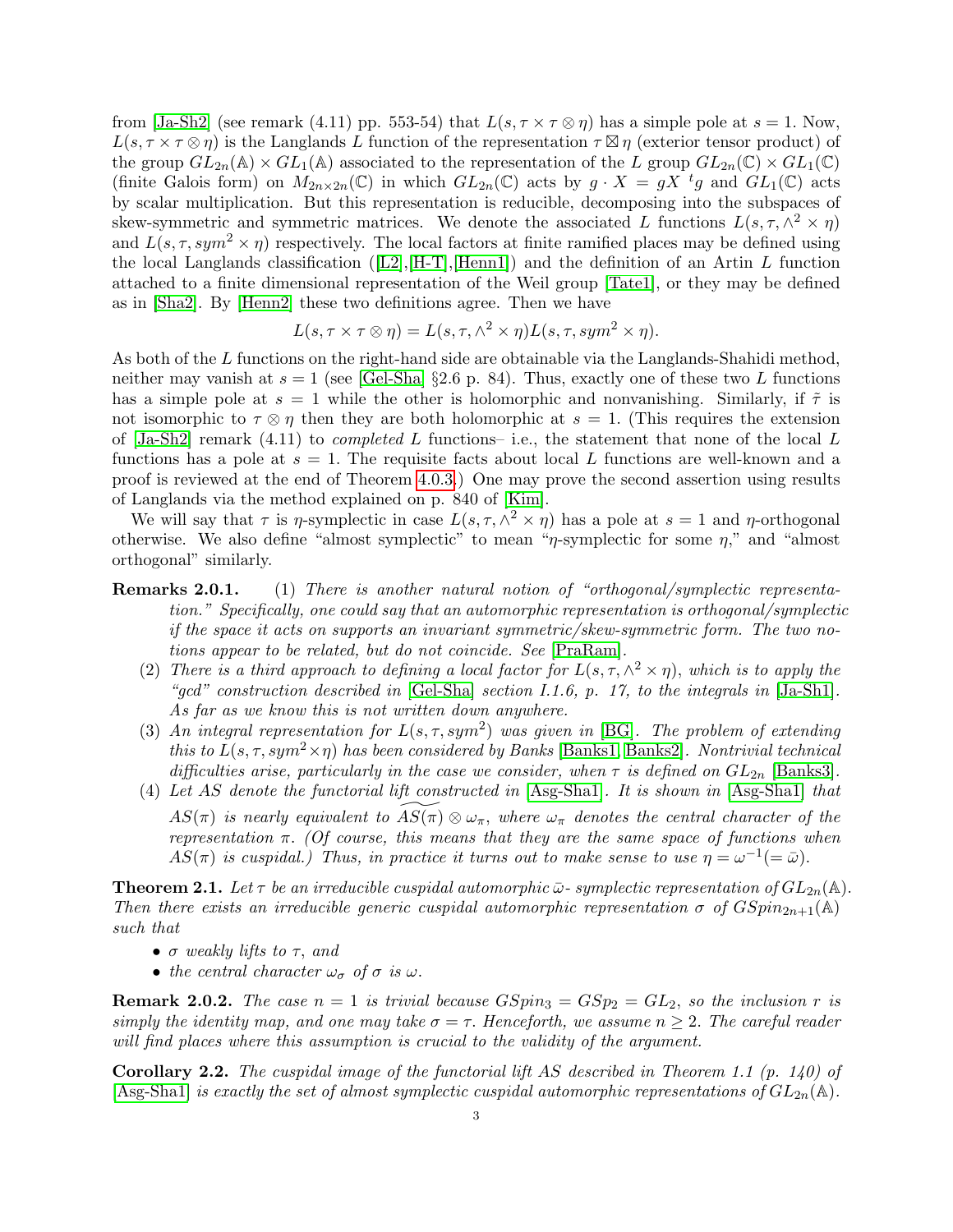from  $[Ja-Sh2]$  (see remark (4.11) pp. 553-54) that  $L(s, \tau \times \tau \otimes \eta)$  has a simple pole at  $s = 1$ . Now,  $L(s, \tau \times \tau \otimes \eta)$  is the Langlands L function of the representation  $\tau \boxtimes \eta$  (exterior tensor product) of the group  $GL_{2n}(\mathbb{A}) \times GL_1(\mathbb{A})$  associated to the representation of the L group  $GL_{2n}(\mathbb{C}) \times GL_1(\mathbb{C})$ (finite Galois form) on  $M_{2n\times 2n}(\mathbb{C})$  in which  $GL_{2n}(\mathbb{C})$  acts by  $g \cdot X = gX^{-t}g$  and  $GL_1(\mathbb{C})$  acts by scalar multiplication. But this representation is reducible, decomposing into the subspaces of skew-symmetric and symmetric matrices. We denote the associated L functions  $L(s, \tau, \wedge^2 \times \eta)$ and  $L(s, \tau, sym^2 \times \eta)$  respectively. The local factors at finite ramified places may be defined using the local Langlands classification  $([L2], [H-T], [Henn1])$  and the definition of an Artin L function attached to a finite dimensional representation of the Weil group [Tate1], or they may be defined as in [Sha2]. By [Henn2] these two definitions agree. Then we have

$$
L(s, \tau \times \tau \otimes \eta) = L(s, \tau, \wedge^2 \times \eta) L(s, \tau, sym^2 \times \eta).
$$

As both of the L functions on the right-hand side are obtainable via the Langlands-Shahidi method, neither may vanish at  $s = 1$  (see [Gel-Sha] §2.6 p. 84). Thus, exactly one of these two L functions has a simple pole at  $s = 1$  while the other is holomorphic and nonvanishing. Similarly, if  $\tilde{\tau}$  is not isomorphic to  $\tau \otimes \eta$  then they are both holomorphic at  $s = 1$ . (This requires the extension of  $[Ja-Sh2]$  remark  $(4.11)$  to *completed* L functions- i.e., the statement that none of the local L functions has a pole at  $s = 1$ . The requisite facts about local L functions are well-known and a proof is reviewed at the end of Theorem 4.0.3.) One may prove the second assertion using results of Langlands via the method explained on p. 840 of [Kim].

We will say that  $\tau$  is  $\eta$ -symplectic in case  $L(s, \tau, \Lambda^2 \times \eta)$  has a pole at  $s = 1$  and  $\eta$ -orthogonal otherwise. We also define "almost symplectic" to mean " $\eta$ -symplectic for some  $\eta$ ," and "almost orthogonal" similarly.

- Remarks 2.0.1. (1) There is another natural notion of "orthogonal/symplectic representation." Specifically, one could say that an automorphic representation is orthogonal/symplectic if the space it acts on supports an invariant symmetric/skew-symmetric form. The two notions appear to be related, but do not coincide. See [PraRam].
	- (2) There is a third approach to defining a local factor for  $L(s, \tau, \wedge^2 \times \eta)$ , which is to apply the "gcd" construction described in  $[Gel-Sha]$  section I.1.6, p. 17, to the integrals in  $[Ja-Sh1]$ . As far as we know this is not written down anywhere.
	- (3) An integral representation for  $L(s, \tau, sym^2)$  was given in [BG]. The problem of extending this to  $L(s, \tau, sym^2 \times \eta)$  has been considered by Banks [Banks1, Banks2]. Nontrivial technical difficulties arise, particularly in the case we consider, when  $\tau$  is defined on  $GL_{2n}$  [Banks3].
	- (4) Let AS denote the functorial lift constructed in [Asg-Sha1]. It is shown in [Asg-Sha1] that  $AS(\pi)$  is nearly equivalent to  $AS(\pi) \otimes \omega_{\pi}$ , where  $\omega_{\pi}$  denotes the central character of the representation  $\pi$ . (Of course, this means that they are the same space of functions when  $AS(\pi)$  is cuspidal.) Thus, in practice it turns out to make sense to use  $\eta = \omega^{-1}(=\bar{\omega})$ .

**Theorem 2.1.** Let  $\tau$  be an irreducible cuspidal automorphic  $\bar{\omega}$ - symplectic representation of  $GL_{2n}(\mathbb{A})$ . Then there exists an irreducible generic cuspidal automorphic representation  $\sigma$  of  $GSpin_{2n+1}(\mathbb{A})$ such that

- $\bullet$   $\sigma$  weakly lifts to  $\tau$ , and
- the central character  $\omega_{\sigma}$  of  $\sigma$  is  $\omega$ .

**Remark 2.0.2.** The case  $n = 1$  is trivial because  $GSpin_3 = GSp_2 = GL_2$ , so the inclusion r is simply the identity map, and one may take  $\sigma = \tau$ . Henceforth, we assume  $n \geq 2$ . The careful reader will find places where this assumption is crucial to the validity of the argument.

**Corollary 2.2.** The cuspidal image of the functorial lift AS described in Theorem 1.1  $(p. 140)$  of [Asg-Sha1] is exactly the set of almost symplectic cuspidal automorphic representations of  $GL_{2n}(\mathbb{A})$ .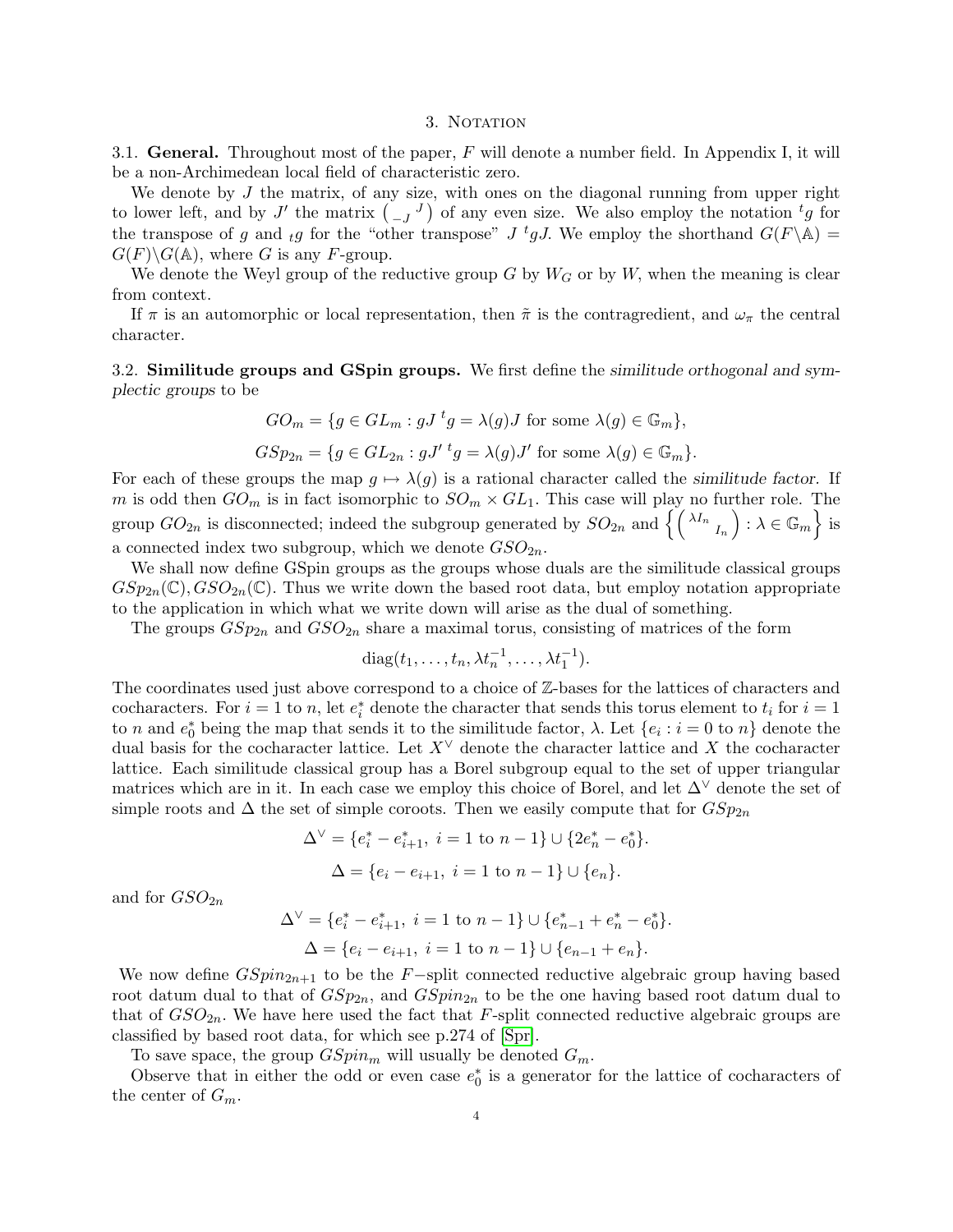#### 3. NOTATION

3.1. General. Throughout most of the paper,  $F$  will denote a number field. In Appendix I, it will be a non-Archimedean local field of characteristic zero.

We denote by  $J$  the matrix, of any size, with ones on the diagonal running from upper right to lower left, and by J' the matrix  $\begin{pmatrix} 0 & J \end{pmatrix}$  of any even size. We also employ the notation  ${}^t g$  for the transpose of g and  $_{t}g$  for the "other transpose" J <sup>t</sup>gJ. We employ the shorthand  $G(F \backslash \mathbb{A}) =$  $G(F)\backslash G(\mathbb{A})$ , where G is any F-group.

We denote the Weyl group of the reductive group G by  $W<sub>G</sub>$  or by W, when the meaning is clear from context.

If  $\pi$  is an automorphic or local representation, then  $\tilde{\pi}$  is the contragredient, and  $\omega_{\pi}$  the central character.

3.2. Similitude groups and GSpin groups. We first define the similitude orthogonal and symplectic groups to be

$$
GO_m = \{ g \in GL_m : gJ^t g = \lambda(g)J \text{ for some } \lambda(g) \in \mathbb{G}_m \},
$$
  

$$
GSp_{2n} = \{ g \in GL_{2n} : gJ'{}^t g = \lambda(g)J' \text{ for some } \lambda(g) \in \mathbb{G}_m \}.
$$

For each of these groups the map  $g \mapsto \lambda(g)$  is a rational character called the similitude factor. If m is odd then  $GO_m$  is in fact isomorphic to  $SO_m \times GL_1$ . This case will play no further role. The group  $GO_{2n}$  is disconnected; indeed the subgroup generated by  $SO_{2n}$  and  $\left\{ \left(\begin{smallmatrix} \lambda I_n& \lambda\in \mathbb{G}_m\end{smallmatrix}\right) : \lambda \in \mathbb{G}_m\right\}$  is a connected index two subgroup, which we denote  $GSO_{2n}$ .

We shall now define GSpin groups as the groups whose duals are the similitude classical groups  $GSp_{2n}(\mathbb{C}), GSO_{2n}(\mathbb{C}).$  Thus we write down the based root data, but employ notation appropriate to the application in which what we write down will arise as the dual of something.

The groups  $GSp_{2n}$  and  $GSO_{2n}$  share a maximal torus, consisting of matrices of the form

$$
diag(t_1,\ldots,t_n,\lambda t_n^{-1},\ldots,\lambda t_1^{-1}).
$$

The coordinates used just above correspond to a choice of Z-bases for the lattices of characters and cocharacters. For  $i = 1$  to n, let  $e_i^*$  denote the character that sends this torus element to  $t_i$  for  $i = 1$ to n and  $e_0^*$  being the map that sends it to the similitude factor,  $\lambda$ . Let  $\{e_i : i = 0 \text{ to } n\}$  denote the dual basis for the cocharacter lattice. Let  $X^{\vee}$  denote the character lattice and X the cocharacter lattice. Each similitude classical group has a Borel subgroup equal to the set of upper triangular matrices which are in it. In each case we employ this choice of Borel, and let  $\Delta^{\vee}$  denote the set of simple roots and  $\Delta$  the set of simple coroots. Then we easily compute that for  $GSp_{2n}$ 

$$
\Delta^{\vee} = \{e_i^* - e_{i+1}^*, i = 1 \text{ to } n-1\} \cup \{2e_n^* - e_0^*\}.
$$
  

$$
\Delta = \{e_i - e_{i+1}, i = 1 \text{ to } n-1\} \cup \{e_n\}.
$$

and for  $GSO_{2n}$ 

$$
\Delta^{\vee} = \{e_i^* - e_{i+1}^*, i = 1 \text{ to } n-1\} \cup \{e_{n-1}^* + e_n^* - e_0^*\}.
$$
  

$$
\Delta = \{e_i - e_{i+1}, i = 1 \text{ to } n-1\} \cup \{e_{n-1} + e_n\}.
$$

We now define  $GSpin_{2n+1}$  to be the F-split connected reductive algebraic group having based root datum dual to that of  $GSp_{2n}$ , and  $GSpin_{2n}$  to be the one having based root datum dual to that of  $GSO_{2n}$ . We have here used the fact that F-split connected reductive algebraic groups are classified by based root data, for which see p.274 of [Spr].

To save space, the group  $GSpin_m$  will usually be denoted  $G_m$ .

Observe that in either the odd or even case  $e_0^*$  is a generator for the lattice of cocharacters of the center of  $G_m$ .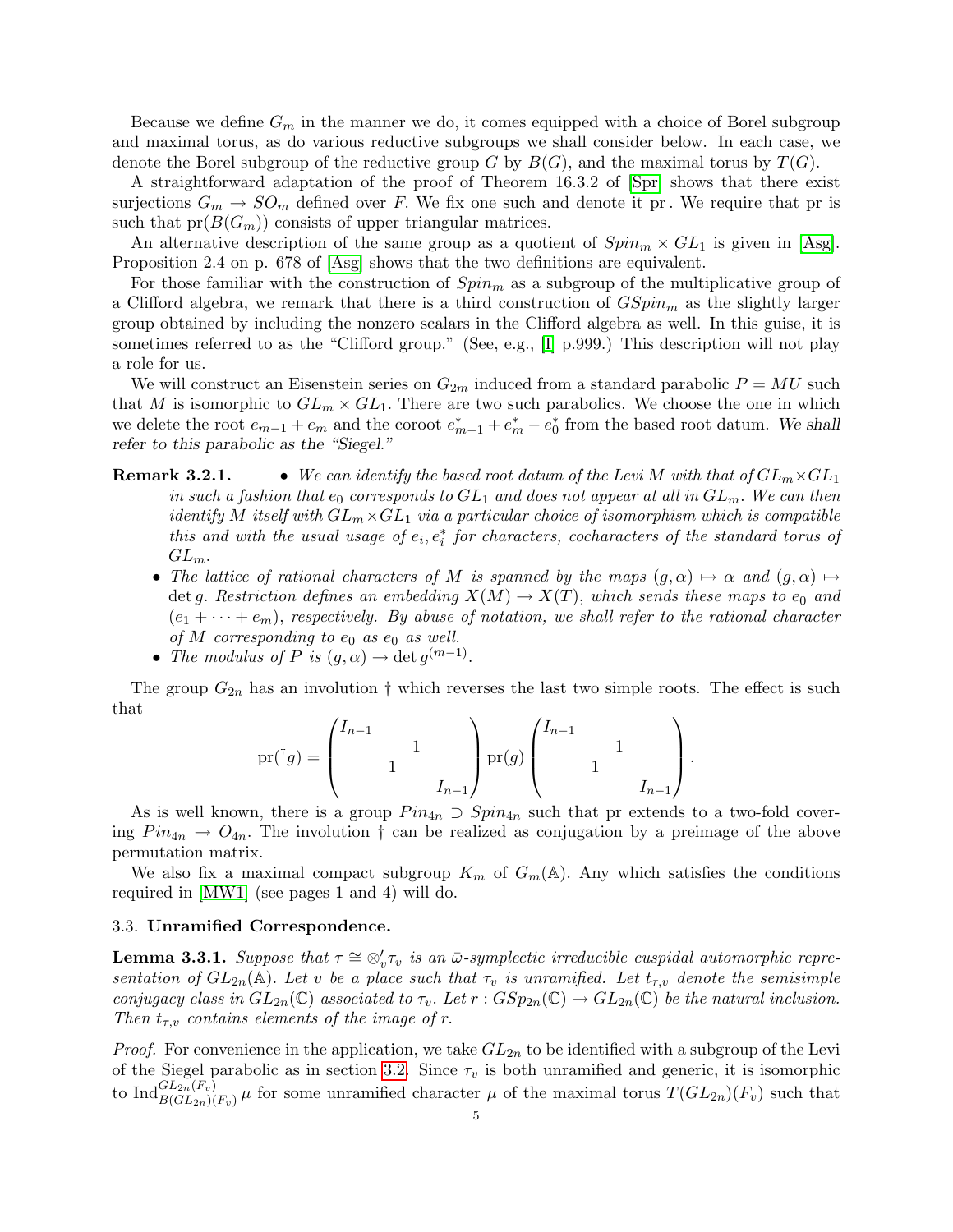Because we define  $G_m$  in the manner we do, it comes equipped with a choice of Borel subgroup and maximal torus, as do various reductive subgroups we shall consider below. In each case, we denote the Borel subgroup of the reductive group G by  $B(G)$ , and the maximal torus by  $T(G)$ .

A straightforward adaptation of the proof of Theorem 16.3.2 of [Spr] shows that there exist surjections  $G_m \to SO_m$  defined over F. We fix one such and denote it pr. We require that pr is such that  $pr(B(G_m))$  consists of upper triangular matrices.

An alternative description of the same group as a quotient of  $Spin_m \times GL_1$  is given in [Asg]. Proposition 2.4 on p. 678 of [Asg] shows that the two definitions are equivalent.

For those familiar with the construction of  $Spin<sub>m</sub>$  as a subgroup of the multiplicative group of a Clifford algebra, we remark that there is a third construction of  $GSpin_m$  as the slightly larger group obtained by including the nonzero scalars in the Clifford algebra as well. In this guise, it is sometimes referred to as the "Clifford group." (See, e.g., [I] p.999.) This description will not play a role for us.

We will construct an Eisenstein series on  $G_{2m}$  induced from a standard parabolic  $P = MU$  such that M is isomorphic to  $GL_m \times GL_1$ . There are two such parabolics. We choose the one in which we delete the root  $e_{m-1} + e_m$  and the coroot  $e_{m-1}^* + e_m^* - e_0^*$  from the based root datum. We shall refer to this parabolic as the "Siegel."

# **Remark 3.2.1.** • We can identify the based root datum of the Levi M with that of  $GL_m \times GL_1$ in such a fashion that  $e_0$  corresponds to  $GL_1$  and does not appear at all in  $GL_m$ . We can then identify M itself with  $GL_m\times GL_1$  via a particular choice of isomorphism which is compatible this and with the usual usage of  $e_i, e_i^*$  for characters, cocharacters of the standard torus of  $GL_m$ .

- The lattice of rational characters of M is spanned by the maps  $(g, \alpha) \mapsto \alpha$  and  $(g, \alpha) \mapsto$ det g. Restriction defines an embedding  $X(M) \to X(T)$ , which sends these maps to  $e_0$  and  $(e_1 + \cdots + e_m)$ , respectively. By abuse of notation, we shall refer to the rational character of M corresponding to  $e_0$  as  $e_0$  as well.
- The modulus of P is  $(g, \alpha) \to \det g^{(m-1)}$ .

The group  $G_{2n}$  has an involution  $\dagger$  which reverses the last two simple roots. The effect is such that

$$
\text{pr}({}^{\dagger}g) = \begin{pmatrix} I_{n-1} & & \\ & 1 & \\ & & I_{n-1} \end{pmatrix} \text{pr}(g) \begin{pmatrix} I_{n-1} & & \\ & 1 & \\ & & I_{n-1} \end{pmatrix}.
$$

As is well known, there is a group  $Pin_{4n} \supset Spin_{4n}$  such that pr extends to a two-fold covering  $Pin_{4n} \rightarrow O_{4n}$ . The involution  $\dagger$  can be realized as conjugation by a preimage of the above permutation matrix.

We also fix a maximal compact subgroup  $K_m$  of  $G_m(\mathbb{A})$ . Any which satisfies the conditions required in [MW1] (see pages 1 and 4) will do.

## 3.3. Unramified Correspondence.

**Lemma 3.3.1.** Suppose that  $\tau \cong \otimes_v' \tau_v$  is an  $\bar{\omega}$ -symplectic irreducible cuspidal automorphic representation of  $GL_{2n}(\mathbb{A})$ . Let v be a place such that  $\tau_v$  is unramified. Let  $t_{\tau,v}$  denote the semisimple conjugacy class in  $GL_{2n}(\mathbb{C})$  associated to  $\tau_v$ . Let  $r: GSp_{2n}(\mathbb{C}) \to GL_{2n}(\mathbb{C})$  be the natural inclusion. Then  $t_{\tau,v}$  contains elements of the image of r.

*Proof.* For convenience in the application, we take  $GL_{2n}$  to be identified with a subgroup of the Levi of the Siegel parabolic as in section 3.2. Since  $\tau_v$  is both unramified and generic, it is isomorphic to  $\text{Ind}_{B(GL_{2n}(F_v)}^{GL_{2n}(F_v)}\mu$  for some unramified character  $\mu$  of the maximal torus  $T(GL_{2n})(F_v)$  such that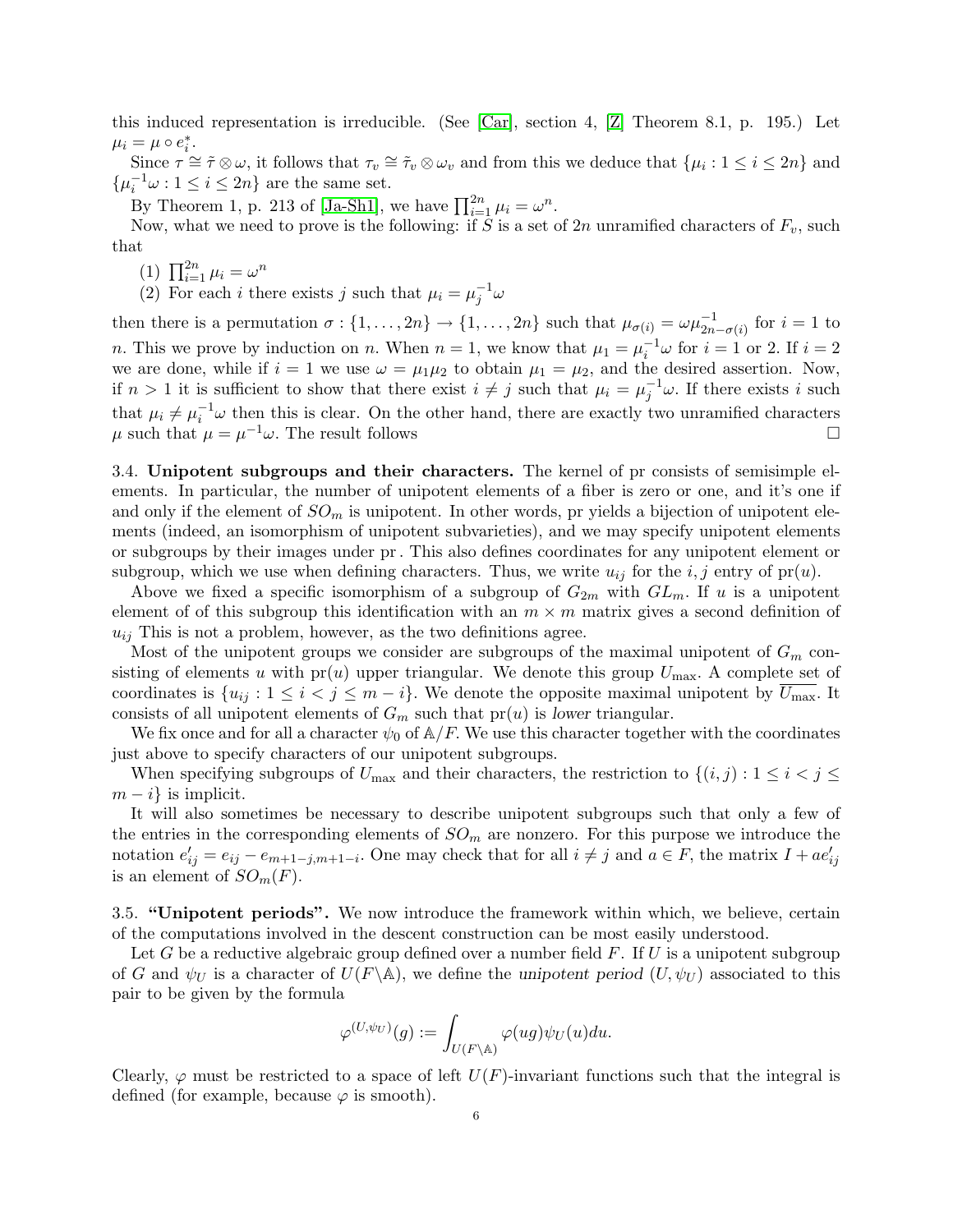this induced representation is irreducible. (See [Car], section 4, [Z] Theorem 8.1, p. 195.) Let  $\mu_i = \mu \circ e_i^*$ .

Since  $\tau \simeq \tilde{\tau} \otimes \omega$ , it follows that  $\tau_v \simeq \tilde{\tau}_v \otimes \omega_v$  and from this we deduce that  $\{\mu_i : 1 \leq i \leq 2n\}$  and  $\{\mu_i^{-1}\omega : 1 \leq i \leq 2n\}$  are the same set.

By Theorem 1, p. 213 of [Ja-Sh1], we have  $\prod_{i=1}^{2n} \mu_i = \omega^n$ .

Now, what we need to prove is the following: if S is a set of  $2n$  unramified characters of  $F_v$ , such that

- (1)  $\prod_{i=1}^{2n} \mu_i = \omega^n$
- (2) For each *i* there exists *j* such that  $\mu_i = \mu_j^{-1} \omega$

then there is a permutation  $\sigma: \{1, \ldots, 2n\} \to \{1, \ldots, 2n\}$  such that  $\mu_{\sigma(i)} = \omega \mu_{2n-\sigma(i)}^{-1}$  for  $i = 1$  to *n*. This we prove by induction on *n*. When  $n = 1$ , we know that  $\mu_1 = \mu_i^{-1} \omega$  for  $i = 1$  or 2. If  $i = 2$ we are done, while if  $i = 1$  we use  $\omega = \mu_1 \mu_2$  to obtain  $\mu_1 = \mu_2$ , and the desired assertion. Now, if  $n > 1$  it is sufficient to show that there exist  $i \neq j$  such that  $\mu_i = \mu_j^{-1} \omega$ . If there exists i such that  $\mu_i \neq \mu_i^{-1} \omega$  then this is clear. On the other hand, there are exactly two unramified characters  $\mu$  such that  $\mu = \mu^{-1}\omega$ . The result follows

3.4. Unipotent subgroups and their characters. The kernel of pr consists of semisimple elements. In particular, the number of unipotent elements of a fiber is zero or one, and it's one if and only if the element of  $SO_m$  is unipotent. In other words, pr yields a bijection of unipotent elements (indeed, an isomorphism of unipotent subvarieties), and we may specify unipotent elements or subgroups by their images under pr. This also defines coordinates for any unipotent element or subgroup, which we use when defining characters. Thus, we write  $u_{ij}$  for the  $i, j$  entry of pr(u).

Above we fixed a specific isomorphism of a subgroup of  $G_{2m}$  with  $GL_m$ . If u is a unipotent element of of this subgroup this identification with an  $m \times m$  matrix gives a second definition of  $u_{ij}$  This is not a problem, however, as the two definitions agree.

Most of the unipotent groups we consider are subgroups of the maximal unipotent of  $G_m$  consisting of elements u with  $pr(u)$  upper triangular. We denote this group  $U_{\text{max}}$ . A complete set of coordinates is  $\{u_{ij}: 1 \le i < j \le m-i\}$ . We denote the opposite maximal unipotent by  $U_{\text{max}}$ . It consists of all unipotent elements of  $G_m$  such that  $pr(u)$  is lower triangular.

We fix once and for all a character  $\psi_0$  of  $\mathbb{A}/F$ . We use this character together with the coordinates just above to specify characters of our unipotent subgroups.

When specifying subgroups of  $U_{\text{max}}$  and their characters, the restriction to  $\{(i, j) : 1 \leq i < j \leq j \leq n\}$  $m - i$  is implicit.

It will also sometimes be necessary to describe unipotent subgroups such that only a few of the entries in the corresponding elements of  $SO_m$  are nonzero. For this purpose we introduce the notation  $e'_{ij} = e_{ij} - e_{m+1-j,m+1-i}$ . One may check that for all  $i \neq j$  and  $a \in F$ , the matrix  $I + ae'_{ij}$ is an element of  $SO_m(F)$ .

3.5. "Unipotent periods". We now introduce the framework within which, we believe, certain of the computations involved in the descent construction can be most easily understood.

Let G be a reductive algebraic group defined over a number field  $F$ . If U is a unipotent subgroup of G and  $\psi_U$  is a character of  $U(F \backslash \mathbb{A})$ , we define the unipotent period  $(U, \psi_U)$  associated to this pair to be given by the formula

$$
\varphi^{(U,\psi_U)}(g):=\int_{U(F\backslash \mathbb{A})}\varphi(ug)\psi_U(u)du.
$$

Clearly,  $\varphi$  must be restricted to a space of left  $U(F)$ -invariant functions such that the integral is defined (for example, because  $\varphi$  is smooth).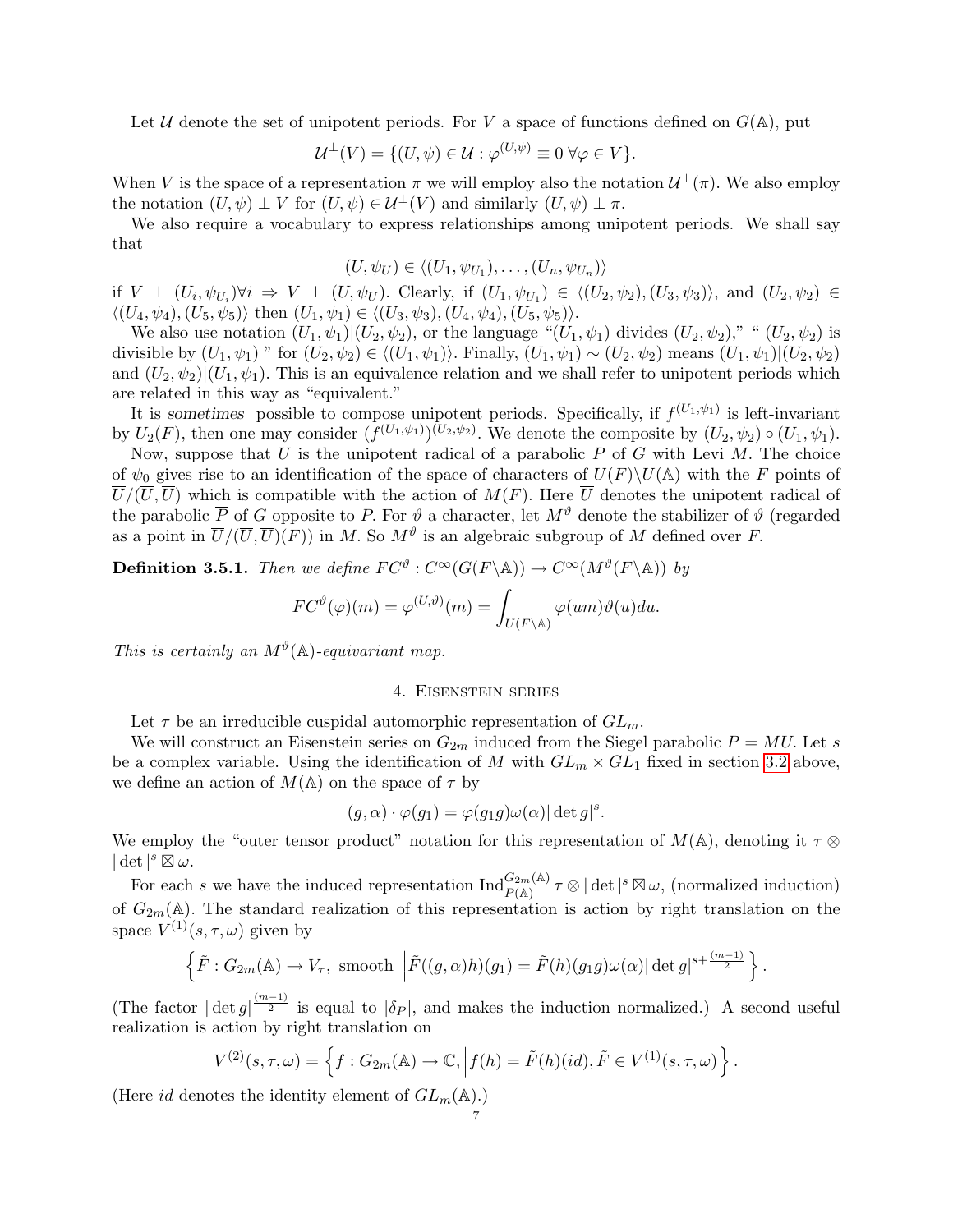Let U denote the set of unipotent periods. For V a space of functions defined on  $G(A)$ , put

$$
\mathcal{U}^{\perp}(V) = \{ (U, \psi) \in \mathcal{U} : \varphi^{(U, \psi)} \equiv 0 \,\forall \varphi \in V \}.
$$

When V is the space of a representation  $\pi$  we will employ also the notation  $\mathcal{U}^{\perp}(\pi)$ . We also employ the notation  $(U, \psi) \perp V$  for  $(U, \psi) \in \mathcal{U}^{\perp}(V)$  and similarly  $(U, \psi) \perp \pi$ .

We also require a vocabulary to express relationships among unipotent periods. We shall say that

$$
(U, \psi_U) \in \langle (U_1, \psi_{U_1}), \dots, (U_n, \psi_{U_n}) \rangle
$$

if  $V \perp (U_i, \psi_{U_i}) \forall i \Rightarrow V \perp (U, \psi_U)$ . Clearly, if  $(U_1, \psi_{U_1}) \in \langle (U_2, \psi_2), (U_3, \psi_3) \rangle$ , and  $(U_2, \psi_2) \in$  $\langle (U_4, \psi_4), (U_5, \psi_5) \rangle$  then  $(U_1, \psi_1) \in \langle (U_3, \psi_3), (U_4, \psi_4), (U_5, \psi_5) \rangle$ .

We also use notation  $(U_1, \psi_1)|(U_2, \psi_2)$ , or the language " $(U_1, \psi_1)$  divides  $(U_2, \psi_2)$ ," " $(U_2, \psi_2)$  is divisible by  $(U_1, \psi_1)$  " for  $(U_2, \psi_2) \in \langle (U_1, \psi_1) \rangle$ . Finally,  $(U_1, \psi_1) \sim (U_2, \psi_2)$  means  $(U_1, \psi_1)|(U_2, \psi_2)$ and  $(U_2, \psi_2)(U_1, \psi_1)$ . This is an equivalence relation and we shall refer to unipotent periods which are related in this way as "equivalent."

It is sometimes possible to compose unipotent periods. Specifically, if  $f^{(U_1,\psi_1)}$  is left-invariant by  $U_2(F)$ , then one may consider  $(f^{(U_1,\psi_1)})(U_2,\psi_2)$ . We denote the composite by  $(U_2,\psi_2) \circ (U_1,\psi_1)$ .

Now, suppose that  $U$  is the unipotent radical of a parabolic  $P$  of  $G$  with Levi  $M$ . The choice of  $\psi_0$  gives rise to an identification of the space of characters of  $U(F)\setminus U(A)$  with the F points of  $\overline{U}/(\overline{U},\overline{U})$  which is compatible with the action of  $M(F)$ . Here  $\overline{U}$  denotes the unipotent radical of the parabolic  $\overline{P}$  of G opposite to P. For  $\vartheta$  a character, let  $M^{\vartheta}$  denote the stabilizer of  $\vartheta$  (regarded as a point in  $\overline{U}/(\overline{U}, \overline{U})(F)$  in M. So  $M^{\vartheta}$  is an algebraic subgroup of M defined over F.

**Definition 3.5.1.** Then we define  $FC^{\vartheta} : C^{\infty}(G(F \backslash \mathbb{A})) \to C^{\infty}(M^{\vartheta}(F \backslash \mathbb{A}))$  by

$$
FC^{\vartheta}(\varphi)(m) = \varphi^{(U,\vartheta)}(m) = \int_{U(F \backslash \mathbb{A})} \varphi(um)\vartheta(u) du.
$$

This is certainly an  $M^{\vartheta}(\mathbb{A})$ -equivariant map.

# 4. Eisenstein series

Let  $\tau$  be an irreducible cuspidal automorphic representation of  $GL_m$ .

We will construct an Eisenstein series on  $G_{2m}$  induced from the Siegel parabolic  $P = MU$ . Let s be a complex variable. Using the identification of M with  $GL_m \times GL_1$  fixed in section 3.2 above, we define an action of  $M(\mathbb{A})$  on the space of  $\tau$  by

$$
(g,\alpha)\cdot\varphi(g_1)=\varphi(g_1g)\omega(\alpha)|\det g|^s.
$$

We employ the "outer tensor product" notation for this representation of  $M(\mathbb{A})$ , denoting it  $\tau \otimes$  $|\det|^s \mathop{\boxtimes}^{\bullet} \omega.$ 

For each s we have the induced representation  $\text{Ind}_{P(\mathbb{A})}^{G_{2m}(\mathbb{A})} \tau \otimes |\det|^s \boxtimes \omega$ , (normalized induction) of  $G_{2m}(\mathbb{A})$ . The standard realization of this representation is action by right translation on the space  $V^{(1)}(s,\tau,\omega)$  given by

$$
\left\{\tilde{F}: G_{2m}(\mathbb{A}) \to V_{\tau}, \text{ smooth }\left|\tilde{F}((g,\alpha)h)(g_1) = \tilde{F}(h)(g_1g)\omega(\alpha)| \det g|^{s + \frac{(m-1)}{2}}\right\}.
$$

(The factor  $\left|\det g\right|^{\frac{(m-1)}{2}}$  is equal to  $|\delta_P|$ , and makes the induction normalized.) A second useful realization is action by right translation on

$$
V^{(2)}(s,\tau,\omega)=\left\{f:G_{2m}(\mathbb{A})\to\mathbb{C},\Big|f(h)=\tilde{F}(h)(id),\tilde{F}\in V^{(1)}(s,\tau,\omega)\right\}.
$$

(Here id denotes the identity element of  $GL_m(\mathbb{A})$ .)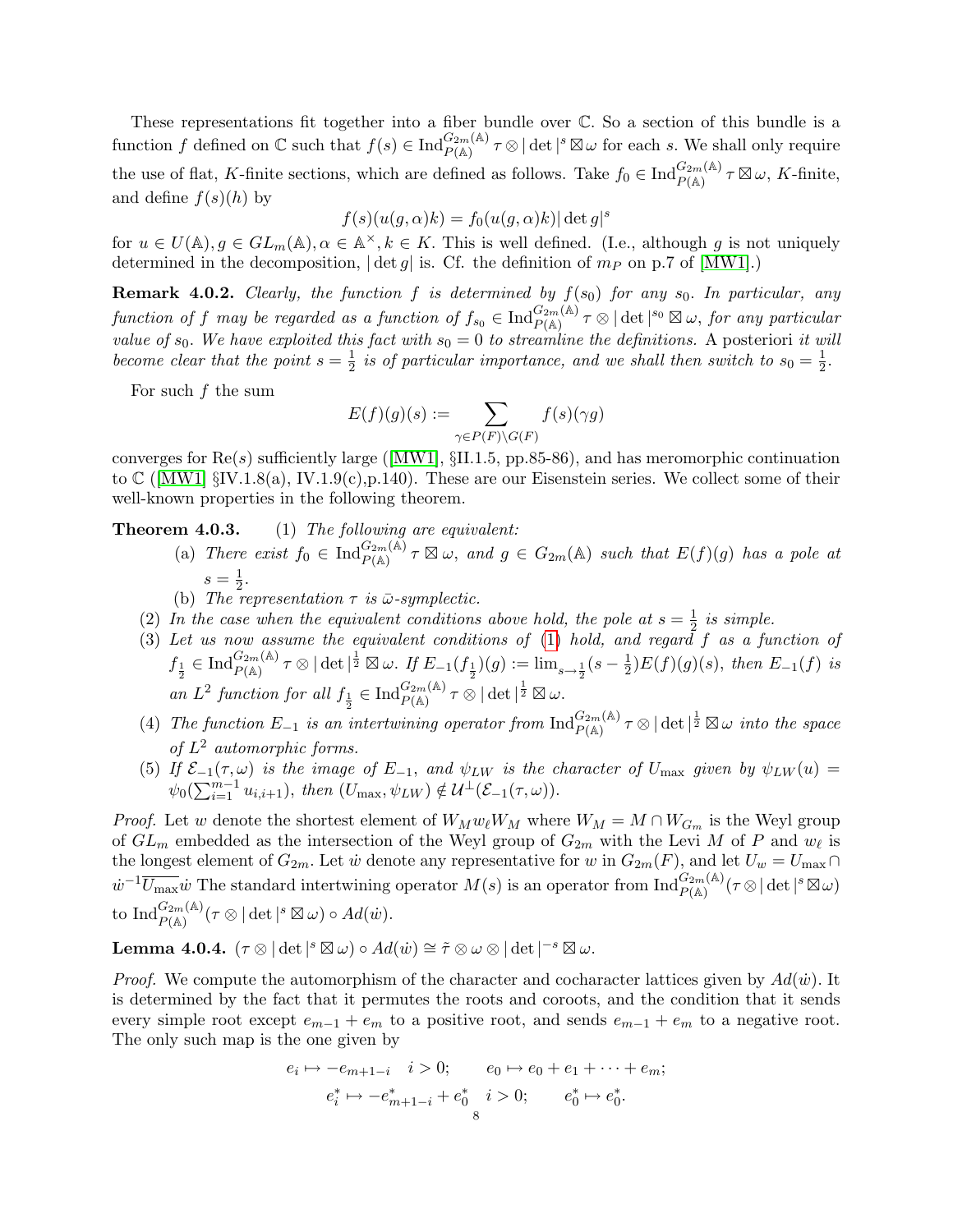These representations fit together into a fiber bundle over C. So a section of this bundle is a function f defined on  $\mathbb C$  such that  $f(s) \in \text{Ind}_{P(\mathbb A)}^{G_{2m}(\mathbb A)} \tau \otimes |\det|^s \boxtimes \omega$  for each s. We shall only require the use of flat, K-finite sections, which are defined as follows. Take  $f_0 \in \text{Ind}_{P(\mathbb{A})}^{G_{2m}(\mathbb{A})} \tau \boxtimes \omega$ , K-finite, and define  $f(s)(h)$  by

$$
f(s)(u(g,\alpha)k) = f_0(u(g,\alpha)k)|\det g|^s
$$

for  $u \in U(\mathbb{A}), g \in GL_m(\mathbb{A}), \alpha \in \mathbb{A}^\times, k \in K$ . This is well defined. (I.e., although g is not uniquely determined in the decomposition,  $|\det g|$  is. Cf. the definition of  $m_P$  on p.7 of  $\text{[MW1]}$ .

**Remark 4.0.2.** Clearly, the function f is determined by  $f(s_0)$  for any  $s_0$ . In particular, any function of f may be regarded as a function of  $f_{s_0} \in \text{Ind}_{P(\mathbb{A})}^{G_{2m}(\mathbb{A})}$   $\tau \otimes |\det|^{s_0} \boxtimes \omega$ , for any particular value of  $s_0$ . We have exploited this fact with  $s_0 = 0$  to streamline the definitions. A posteriori it will become clear that the point  $s=\frac{1}{2}$  $\frac{1}{2}$  is of particular importance, and we shall then switch to  $s_0 = \frac{1}{2}$  $\frac{1}{2}$ .

For such  $f$  the sum

$$
E(f)(g)(s) := \sum_{\gamma \in P(F) \backslash G(F)} f(s)(\gamma g)
$$

converges for  $\text{Re}(s)$  sufficiently large ([MW1],  $\S$ II.1.5, pp.85-86), and has meromorphic continuation to  $\mathbb{C}$  ([MW1]  $\S$ IV.1.8(a), IV.1.9(c),p.140). These are our Eisenstein series. We collect some of their well-known properties in the following theorem.

Theorem 4.0.3. (1) The following are equivalent:

- (a) There exist  $f_0 \in \text{Ind}_{P(\mathbb{A})}^{G_{2m}(\mathbb{A})} \tau \boxtimes \omega$ , and  $g \in G_{2m}(\mathbb{A})$  such that  $E(f)(g)$  has a pole at  $s=\frac{1}{2}$  $\frac{1}{2}$ .
- (b) The representation  $\tau$  is  $\bar{\omega}$ -symplectic.
- (2) In the case when the equivalent conditions above hold, the pole at  $s=\frac{1}{2}$  $rac{1}{2}$  is simple.
- (3) Let us now assume the equivalent conditions of (1) hold, and regard f as a function of  $f_{\frac{1}{2}} \in \text{Ind}_{P(\mathbb{A})}^{G_{2m}(\mathbb{A})} \tau \otimes |\det|^{\frac{1}{2}} \boxtimes \omega.$  If  $E_{-1}(f_{\frac{1}{2}})(g) := \lim_{s \to \frac{1}{2}} (s - \frac{1}{2})$  $(\frac{1}{2})E(f)(g)(s)$ , then  $E_{-1}(f)$  is an  $L^2$  function for all  $f_{\frac{1}{2}} \in \text{Ind}_{P(\mathbb{A})}^{G_{2m}(\mathbb{A})} \tau \otimes |\det|^{\frac{1}{2}} \boxtimes \omega$ .
- (4) The function  $E_{-1}$  is an intertwining operator from  $\text{Ind}_{P(\mathbb{A})}^{G_{2m}(\mathbb{A})} \tau \otimes |\det|^{\frac{1}{2}} \boxtimes \omega$  into the space of  $L^2$  automorphic forms.
- (5) If  $\mathcal{E}_{-1}(\tau,\omega)$  is the image of  $E_{-1}$ , and  $\psi_{LW}$  is the character of  $U_{\text{max}}$  given by  $\psi_{LW}(u) =$  $\psi_0(\sum_{i=1}^{m-1} u_{i,i+1}), \text{ then } (U_{\text{max}}, \psi_{LW}) \notin \mathcal{U}^{\perp}(\mathcal{E}_{-1}(\tau, \omega)).$

*Proof.* Let w denote the shortest element of  $W_M w_\ell W_M$  where  $W_M = M \cap W_{G_m}$  is the Weyl group of  $GL_m$  embedded as the intersection of the Weyl group of  $G_{2m}$  with the Levi M of P and  $w_{\ell}$  is the longest element of  $G_{2m}$ . Let  $\dot{w}$  denote any representative for  $w$  in  $G_{2m}(F)$ , and let  $U_w = U_{\text{max}} \cap$  $w^{-1}\overline{U_{\max}}w$  The standard intertwining operator  $M(s)$  is an operator from  $\text{Ind}_{P(\mathbb{A})}^{G_{2m}(\mathbb{A})}(\tau\otimes|\det|^s\boxtimes\omega)$ to  $\mathrm{Ind}_{P(\mathbb{A})}^{G_{2m}(\mathbb{A})}(\tau\otimes|\det|^s\boxtimes\omega)\circ Ad(\dot{w}).$ 

Lemma 4.0.4.  $(\tau \otimes |\det|^s \boxtimes \omega) \circ Ad(\dot{w}) \cong \tilde{\tau} \otimes \omega \otimes |\det|^{-s} \boxtimes \omega.$ 

*Proof.* We compute the automorphism of the character and cocharacter lattices given by  $Ad(\dot{w})$ . It is determined by the fact that it permutes the roots and coroots, and the condition that it sends every simple root except  $e_{m-1} + e_m$  to a positive root, and sends  $e_{m-1} + e_m$  to a negative root. The only such map is the one given by

$$
e_i \mapsto -e_{m+1-i} \quad i > 0; \qquad e_0 \mapsto e_0 + e_1 + \dots + e_m; \\
 e_i^* \mapsto -e_{m+1-i}^* + e_0^* \quad i > 0; \qquad e_0^* \mapsto e_0^*.
$$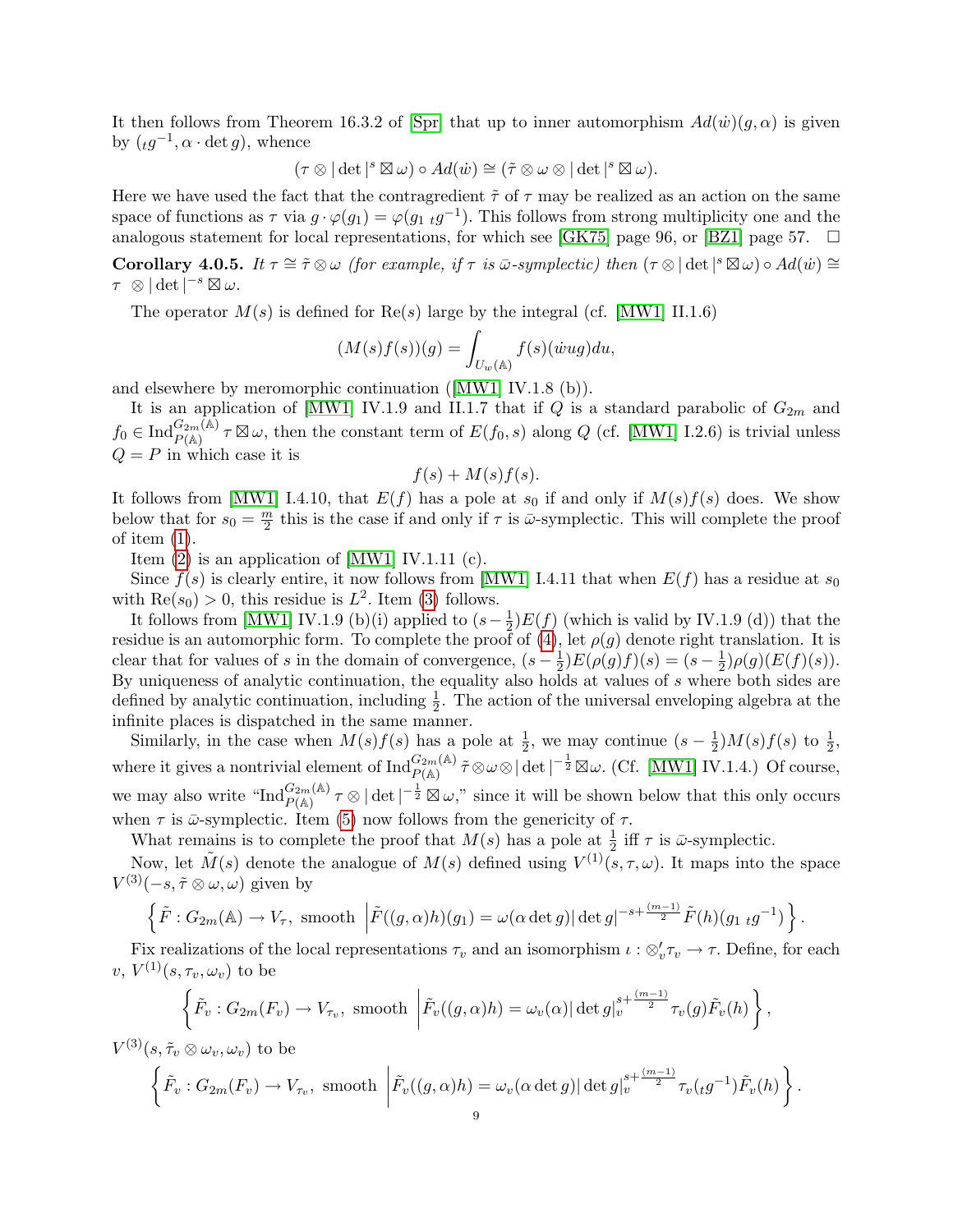It then follows from Theorem 16.3.2 of [Spr] that up to inner automorphism  $Ad(w)(q, \alpha)$  is given by  $({}_t g^{-1}, \alpha \cdot \det g)$ , whence

$$
(\tau \otimes |\det|^s \boxtimes \omega) \circ Ad(\dot{w}) \cong (\tilde{\tau} \otimes \omega \otimes |\det|^s \boxtimes \omega).
$$

Here we have used the fact that the contragredient  $\tilde{\tau}$  of  $\tau$  may be realized as an action on the same space of functions as  $\tau$  via  $g \cdot \varphi(g_1) = \varphi(g_1 \tildot g^{-1})$ . This follows from strong multiplicity one and the analogous statement for local representations, for which see [GK75] page 96, or [BZ1] page 57.  $\Box$ 

**Corollary 4.0.5.** It  $\tau \cong \tilde{\tau} \otimes \omega$  (for example, if  $\tau$  is  $\bar{\omega}$ -symplectic) then  $(\tau \otimes |\det|^s \boxtimes \omega) \circ Ad(\dot{w}) \cong$  $\tau \otimes |\det|^{-s} \boxtimes \omega.$ 

The operator  $M(s)$  is defined for  $\text{Re}(s)$  large by the integral (cf. [MW1] II.1.6)

$$
(M(s)f(s))(g) = \int_{U_w(\mathbb{A})} f(s)(\dot{w}ug)du,
$$

and elsewhere by meromorphic continuation ([MW1] IV.1.8 (b)).

It is an application of [MW1] IV.1.9 and II.1.7 that if Q is a standard parabolic of  $G_{2m}$  and  $f_0 \in \text{Ind}_{P(\mathbb{A})}^{G_{2m}(\mathbb{A})} \tau \boxtimes \omega$ , then the constant term of  $E(f_0, s)$  along Q (cf. [MW1] I.2.6) is trivial unless  $Q = P$  in which case it is

$$
f(s) + M(s)f(s).
$$

It follows from [MW1] I.4.10, that  $E(f)$  has a pole at s<sub>0</sub> if and only if  $M(s)f(s)$  does. We show below that for  $s_0 = \frac{m}{2}$  $\frac{m}{2}$  this is the case if and only if  $\tau$  is  $\bar{\omega}$ -symplectic. This will complete the proof of item  $(1)$ .

Item  $(2)$  is an application of [MW1] IV.1.11  $(c)$ .

 $-\frac{1}{2}$ 

Since  $f(s)$  is clearly entire, it now follows from [MW1] I.4.11 that when  $E(f)$  has a residue at  $s_0$ with  $\text{Re}(s_0) > 0$ , this residue is  $L^2$ . Item (3) follows.

It follows from [MW1] IV.1.9 (b)(i) applied to  $(s-\frac{1}{2})$  $\frac{1}{2}$  $E(f)$  (which is valid by IV.1.9 (d)) that the residue is an automorphic form. To complete the proof of  $(4)$ , let  $\rho(g)$  denote right translation. It is clear that for values of s in the domain of convergence,  $(s-\frac{1}{2})$  $(\frac{1}{2})E(\rho(g)f)(s) = (s - \frac{1}{2})$  $(\frac{1}{2})\rho(g)(E(f)(s)).$ By uniqueness of analytic continuation, the equality also holds at values of s where both sides are defined by analytic continuation, including  $\frac{1}{2}$ . The action of the universal enveloping algebra at the infinite places is dispatched in the same manner.

Similarly, in the case when  $M(s)f(s)$  has a pole at  $\frac{1}{2}$ , we may continue  $(s-\frac{1}{2})$  $(\frac{1}{2})M(s)f(s)$  to  $\frac{1}{2}$ , where it gives a nontrivial element of  $\text{Ind}_{P(\mathbb{A})}^{G_{2m}(\mathbb{A})} \tilde{\tau} \otimes \omega \otimes |\det|^{-\frac{1}{2}} \boxtimes \omega$ . (Cf. [MW1] IV.1.4.) Of course, we may also write " $\text{Ind}_{P(\mathbb{A})}^{G_{2m}(\mathbb{A})} \tau \otimes |\det|^{-\frac{1}{2}} \boxtimes \omega$ ," since it will be shown below that this only occurs when  $\tau$  is  $\bar{\omega}$ -symplectic. Item (5) now follows from the genericity of  $\tau$ .

What remains is to complete the proof that  $M(s)$  has a pole at  $\frac{1}{2}$  iff  $\tau$  is  $\bar{\omega}$ -symplectic.

Now, let  $\tilde{M}(s)$  denote the analogue of  $M(s)$  defined using  $V^{(1)}(s,\tau,\omega)$ . It maps into the space  $V^{(3)}(-s, \tilde{\tau} \otimes \omega, \omega)$  given by

$$
\left\{\tilde{F}: G_{2m}(\mathbb{A}) \to V_{\tau}, \text{ smooth }\left|\tilde{F}((g,\alpha)h)(g_1) = \omega(\alpha \det g)| \det g|^{-s+\frac{(m-1)}{2}} \tilde{F}(h)(g_1 \ t g^{-1})\right.\right\}.
$$

Fix realizations of the local representations  $\tau_v$  and an isomorphism  $\iota : \otimes_v' \tau_v \to \tau$ . Define, for each v,  $V^{(1)}(s, \tau_v, \omega_v)$  to be

$$
\left\{\tilde{F}_v: G_{2m}(F_v) \to V_{\tau_v}, \text{ smooth }\left|\tilde{F}_v((g,\alpha)h) = \omega_v(\alpha) |\det g|_v^{s + \frac{(m-1)}{2}} \tau_v(g) \tilde{F}_v(h)\right.\right\},\
$$

$$
V^{(3)}(s, \tilde{\tau}_v \otimes \omega_v, \omega_v) \text{ to be}
$$
  

$$
\left\{ \tilde{F}_v : G_{2m}(F_v) \to V_{\tau_v}, \text{ smooth } \left| \tilde{F}_v((g, \alpha)h) = \omega_v(\alpha \det g) |\det g|_v^{s + \frac{(m-1)}{2}} \tau_v(\iota g^{-1}) \tilde{F}_v(h) \right\}.
$$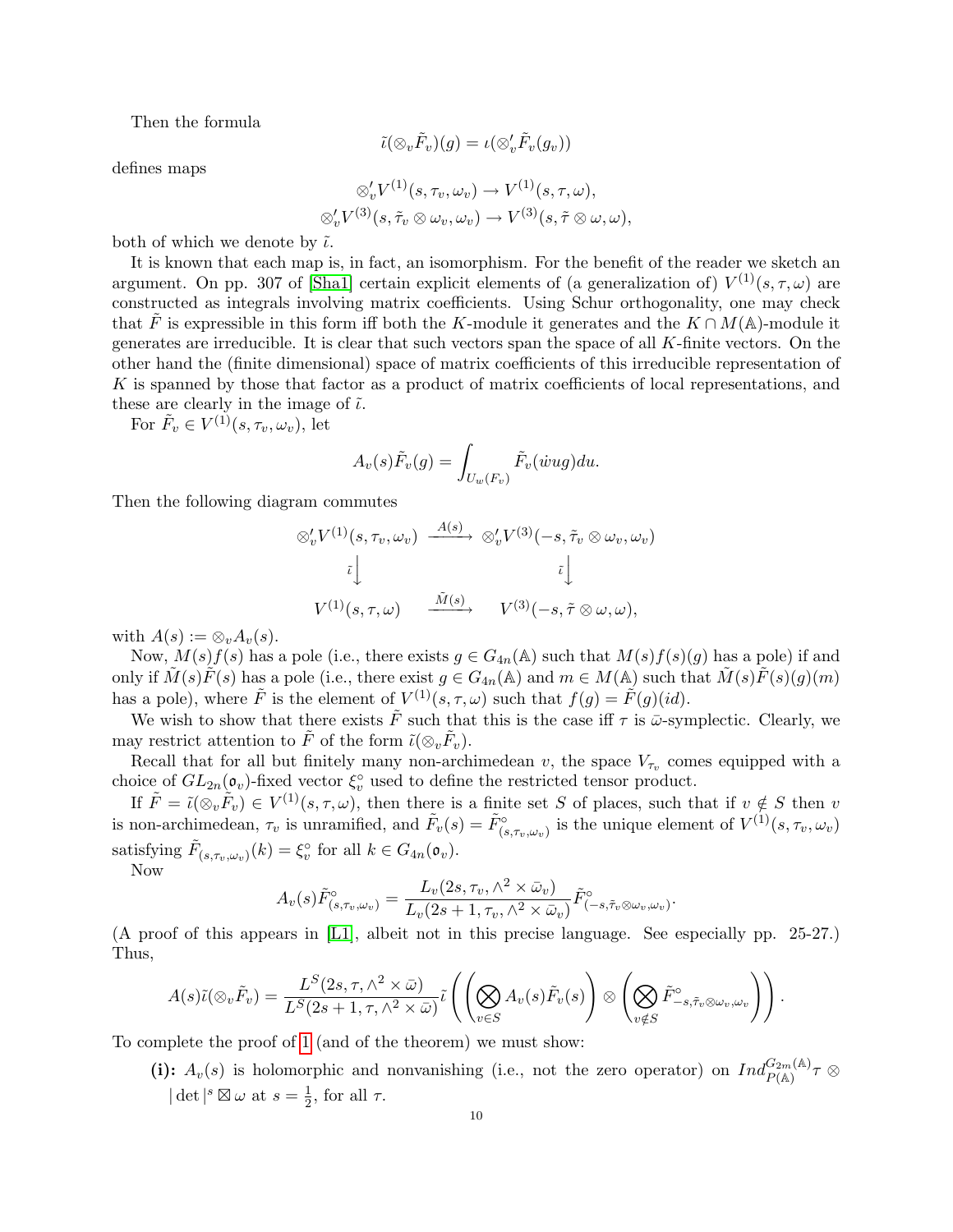Then the formula

$$
\tilde{\iota}(\otimes_v \tilde{F}_v)(g)=\iota(\otimes_v' \tilde{F}_v(g_v))
$$

defines maps

$$
\otimes'_{v} V^{(1)}(s,\tau_{v},\omega_{v}) \to V^{(1)}(s,\tau,\omega),\otimes'_{v} V^{(3)}(s,\tilde{\tau}_{v} \otimes \omega_{v},\omega_{v}) \to V^{(3)}(s,\tilde{\tau} \otimes \omega,\omega),
$$

both of which we denote by  $\tilde{\iota}$ .

It is known that each map is, in fact, an isomorphism. For the benefit of the reader we sketch an argument. On pp. 307 of [Sha1] certain explicit elements of (a generalization of)  $V^{(1)}(s, \tau, \omega)$  are constructed as integrals involving matrix coefficients. Using Schur orthogonality, one may check that F is expressible in this form iff both the K-module it generates and the  $K \cap M(\mathbb{A})$ -module it generates are irreducible. It is clear that such vectors span the space of all K-finite vectors. On the other hand the (finite dimensional) space of matrix coefficients of this irreducible representation of K is spanned by those that factor as a product of matrix coefficients of local representations, and these are clearly in the image of  $\tilde{\iota}$ .

For  $\tilde{F}_v \in V^{(1)}(s, \tau_v, \omega_v)$ , let

$$
A_v(s)\tilde{F}_v(g) = \int_{U_w(F_v)} \tilde{F}_v(\dot{w}ug)du.
$$

Then the following diagram commutes

$$
\begin{array}{ccc}\n\otimes'_{v}V^{(1)}(s,\tau_{v},\omega_{v}) & \xrightarrow{A(s)} & \otimes'_{v}V^{(3)}(-s,\tilde{\tau}_{v}\otimes\omega_{v},\omega_{v}) \\
\downarrow & & \downarrow & & \downarrow \\
V^{(1)}(s,\tau,\omega) & \xrightarrow{\tilde{M}(s)} & V^{(3)}(-s,\tilde{\tau}\otimes\omega,\omega),\n\end{array}
$$

with  $A(s) := \otimes_v A_v(s)$ .

Now,  $M(s)f(s)$  has a pole (i.e., there exists  $g \in G_{4n}(\mathbb{A})$  such that  $M(s)f(s)(g)$  has a pole) if and only if  $\tilde{M}(s)\tilde{F}(s)$  has a pole (i.e., there exist  $g \in G_{4n}(\mathbb{A})$  and  $m \in M(\mathbb{A})$  such that  $\tilde{M}(s)\tilde{F}(s)(g)(m)$ has a pole), where  $\tilde{F}$  is the element of  $V^{(1)}(s,\tau,\omega)$  such that  $f(g) = \tilde{F}(g)(id)$ .

We wish to show that there exists  $\tilde{F}$  such that this is the case iff  $\tau$  is  $\tilde{\omega}$ -symplectic. Clearly, we may restrict attention to  $\tilde{F}$  of the form  $\tilde{\iota}(\otimes_v \tilde{F}_v)$ .

Recall that for all but finitely many non-archimedean v, the space  $V_{\tau_v}$  comes equipped with a choice of  $GL_{2n}(\mathfrak{o}_{v})$ -fixed vector  $\xi_{v}^{\circ}$  used to define the restricted tensor product.

If  $\tilde{F} = \tilde{\iota}(\otimes_v \tilde{F}_v) \in V^{(1)}(s, \tau, \omega)$ , then there is a finite set S of places, such that if  $v \notin S$  then v is non-archimedean,  $\tau_v$  is unramified, and  $\tilde{F}_v(s) = \tilde{F}_{(s,\tau_v,\omega_v)}^{\circ}$  is the unique element of  $V^{(1)}(s,\tau_v,\omega_v)$ satisfying  $\tilde{F}_{(s,\tau_v,\omega_v)}(k) = \xi_v^{\circ}$  for all  $k \in G_{4n}(\mathfrak{o}_v)$ .

Now

$$
A_v(s)\tilde{F}_{(s,\tau_v,\omega_v)}^{\circ} = \frac{L_v(2s,\tau_v,\wedge^2 \times \bar{\omega}_v)}{L_v(2s+1,\tau_v,\wedge^2 \times \bar{\omega}_v)}\tilde{F}_{(-s,\tilde{\tau}_v \otimes \omega_v,\omega_v)}^{\circ}.
$$

(A proof of this appears in [L1], albeit not in this precise language. See especially pp. 25-27.) Thus,

$$
A(s)\tilde{\iota}(\otimes_v \tilde{F}_v) = \frac{L^S(2s,\tau,\wedge^2 \times \bar{\omega})}{L^S(2s+1,\tau,\wedge^2 \times \bar{\omega})}\tilde{\iota}\left(\left(\bigotimes_{v \in S} A_v(s)\tilde{F}_v(s)\right) \otimes \left(\bigotimes_{v \notin S} \tilde{F}^{\circ}_{-s,\tilde{\tau}_v \otimes \omega_v,\omega_v}\right)\right).
$$

To complete the proof of 1 (and of the theorem) we must show:

(i):  $A_v(s)$  is holomorphic and nonvanishing (i.e., not the zero operator) on  $Ind_{P(A)}^{G_{2m}(A)} \tau \otimes$  $\det^{s} \boxtimes \omega$  at  $s = \frac{1}{2}$  $\frac{1}{2}$ , for all  $\tau$ .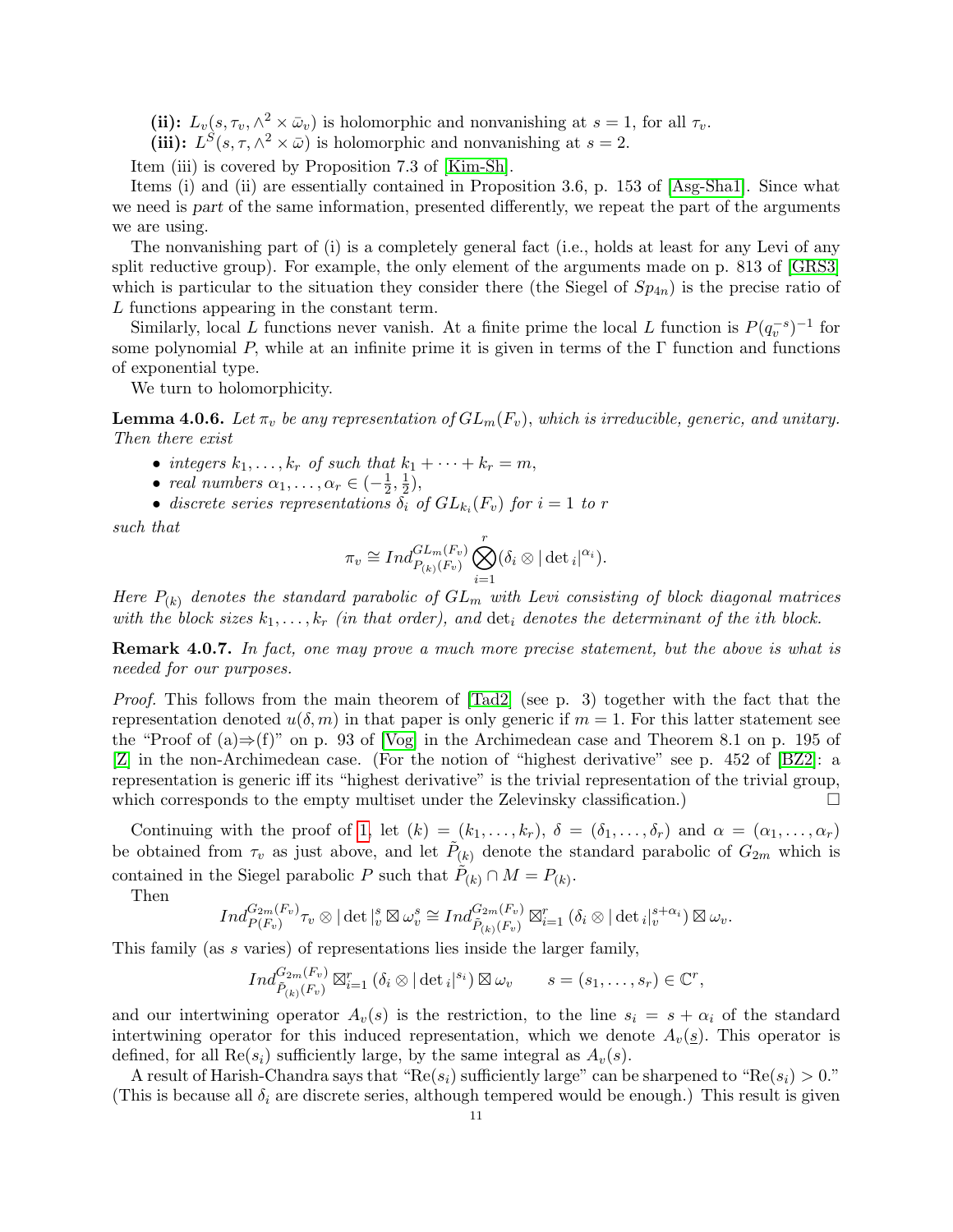(ii):  $L_v(s, \tau_v, \wedge^2 \times \bar{\omega}_v)$  is holomorphic and nonvanishing at  $s = 1$ , for all  $\tau_v$ .

(iii):  $L^{S}(s, \tau, \wedge^{2} \times \bar{\omega})$  is holomorphic and nonvanishing at  $s = 2$ .

Item (iii) is covered by Proposition 7.3 of [Kim-Sh].

Items (i) and (ii) are essentially contained in Proposition 3.6, p. 153 of [Asg-Sha1]. Since what we need is part of the same information, presented differently, we repeat the part of the arguments we are using.

The nonvanishing part of (i) is a completely general fact (i.e., holds at least for any Levi of any split reductive group). For example, the only element of the arguments made on p. 813 of [GRS3] which is particular to the situation they consider there (the Siegel of  $Sp_{4n}$ ) is the precise ratio of L functions appearing in the constant term.

Similarly, local L functions never vanish. At a finite prime the local L function is  $P(q_v^{-s})^{-1}$  for some polynomial P, while at an infinite prime it is given in terms of the  $\Gamma$  function and functions of exponential type.

We turn to holomorphicity.

**Lemma 4.0.6.** Let  $\pi_v$  be any representation of  $GL_m(F_v)$ , which is irreducible, generic, and unitary. Then there exist

- integers  $k_1, \ldots, k_r$  of such that  $k_1 + \cdots + k_r = m$ ,
- real numbers  $\alpha_1, \ldots, \alpha_r \in \left(-\frac{1}{2}\right)$  $\frac{1}{2}, \frac{1}{2}$  $(\frac{1}{2}),$
- discrete series representations  $\delta_i$  of  $GL_{k_i}(F_v)$  for  $i=1$  to r

such that

$$
\pi_v \cong Ind_{P_{(k)}(F_v)}^{GL_m(F_v)} \bigotimes_{i=1}^r (\delta_i \otimes |\det_i|^{\alpha_i}).
$$

Here  $P_{(k)}$  denotes the standard parabolic of  $GL_m$  with Levi consisting of block diagonal matrices with the block sizes  $k_1, \ldots, k_r$  (in that order), and  $\det_i$  denotes the determinant of the ith block.

Remark 4.0.7. In fact, one may prove a much more precise statement, but the above is what is needed for our purposes.

Proof. This follows from the main theorem of  $[\text{rad}2]$  (see p. 3) together with the fact that the representation denoted  $u(\delta, m)$  in that paper is only generic if  $m = 1$ . For this latter statement see the "Proof of  $(a) \Rightarrow f'$ " on p. 93 of [Vog] in the Archimedean case and Theorem 8.1 on p. 195 of [Z] in the non-Archimedean case. (For the notion of "highest derivative" see p. 452 of [BZ2]: a representation is generic iff its "highest derivative" is the trivial representation of the trivial group, which corresponds to the empty multiset under the Zelevinsky classification.)

Continuing with the proof of 1, let  $(k) = (k_1, \ldots, k_r)$ ,  $\delta = (\delta_1, \ldots, \delta_r)$  and  $\alpha = (\alpha_1, \ldots, \alpha_r)$ be obtained from  $\tau_v$  as just above, and let  $\tilde{P}_{(k)}$  denote the standard parabolic of  $G_{2m}$  which is contained in the Siegel parabolic P such that  $\tilde{P}_{(k)} \cap M = P_{(k)}$ .

Then

$$
Ind_{P(F_v)}^{G_{2m}(F_v)} \tau_v \otimes |\det|_v^s \boxtimes \omega_v^s \cong Ind_{\tilde{P}_{(k)}(F_v)}^{G_{2m}(F_v)} \boxtimes_{i=1}^r (\delta_i \otimes |\det_i|_v^{s+\alpha_i}) \boxtimes \omega_v.
$$

This family (as s varies) of representations lies inside the larger family,

$$
Ind_{\tilde{P}_{(k)}(F_v)}^{G_{2m}(F_v)} \boxtimes_{i=1}^r (\delta_i \otimes |\det_i|^{s_i}) \boxtimes \omega_v \qquad s = (s_1, \ldots, s_r) \in \mathbb{C}^r,
$$

and our intertwining operator  $A_v(s)$  is the restriction, to the line  $s_i = s + \alpha_i$  of the standard intertwining operator for this induced representation, which we denote  $A_v(s)$ . This operator is defined, for all  $\text{Re}(s_i)$  sufficiently large, by the same integral as  $A_v(s)$ .

A result of Harish-Chandra says that " $\text{Re}(s_i)$  sufficiently large" can be sharpened to " $\text{Re}(s_i) > 0$ ." (This is because all  $\delta_i$  are discrete series, although tempered would be enough.) This result is given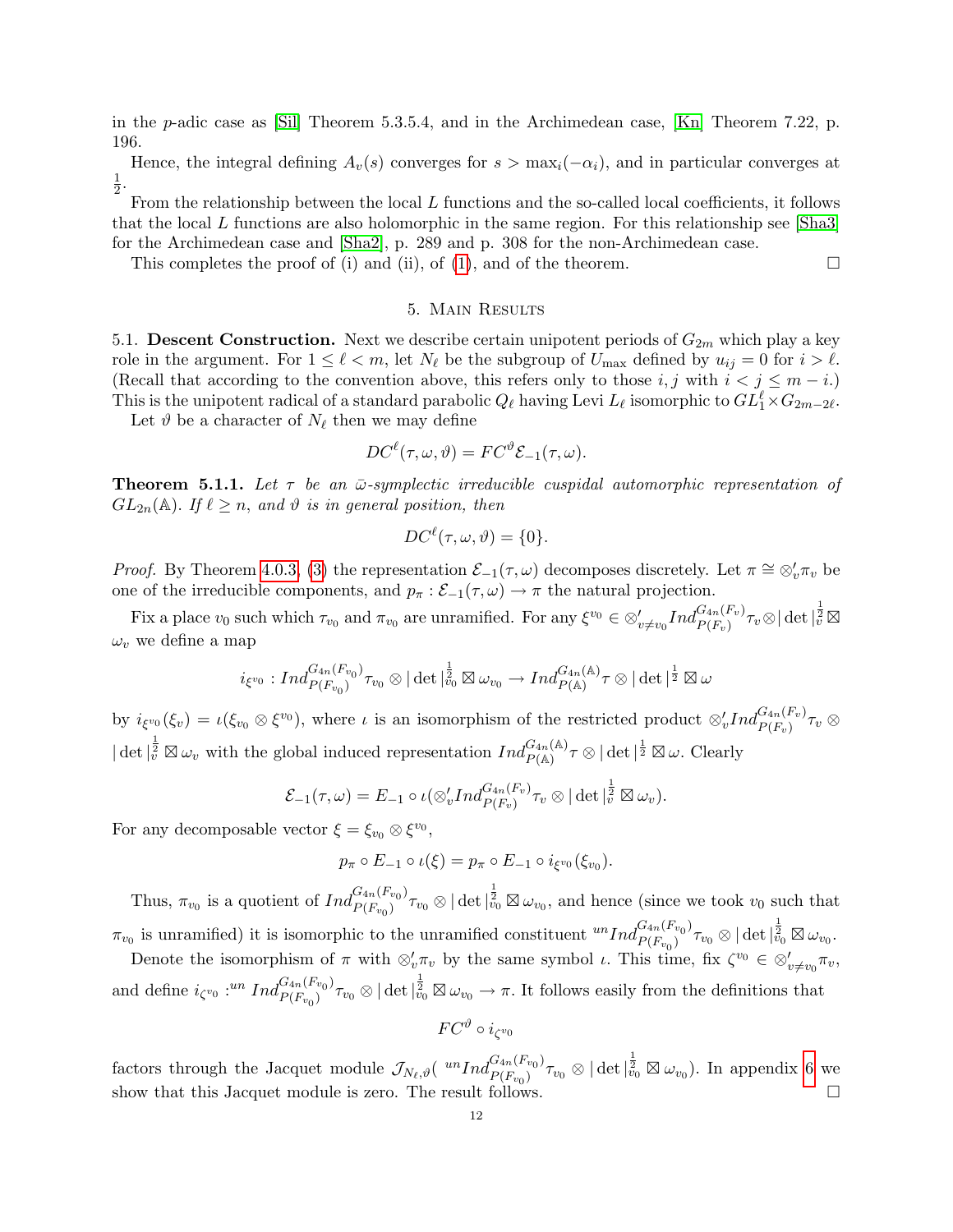in the p-adic case as [Sil] Theorem 5.3.5.4, and in the Archimedean case, [Kn] Theorem 7.22, p. 196.

Hence, the integral defining  $A_v(s)$  converges for  $s > \max_i(-\alpha_i)$ , and in particular converges at 1  $\frac{1}{2}$ .

From the relationship between the local  $L$  functions and the so-called local coefficients, it follows that the local L functions are also holomorphic in the same region. For this relationship see [Sha3] for the Archimedean case and [Sha2], p. 289 and p. 308 for the non-Archimedean case.

This completes the proof of (i) and (ii), of (1), and of the theorem.  $\Box$ 

# 5. Main Results

5.1. Descent Construction. Next we describe certain unipotent periods of  $G_{2m}$  which play a key role in the argument. For  $1 \leq \ell < m$ , let  $N_{\ell}$  be the subgroup of  $U_{\text{max}}$  defined by  $u_{ij} = 0$  for  $i > \ell$ . (Recall that according to the convention above, this refers only to those i, j with  $i < j \leq m - i$ .) This is the unipotent radical of a standard parabolic  $Q_\ell$  having Levi  $L_\ell$  isomorphic to  $GL_1^\ell \times G_{2m-2\ell}$ .

Let  $\vartheta$  be a character of  $N_{\ell}$  then we may define

$$
DC^{\ell}(\tau, \omega, \vartheta) = FC^{\vartheta} \mathcal{E}_{-1}(\tau, \omega).
$$

**Theorem 5.1.1.** Let  $\tau$  be an  $\bar{\omega}$ -symplectic irreducible cuspidal automorphic representation of  $GL_{2n}(\mathbb{A})$ . If  $\ell \geq n$ , and  $\vartheta$  is in general position, then

$$
DC^{\ell}(\tau, \omega, \vartheta) = \{0\}.
$$

*Proof.* By Theorem 4.0.3, (3) the representation  $\mathcal{E}_{-1}(\tau,\omega)$  decomposes discretely. Let  $\pi \cong \otimes_v' \pi_v$  be one of the irreducible components, and  $p_{\pi} : \mathcal{E}_{-1}(\tau, \omega) \to \pi$  the natural projection.

Fix a place  $v_0$  such which  $\tau_{v_0}$  and  $\pi_{v_0}$  are unramified. For any  $\xi^{v_0} \in \otimes'_{v \neq v_0} Ind_{P(F_v)}^{G_{4n}(F_v)} \tau_v \otimes |\det|_v^{\frac{1}{2}} \boxtimes$  $\omega_v$  we define a map

$$
i_{\xi^{v_0}}:Ind_{P(F_{v_0})}^{G_{4n}(F_{v_0})}\tau_{v_0}\otimes |\det|_{v_0}^{\frac{1}{2}}\boxtimes\omega_{v_0}\to Ind_{P(\mathbb{A})}^{G_{4n}(\mathbb{A})}\tau\otimes |\det|^{\frac{1}{2}}\boxtimes\omega
$$

by  $i_{\xi^{v_0}}(\xi_v) = \iota(\xi_{v_0} \otimes \xi^{v_0})$ , where  $\iota$  is an isomorphism of the restricted product  $\otimes'_v Ind_{P(F_v)}^{G_{4n}(F_v)} \tau_v \otimes$  $|\det|_{\tilde{v}}^{\frac{1}{2}} \boxtimes \omega_v$  with the global induced representation  $Ind_{P(\mathbb{A})}^{G_{4n}(\mathbb{A})}\tau \otimes |\det|^{\frac{1}{2}} \boxtimes \omega$ . Clearly

$$
\mathcal{E}_{-1}(\tau,\omega)=E_{-1}\circ\iota(\otimes'_v Ind_{P(F_v)}^{G_{4n}(F_v)}\tau_v\otimes|\det|_{\tilde{v}}^{\frac{1}{2}}\boxtimes\omega_v).
$$

For any decomposable vector  $\xi = \xi_{v_0} \otimes \xi^{v_0}$ ,

$$
p_{\pi} \circ E_{-1} \circ \iota(\xi) = p_{\pi} \circ E_{-1} \circ i_{\xi^{v_0}}(\xi_{v_0}).
$$

Thus,  $\pi_{v_0}$  is a quotient of  $Ind_{P(F_{v_0})}^{G_{4n}(F_{v_0})}$  ${}_{P(F_{v_0})}^{G_{4n}(F_{v_0})}\tau_{v_0}\otimes|\det|^{\frac{1}{2}}_{v_0}\boxtimes\omega_{v_0}$ , and hence (since we took  $v_0$  such that  $\pi_{v_0}$  is unramified) it is isomorphic to the unramified constituent  ${}^{un}Ind_{P(F_{v_0})}^{G_{4n}(F_{v_0})}$  $\frac{G_{4n}(F_{v_0})}{P(F_{v_0})}\tau_{v_0}\otimes |\det|_{v_0}^{\frac{1}{2}}\boxtimes \omega_{v_0}.$ 

Denote the isomorphism of  $\pi$  with  $\otimes'_v \pi_v$  by the same symbol  $\iota$ . This time, fix  $\zeta^{v_0} \in \otimes'_{v \neq v_0} \pi_v$ , and define  $i_{\zeta^{v_0}}$  :<sup>un</sup> Ind ${}_{P(F_{v_0})}^{G_{4n}(F_{v_0})}$  ${}_{P(F_{v_0})}^{G_{4n}(F_{v_0})}\tau_{v_0}\otimes|\det|^{\frac{1}{2}}_{v_0}\boxtimes\omega_{v_0}\to\pi.$  It follows easily from the definitions that

$$
FC^\vartheta\circ i_{\zeta^{v_0}}
$$

factors through the Jacquet module  $\mathcal{J}_{N_{\ell},\vartheta}$ ( $^{un}Ind_{P(F_{v_0})}^{G_{4n}(F_{v_0})}$  $\frac{G_{4n}(F_{v_0})}{P(F_{v_0})}\tau_{v_0}\otimes |\det|^{\frac{1}{2}}_{v_0}\boxtimes \omega_{v_0}).$  In appendix 6 we show that this Jacquet module is zero. The result follows.  $\Box$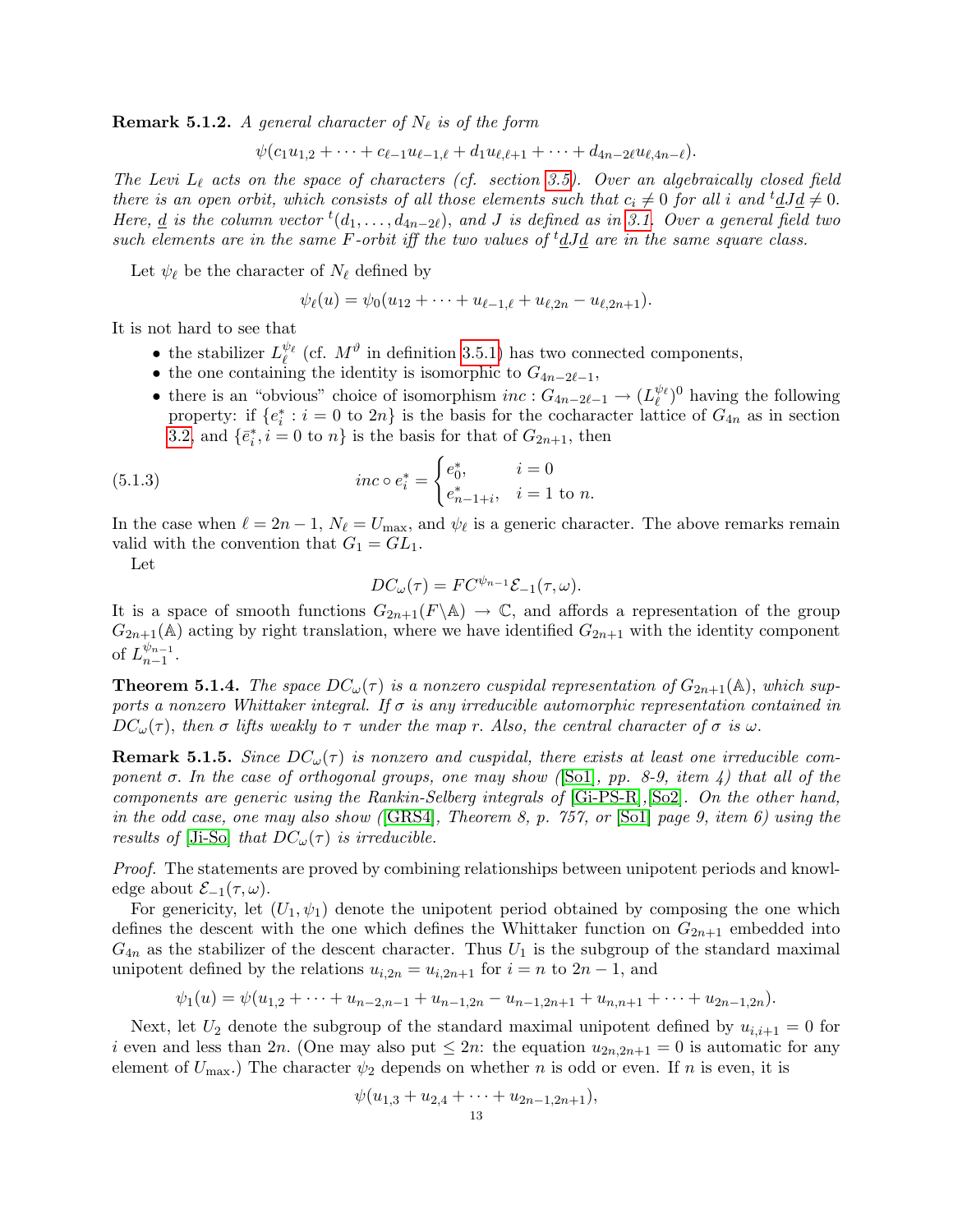**Remark 5.1.2.** A general character of  $N_{\ell}$  is of the form

 $\psi(c_1u_{1,2} + \cdots + c_{\ell-1}u_{\ell-1,\ell} + d_1u_{\ell,\ell+1} + \cdots + d_{4n-2\ell}u_{\ell,4n-\ell}).$ 

The Levi  $L_{\ell}$  acts on the space of characters (cf. section 3.5). Over an algebraically closed field there is an open orbit, which consists of all those elements such that  $c_i \neq 0$  for all i and  ${}^t \underline{d} J \underline{d} \neq 0$ . Here,  $\underline{d}$  is the column vector  ${}^t(d_1,\ldots,d_{4n-2\ell})$ , and J is defined as in 3.1. Over a general field two such elements are in the same  $F$ -orbit iff the two values of <sup>t</sup>dJd are in the same square class.

Let  $\psi_{\ell}$  be the character of  $N_{\ell}$  defined by

$$
\psi_{\ell}(u) = \psi_0(u_{12} + \cdots + u_{\ell-1,\ell} + u_{\ell,2n} - u_{\ell,2n+1}).
$$

It is not hard to see that

- the stabilizer  $L_{\ell}^{\psi_{\ell}}$  (cf.  $M^{\vartheta}$  in definition 3.5.1) has two connected components,
- the one containing the identity is isomorphic to  $G_{4n-2\ell-1}$ ,
- there is an "obvious" choice of isomorphism  $inc: G_{4n-2\ell-1} \to (L_{\ell}^{\psi_{\ell}})^0$  having the following property: if  $\{e_i^*: i = 0 \text{ to } 2n\}$  is the basis for the cocharacter lattice of  $G_{4n}$  as in section 3.2, and  $\{\bar{e}_i^*, i=0 \text{ to } n\}$  is the basis for that of  $G_{2n+1}$ , then

(5.1.3) 
$$
inc \circ e_i^* = \begin{cases} e_0^*, & i = 0\\ e_{n-1+i}^*, & i = 1 \text{ to } n. \end{cases}
$$

In the case when  $\ell = 2n - 1$ ,  $N_{\ell} = U_{\text{max}}$ , and  $\psi_{\ell}$  is a generic character. The above remarks remain valid with the convention that  $G_1 = GL_1$ .

Let

$$
DC_{\omega}(\tau) = FC^{\psi_{n-1}} \mathcal{E}_{-1}(\tau, \omega).
$$

It is a space of smooth functions  $G_{2n+1}(F\backslash\mathbb{A}) \to \mathbb{C}$ , and affords a representation of the group  $G_{2n+1}(\mathbb{A})$  acting by right translation, where we have identified  $G_{2n+1}$  with the identity component of  $L_{n-1}^{\psi_{n-1}}$  $\frac{v_{n-1}}{n-1}$ .

**Theorem 5.1.4.** The space  $DC_{\omega}(\tau)$  is a nonzero cuspidal representation of  $G_{2n+1}(\mathbb{A})$ , which supports a nonzero Whittaker integral. If  $\sigma$  is any irreducible automorphic representation contained in  $DC_{\omega}(\tau)$ , then  $\sigma$  lifts weakly to  $\tau$  under the map r. Also, the central character of  $\sigma$  is  $\omega$ .

**Remark 5.1.5.** Since  $DC_{\omega}(\tau)$  is nonzero and cuspidal, there exists at least one irreducible component  $\sigma$ . In the case of orthogonal groups, one may show ([So1], pp. 8-9, item 4) that all of the components are generic using the Rankin-Selberg integrals of [Gi-PS-R],[So2]. On the other hand, in the odd case, one may also show ( $[GRS4]$ , Theorem 8, p. 757, or  $[Sol]$  page 9, item 6) using the results of [Ji-So] that  $DC_{\omega}(\tau)$  is irreducible.

Proof. The statements are proved by combining relationships between unipotent periods and knowledge about  $\mathcal{E}_{-1}(\tau,\omega)$ .

For genericity, let  $(U_1, \psi_1)$  denote the unipotent period obtained by composing the one which defines the descent with the one which defines the Whittaker function on  $G_{2n+1}$  embedded into  $G_{4n}$  as the stabilizer of the descent character. Thus  $U_1$  is the subgroup of the standard maximal unipotent defined by the relations  $u_{i,2n} = u_{i,2n+1}$  for  $i = n$  to  $2n - 1$ , and

 $\psi_1(u) = \psi(u_{1,2} + \cdots + u_{n-2,n-1} + u_{n-1,2n} - u_{n-1,2n+1} + u_{n,n+1} + \cdots + u_{2n-1,2n}).$ 

Next, let  $U_2$  denote the subgroup of the standard maximal unipotent defined by  $u_{i,i+1} = 0$  for i even and less than 2n. (One may also put  $\leq 2n$ : the equation  $u_{2n,2n+1} = 0$  is automatic for any element of  $U_{\text{max}}$ .) The character  $\psi_2$  depends on whether n is odd or even. If n is even, it is

$$
\psi(u_{1,3}+u_{2,4}+\cdots+u_{2n-1,2n+1}),
$$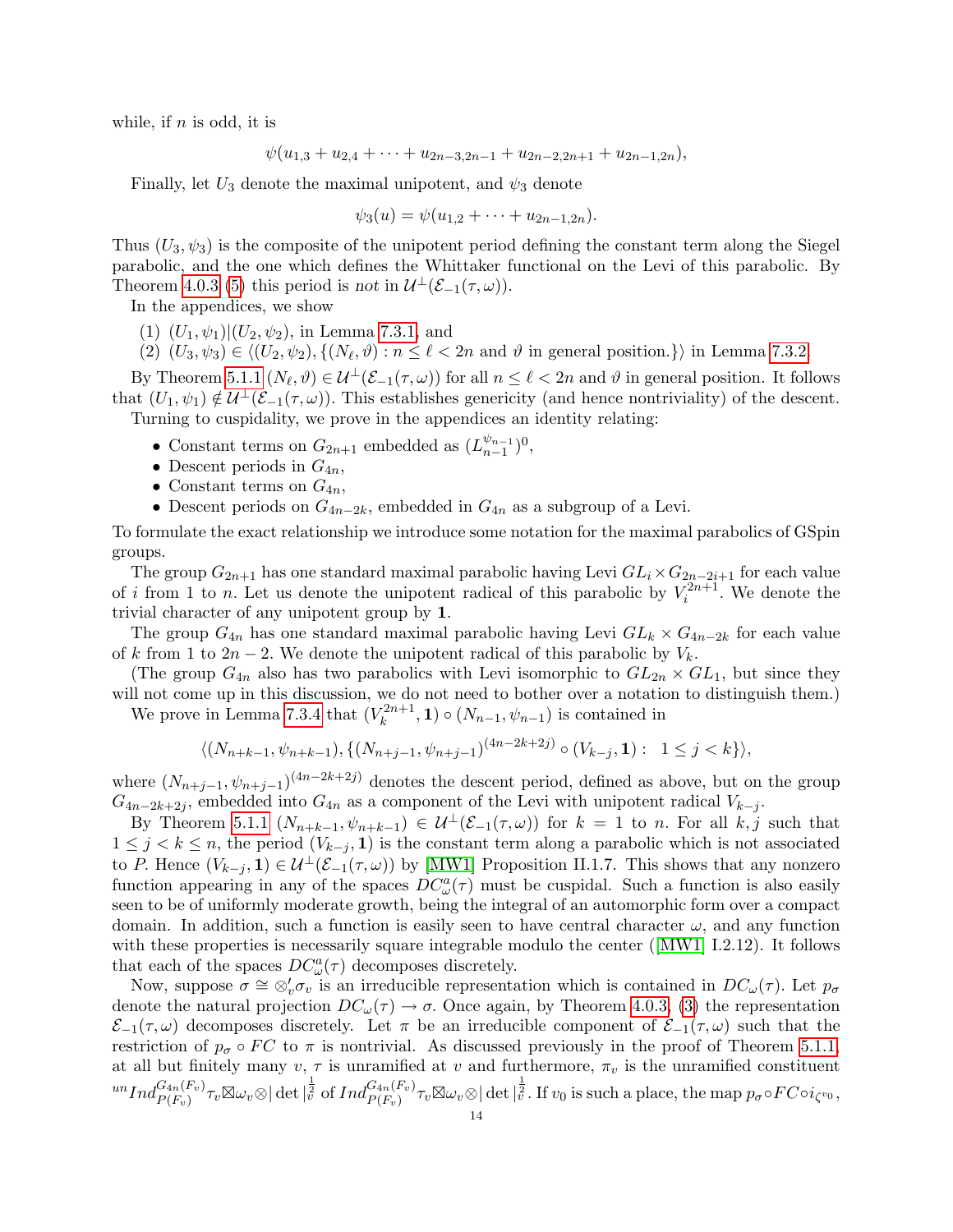while, if  $n$  is odd, it is

$$
\psi(u_{1,3}+u_{2,4}+\cdots+u_{2n-3,2n-1}+u_{2n-2,2n+1}+u_{2n-1,2n}),
$$

Finally, let  $U_3$  denote the maximal unipotent, and  $\psi_3$  denote

$$
\psi_3(u) = \psi(u_{1,2} + \cdots + u_{2n-1,2n}).
$$

Thus  $(U_3, \psi_3)$  is the composite of the unipotent period defining the constant term along the Siegel parabolic, and the one which defines the Whittaker functional on the Levi of this parabolic. By Theorem 4.0.3 (5) this period is not in  $\mathcal{U}^{\perp}(\mathcal{E}_{-1}(\tau,\omega)).$ 

In the appendices, we show

- (1)  $(U_1, \psi_1)|(U_2, \psi_2)$ , in Lemma 7.3.1, and
- (2)  $(U_3, \psi_3) \in \langle (U_2, \psi_2), \{ (N_\ell, \vartheta) : n \le \ell < 2n \text{ and } \vartheta \text{ in general position.} \} \rangle$  in Lemma 7.3.2.

By Theorem 5.1.1  $(N_\ell, \vartheta) \in \mathcal{U}^\perp(\mathcal{E}_{-1}(\tau, \omega))$  for all  $n \leq \ell < 2n$  and  $\vartheta$  in general position. It follows that  $(U_1, \psi_1) \notin \mathcal{U}^{\perp}(\mathcal{E}_{-1}(\tau, \omega))$ . This establishes genericity (and hence nontriviality) of the descent. Turning to cuspidality, we prove in the appendices an identity relating:

- Constant terms on  $G_{2n+1}$  embedded as  $(L_{n-1}^{\psi_{n-1}})$  $_{n-1}^{\psi_{n-1}})^{0},$
- Descent periods in  $G_{4n}$ ,
- Constant terms on  $G_{4n}$ ,
- Descent periods on  $G_{4n-2k}$ , embedded in  $G_{4n}$  as a subgroup of a Levi.

To formulate the exact relationship we introduce some notation for the maximal parabolics of GSpin groups.

The group  $G_{2n+1}$  has one standard maximal parabolic having Levi  $GL_i \times G_{2n-2i+1}$  for each value of i from 1 to n. Let us denote the unipotent radical of this parabolic by  $V_i^{2n+1}$ . We denote the trivial character of any unipotent group by 1.

The group  $G_{4n}$  has one standard maximal parabolic having Levi  $GL_k \times G_{4n-2k}$  for each value of k from 1 to  $2n-2$ . We denote the unipotent radical of this parabolic by  $V_k$ .

(The group  $G_{4n}$  also has two parabolics with Levi isomorphic to  $GL_{2n} \times GL_1$ , but since they will not come up in this discussion, we do not need to bother over a notation to distinguish them.) We prove in Lemma 7.3.4 that  $(V_k^{2n+1})$  $(k^{2n+1}, 1) \circ (N_{n-1}, \psi_{n-1})$  is contained in

$$
\langle (N_{n+k-1}, \psi_{n+k-1}), \{ (N_{n+j-1}, \psi_{n+j-1})^{(4n-2k+2j)} \circ (V_{k-j}, \mathbf{1}) : 1 \le j < k \} \rangle,
$$

where  $(N_{n+j-1}, \psi_{n+j-1})^{(4n-2k+2j)}$  denotes the descent period, defined as above, but on the group  $G_{4n-2k+2j}$ , embedded into  $G_{4n}$  as a component of the Levi with unipotent radical  $V_{k-j}$ .

By Theorem 5.1.1  $(N_{n+k-1}, \psi_{n+k-1}) \in \mathcal{U}^{\perp}(\mathcal{E}_{-1}(\tau,\omega))$  for  $k = 1$  to n. For all  $k, j$  such that  $1 \leq j < k \leq n$ , the period  $(V_{k-j}, 1)$  is the constant term along a parabolic which is not associated to P. Hence  $(V_{k-j}, \mathbf{1}) \in \mathcal{U}^{\perp}(\mathcal{E}_{-1}(\tau, \omega))$  by [MW1] Proposition II.1.7. This shows that any nonzero function appearing in any of the spaces  $DC^a_{\omega}(\tau)$  must be cuspidal. Such a function is also easily seen to be of uniformly moderate growth, being the integral of an automorphic form over a compact domain. In addition, such a function is easily seen to have central character  $\omega$ , and any function with these properties is necessarily square integrable modulo the center ([MW1] I.2.12). It follows that each of the spaces  $DC^a_\omega(\tau)$  decomposes discretely.

Now, suppose  $\sigma \cong \otimes'_v \sigma_v$  is an irreducible representation which is contained in  $DC_\omega(\tau)$ . Let  $p_\sigma$ denote the natural projection  $DC_{\omega}(\tau) \to \sigma$ . Once again, by Theorem 4.0.3, (3) the representation  $\mathcal{E}_{-1}(\tau,\omega)$  decomposes discretely. Let  $\pi$  be an irreducible component of  $\mathcal{E}_{-1}(\tau,\omega)$  such that the restriction of  $p_{\sigma} \circ FC$  to  $\pi$  is nontrivial. As discussed previously in the proof of Theorem 5.1.1, at all but finitely many  $v, \tau$  is unramified at v and furthermore,  $\pi_v$  is the unramified constituent  $\|u\|_{L^2(\Gamma_v)}^{L^2(\Gamma_v)}\pi_v\boxtimes\omega_v\otimes\|\det\|_v^{\frac{1}{2}} \text{ of } Ind_{P(F_v)}^{G_{4n}(F_v)}\pi_v\boxtimes\omega_v\otimes\|\det\|_v^{\frac{1}{2}}. \text{ If } v_0 \text{ is such a place, the map }p_\sigma\circ FC\circ i_{\zeta^{v_0}},$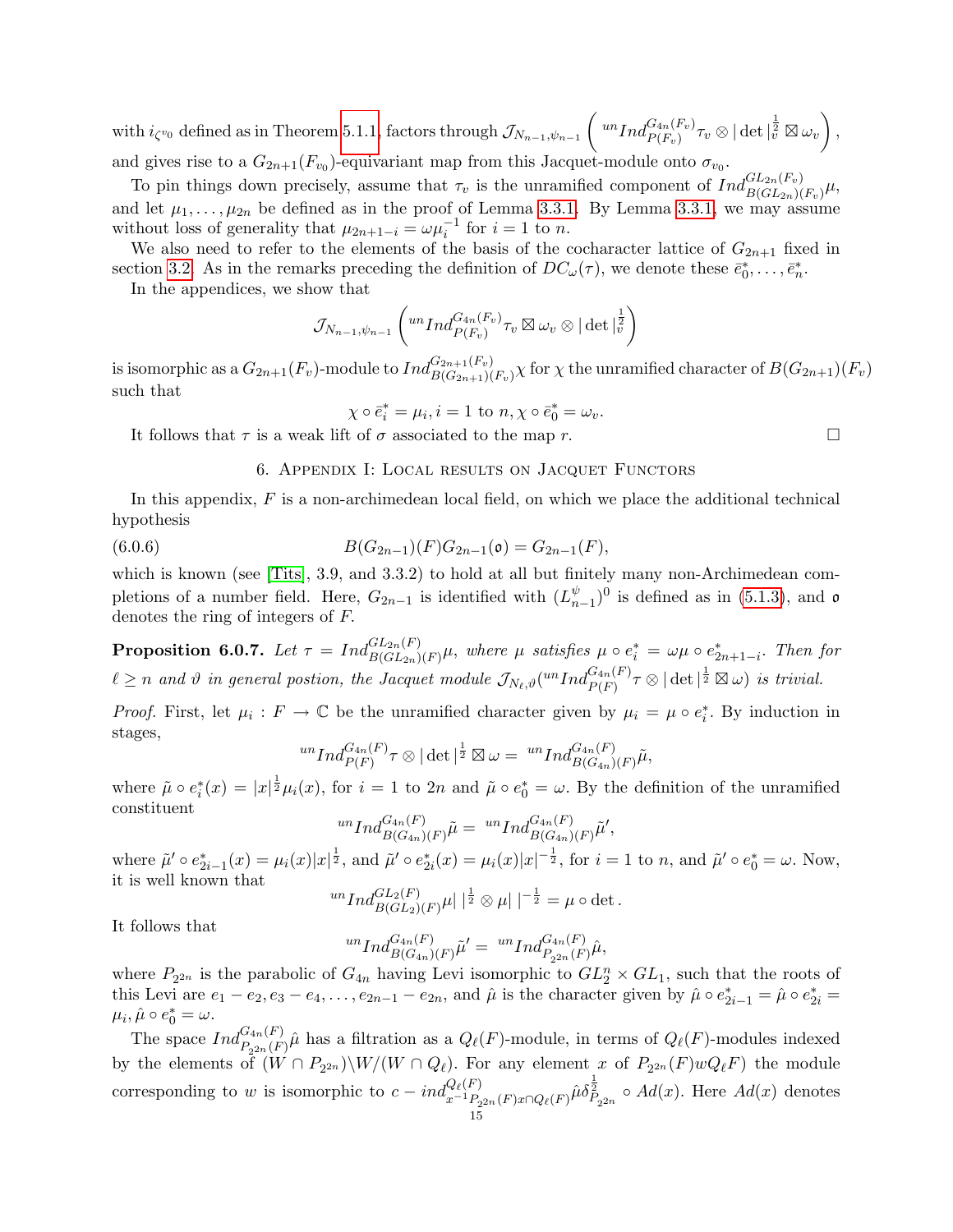$\text{with } i_{\zeta^{v_0}} \text{ defined as in Theorem 5.1.1, factors through } \mathcal{J}_{N_{n-1}, \psi_{n-1}}\left( \sqrt[10]{\frac{a_{n}(F_v)}{P(F_v)}} \tau_v \otimes |\det|_v^{\frac{1}{2}} \boxtimes \omega_v \right),$ and gives rise to a  $G_{2n+1}(F_{v_0})$ -equivariant map from this Jacquet-module onto  $\sigma_{v_0}$ .

To pin things down precisely, assume that  $\tau_v$  is the unramified component of  $Ind_{B(GL_{2n})(F_v)}^{GL_{2n}(F_v)}\mu$ , and let  $\mu_1, \ldots, \mu_{2n}$  be defined as in the proof of Lemma 3.3.1. By Lemma 3.3.1, we may assume without loss of generality that  $\mu_{2n+1-i} = \omega \mu_i^{-1}$  for  $i = 1$  to n.

We also need to refer to the elements of the basis of the cocharacter lattice of  $G_{2n+1}$  fixed in section 3.2. As in the remarks preceding the definition of  $DC_{\omega}(\tau)$ , we denote these  $\bar{e}_0^*, \ldots, \bar{e}_n^*$ .

In the appendices, we show that

$$
\mathcal{J}_{N_{n-1},\psi_{n-1}}\left( ^{un}Ind_{P(F_v)}^{G_{4n}(F_v)}\tau_v\boxtimes\omega_v\otimes |\det|_{\bar{v}}^{\frac{1}{2}}\right)
$$

is isomorphic as a  $G_{2n+1}(F_v)$ -module to  $Ind_{B(G_{2n+1})(F_v)}^{G_{2n+1}(F_v)}\chi$  for  $\chi$  the unramified character of  $B(G_{2n+1})(F_v)$ such that

$$
\chi \circ \bar{e}_i^* = \mu_i, i = 1 \text{ to } n, \chi \circ \bar{e}_0^* = \omega_v.
$$

It follows that  $\tau$  is a weak lift of  $\sigma$  associated to the map r.

6. Appendix I: Local results on Jacquet Functors

In this appendix, F is a non-archimedean local field, on which we place the additional technical hypothesis

(6.0.6) 
$$
B(G_{2n-1})(F)G_{2n-1}(\mathfrak{o})=G_{2n-1}(F),
$$

which is known (see [Tits], 3.9, and 3.3.2) to hold at all but finitely many non-Archimedean completions of a number field. Here,  $G_{2n-1}$  is identified with  $(L_n^{\psi})$  $_{n-1}^{\psi}$ )<sup>0</sup> is defined as in (5.1.3), and  $\mathfrak{o}$ denotes the ring of integers of F.

**Proposition 6.0.7.** Let  $\tau = Ind_{B(GL_{2n})(F)}^{GL_{2n}(F)}\mu$ , where  $\mu$  satisfies  $\mu \circ e_i^* = \omega \mu \circ e_{2n+1-i}^*$ . Then for  $\ell \geq n$  and  $\vartheta$  in general postion, the Jacquet module  $\mathcal{J}_{N_{\ell},\vartheta}(^{un}Ind_{P(F)}^{G_{4n}(F)}\tau \otimes |\det|^{\frac{1}{2}} \boxtimes \omega)$  is trivial.

*Proof.* First, let  $\mu_i : F \to \mathbb{C}$  be the unramified character given by  $\mu_i = \mu \circ e_i^*$ . By induction in stages,

$$
{}^{un}Ind_{P(F)}^{G_{4n}(F)}\tau\otimes|\det|^{\frac{1}{2}}\boxtimes\omega={}^{un}Ind_{B(G_{4n})(F)}^{G_{4n}(F)}\tilde{\mu},
$$

where  $\tilde{\mu} \circ e_i^*(x) = |x|^{\frac{1}{2}} \mu_i(x)$ , for  $i = 1$  to  $2n$  and  $\tilde{\mu} \circ e_0^* = \omega$ . By the definition of the unramified constituent

$$
^{un}Ind_{B(G_{4n})(F)}^{G_{4n}(F)}\tilde{\mu} = {^{un}Ind_{B(G_{4n})(F)}^{G_{4n}(F)}}\tilde{\mu}',
$$

where  $\tilde{\mu}' \circ e_{2i-1}^*(x) = \mu_i(x)|x|^{\frac{1}{2}},$  and  $\tilde{\mu}' \circ e_{2i}^*(x) = \mu_i(x)|x|^{-\frac{1}{2}},$  for  $i = 1$  to n, and  $\tilde{\mu}' \circ e_0^* = \omega$ . Now, it is well known that

$$
^{un}Ind_{B(GL_2)(F)}^{GL_2(F)}\mu|\,|\frac{1}{2}\otimes\mu|\,|^{-\frac{1}{2}}=\mu\circ\det.
$$

It follows that

$$
^{un}Ind_{B(G_{4n})(F)}^{G_{4n}(F)}\tilde{\mu}' = {^{un}Ind_{P_{2^{2n}}(F)}^{G_{4n}(F)}}\hat{\mu},
$$

where  $P_{2^{2n}}$  is the parabolic of  $G_{4n}$  having Levi isomorphic to  $GL_2^n \times GL_1$ , such that the roots of this Levi are  $e_1 - e_2, e_3 - e_4, \ldots, e_{2n-1} - e_{2n}$ , and  $\hat{\mu}$  is the character given by  $\hat{\mu} \circ e_{2i-1}^* = \hat{\mu} \circ e_{2i}^* =$  $\mu_i, \hat{\mu} \circ e_0^* = \omega.$ 

The space  $Ind_{P_{2^{2n}}(F)}^{G_{4n}(F)}\hat{\mu}$  has a filtration as a  $Q_{\ell}(F)$ -module, in terms of  $Q_{\ell}(F)$ -modules indexed by the elements of  $(W \cap P_{2^{2n}}) \setminus W/(W \cap Q_\ell)$ . For any element x of  $P_{2^{2n}}(F)wQ_\ell F$  the module corresponding to w is isomorphic to  $c = ind_{x^{-1}P_{2^{2n}}(F)x \cap Q_{\ell}(F)}^{Q_{\ell}(F)} \hat{\mu} \delta_{P_{2^{2n}}}^{\frac{1}{2}} \circ Ad(x)$ . Here  $Ad(x)$  denotes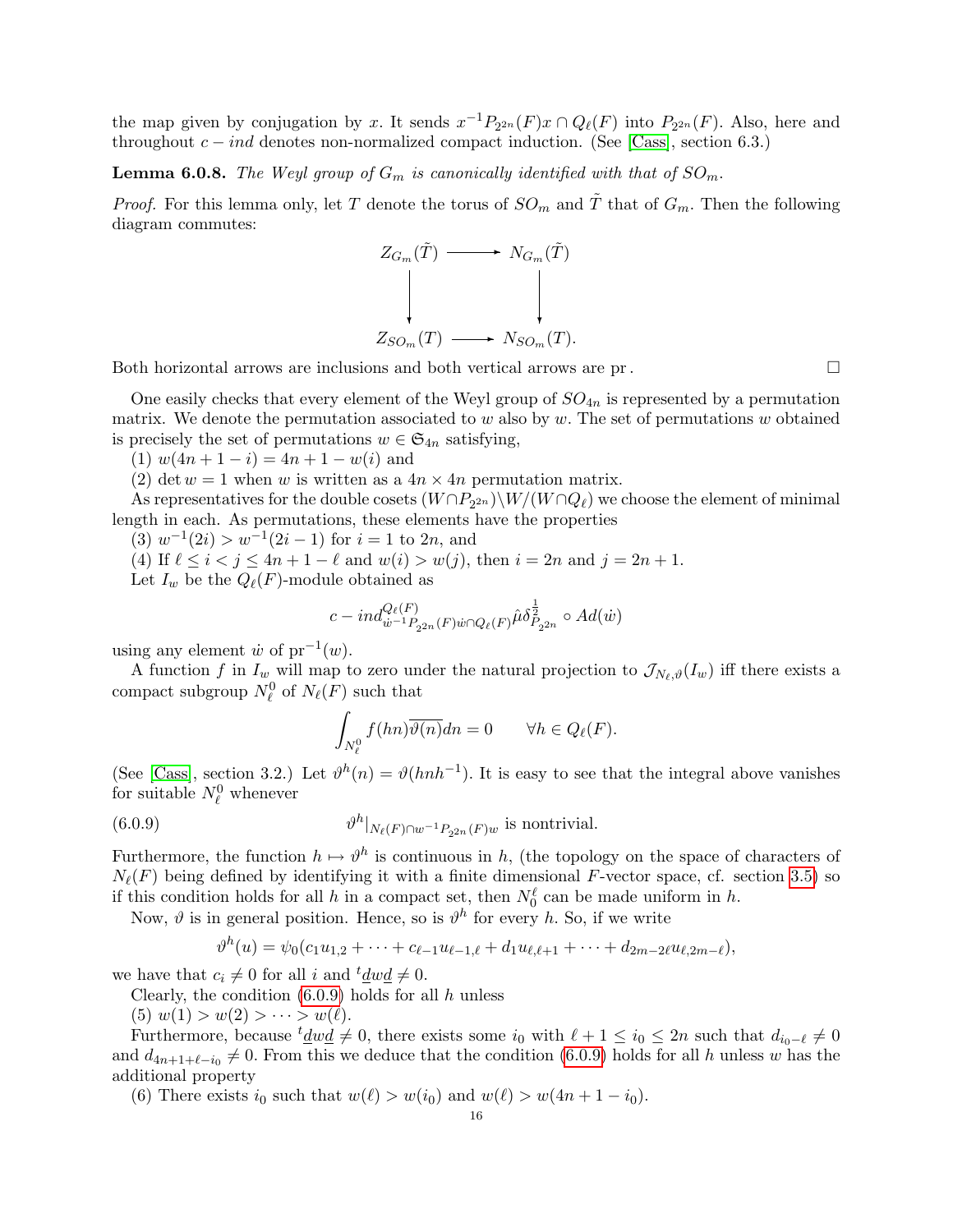the map given by conjugation by x. It sends  $x^{-1}P_{2^{2n}}(F)x \cap Q_{\ell}(F)$  into  $P_{2^{2n}}(F)$ . Also, here and throughout  $c - ind$  denotes non-normalized compact induction. (See [Cass], section 6.3.)

**Lemma 6.0.8.** The Weyl group of  $G_m$  is canonically identified with that of  $SO_m$ .

*Proof.* For this lemma only, let T denote the torus of  $SO_m$  and  $\tilde{T}$  that of  $G_m$ . Then the following diagram commutes:



Both horizontal arrows are inclusions and both vertical arrows are pr.

One easily checks that every element of the Weyl group of  $SO_{4n}$  is represented by a permutation matrix. We denote the permutation associated to  $w$  also by  $w$ . The set of permutations  $w$  obtained is precisely the set of permutations  $w \in \mathfrak{S}_{4n}$  satisfying,

(1)  $w(4n + 1 - i) = 4n + 1 - w(i)$  and

(2) det  $w = 1$  when w is written as a  $4n \times 4n$  permutation matrix.

As representatives for the double cosets  $(W \cap P_{2^{2n}}) \setminus W / (W \cap Q_\ell)$  we choose the element of minimal length in each. As permutations, these elements have the properties

 $(3)$   $w^{-1}(2i) > w^{-1}(2i-1)$  for  $i = 1$  to  $2n$ , and

(4) If  $\ell \le i < j \le 4n + 1 - \ell$  and  $w(i) > w(j)$ , then  $i = 2n$  and  $j = 2n + 1$ . Let  $I_w$  be the  $Q_{\ell}(F)$ -module obtained as

$$
c - ind_{\dot{w}^{-1}P_{2^{2n}}(F)\dot{w}\cap Q_{\ell}(F)}^{\mathcal{Q}_{\ell}}\hat{\mu}\delta_{P_{2^{2n}}}^{\frac{1}{2}} \circ Ad(\dot{w})
$$

using any element  $\dot{w}$  of  $pr^{-1}(w)$ .

A function f in  $I_w$  will map to zero under the natural projection to  $\mathcal{J}_{N_\ell,\vartheta}(I_w)$  iff there exists a compact subgroup  $N_{\ell}^0$  of  $N_{\ell}(F)$  such that

$$
\int_{N_{\ell}^0} f(hn) \overline{\vartheta(n)} dn = 0 \qquad \forall h \in Q_{\ell}(F).
$$

(See [Cass], section 3.2.) Let  $\vartheta^h(n) = \vartheta(hnh^{-1})$ . It is easy to see that the integral above vanishes for suitable  $N_{\ell}^0$  whenever

(6.0.9) 
$$
\vartheta^h|_{N_{\ell}(F)\cap w^{-1}P_{2^{2n}}(F)w} \text{ is nontrivial.}
$$

Furthermore, the function  $h \mapsto \vartheta^h$  is continuous in h, (the topology on the space of characters of  $N_{\ell}(F)$  being defined by identifying it with a finite dimensional F-vector space, cf. section 3.5) so if this condition holds for all h in a compact set, then  $N_0^{\ell}$  can be made uniform in h.

Now,  $\vartheta$  is in general position. Hence, so is  $\vartheta^h$  for every h. So, if we write

$$
\vartheta^h(u) = \psi_0(c_1u_{1,2} + \cdots + c_{\ell-1}u_{\ell-1,\ell} + d_1u_{\ell,\ell+1} + \cdots + d_{2m-2\ell}u_{\ell,2m-\ell}),
$$

we have that  $c_i \neq 0$  for all i and  $t \underline{d} w \underline{d} \neq 0$ .

Clearly, the condition  $(6.0.9)$  holds for all h unless

(5)  $w(1) > w(2) > \cdots > w(\ell)$ .

Furthermore, because  $t \underline{d} w \underline{d} \neq 0$ , there exists some  $i_0$  with  $\ell + 1 \leq i_0 \leq 2n$  such that  $d_{i_0-\ell} \neq 0$ and  $d_{4n+1+\ell-i_0} \neq 0$ . From this we deduce that the condition (6.0.9) holds for all h unless w has the additional property

(6) There exists  $i_0$  such that  $w(\ell) > w(i_0)$  and  $w(\ell) > w(4n + 1 - i_0)$ .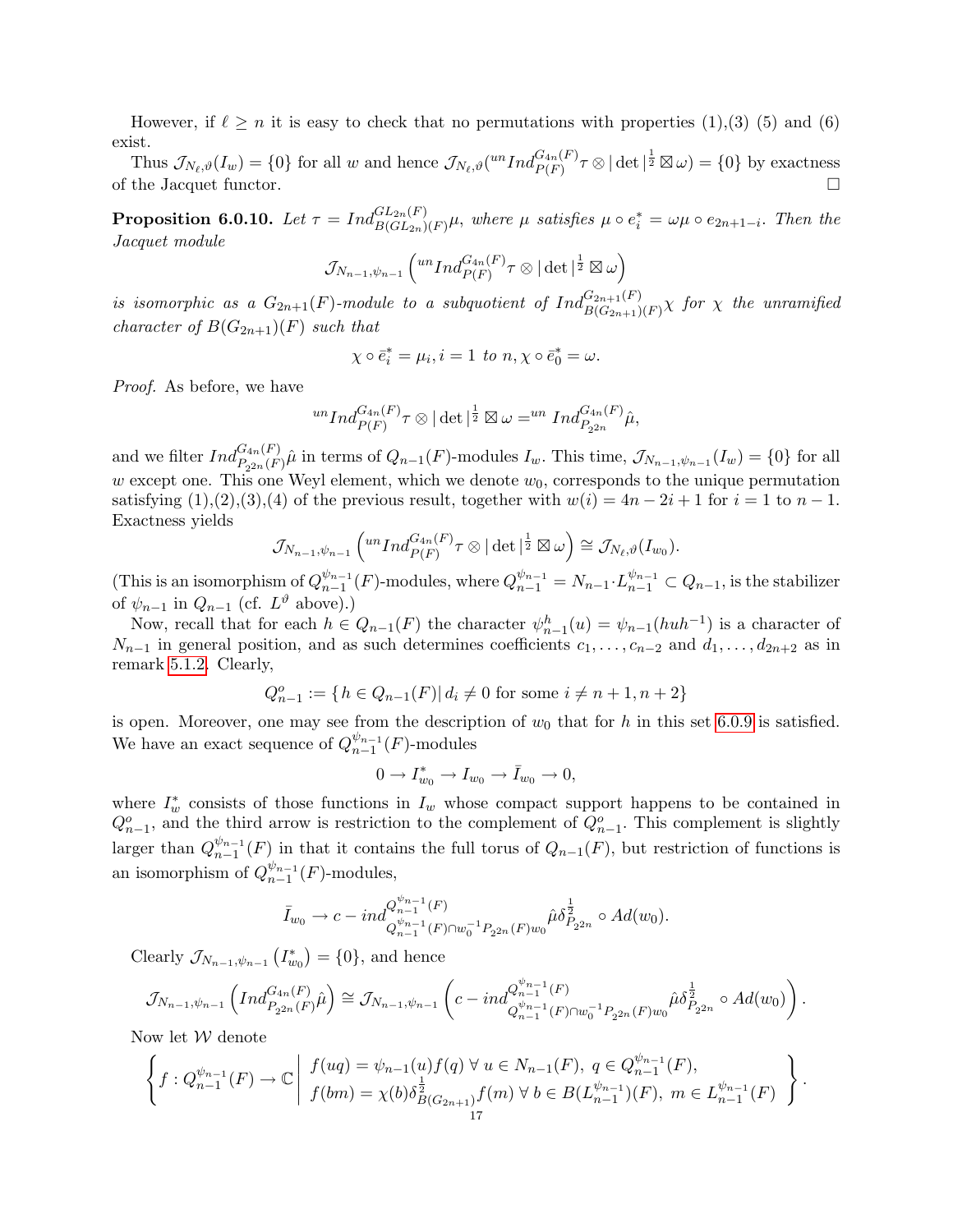However, if  $\ell \geq n$  it is easy to check that no permutations with properties (1),(3) (5) and (6) exist.

Thus  $\mathcal{J}_{N_{\ell},\vartheta}(I_w) = \{0\}$  for all w and hence  $\mathcal{J}_{N_{\ell},\vartheta}(^{un}Ind_{P(F)}^{G_{4n}(F)}\tau \otimes |\det|^{\frac{1}{2}} \boxtimes \omega) = \{0\}$  by exactness of the Jacquet functor.

**Proposition 6.0.10.** Let  $\tau = Ind_{B(GL_{2n})(F)}^{GL_{2n}(F)}\mu$ , where  $\mu$  satisfies  $\mu \circ e_i^* = \omega \mu \circ e_{2n+1-i}$ . Then the Jacquet module

$$
\mathcal{J}_{N_{n-1},\psi_{n-1}}\left({^{un}Ind_{P(F)}^{G_{4n}(F)}\tau\otimes|\det|^{\frac{1}{2}}\boxtimes\omega}\right)
$$

is isomorphic as a  $G_{2n+1}(F)$ -module to a subquotient of  $Ind_{B(G_{2n+1})(F)}^{G_{2n+1}(F)}\chi$  for  $\chi$  the unramified character of  $B(G_{2n+1})(F)$  such that

$$
\chi \circ \bar{e}_i^* = \mu_i, i = 1 \text{ to } n, \chi \circ \bar{e}_0^* = \omega.
$$

Proof. As before, we have

$$
{}^{un}Ind_{P(F)}^{G_{4n}(F)}\tau\otimes|\det|^{\frac{1}{2}}\boxtimes\omega={}^{un}Ind_{P_{2^{2n}}}^{G_{4n}(F)}\hat{\mu},
$$

and we filter  $Ind_{P_{2^{2n}}(F)}^{G_{4n}(F)}\hat{\mu}$  in terms of  $Q_{n-1}(F)$ -modules  $I_w$ . This time,  $\mathcal{J}_{N_{n-1},\psi_{n-1}}(I_w) = \{0\}$  for all w except one. This one Weyl element, which we denote  $w<sub>0</sub>$ , corresponds to the unique permutation satisfying  $(1),(2),(3),(4)$  of the previous result, together with  $w(i) = 4n - 2i + 1$  for  $i = 1$  to  $n - 1$ . Exactness yields

$$
\mathcal{J}_{N_{n-1},\psi_{n-1}}\left({^{un}Ind_{P(F)}^{G_{4n}(F)}}\tau\otimes|\det|^{\frac{1}{2}}\boxtimes\omega\right)\cong \mathcal{J}_{N_{\ell},\vartheta}(I_{w_0}).
$$

(This is an isomorphism of  $Q_{n-1}^{\psi_{n-1}}$  $\frac{\psi_{n-1}}{n-1}(F)$ -modules, where  $Q_{n-1}^{\psi_{n-1}} = N_{n-1} \cdot L_{n-1}^{\psi_{n-1}} \subset Q_{n-1}$ , is the stabilizer of  $\psi_{n-1}$  in  $Q_{n-1}$  (cf.  $L^{\vartheta}$  above).)

Now, recall that for each  $h \in Q_{n-1}(F)$  the character  $\psi_{n-1}^h(u) = \psi_{n-1}(huh^{-1})$  is a character of  $N_{n-1}$  in general position, and as such determines coefficients  $c_1, \ldots, c_{n-2}$  and  $d_1, \ldots, d_{2n+2}$  as in remark 5.1.2. Clearly,

$$
Q_{n-1}^o := \{ h \in Q_{n-1}(F) | d_i \neq 0 \text{ for some } i \neq n+1, n+2 \}
$$

is open. Moreover, one may see from the description of  $w_0$  that for h in this set 6.0.9 is satisfied. We have an exact sequence of  $Q_{n-1}^{\psi_{n-1}}$  $_{n-1}^{\psi_{n-1}}(F)$ -modules

$$
0 \to I_{w_0}^* \to I_{w_0} \to \bar{I}_{w_0} \to 0,
$$

where  $I^*_w$  consists of those functions in  $I_w$  whose compact support happens to be contained in  $Q_{n-1}^o$ , and the third arrow is restriction to the complement of  $Q_{n-1}^o$ . This complement is slightly larger than  $Q_{n-1}^{\psi_{n-1}}$  $\binom{\psi_{n-1}}{n-1}(F)$  in that it contains the full torus of  $Q_{n-1}(F)$ , but restriction of functions is an isomorphism of  $Q_{n-1}^{\psi_{n-1}}$  $_{n-1}^{\psi_{n-1}}(F)$ -modules,

$$
\bar{I}_{w_0} \to c - \mathrm{i} n d_{Q_{n-1}^{w_{n-1}}(F) \cap w_0^{-1} P_{2^{2n}}(F) w_0}^{\mathcal{Q}_{n-1}^{\psi_{n-1}}(F)} \hat{\mu} \delta_{P_{2^{2n}}}^{\frac{1}{2}} \circ Ad(w_0).
$$

Clearly  $\mathcal{J}_{N_{n-1},\psi_{n-1}}(I_{w_0}^*) = \{0\}$ , and hence

$$
\mathcal{J}_{N_{n-1},\psi_{n-1}}\left(Ind_{P_{2^{2n}}(F)}^{G_{4n}(F)}\hat{\mu}\right) \cong \mathcal{J}_{N_{n-1},\psi_{n-1}}\left(c-ind_{Q_{n-1}^{\psi_{n-1}}(F)\cap w_0^{-1}P_{2^{2n}}(F)w_0}\hat{\mu}\delta_{P_{2^{2n}}}^{\frac{1}{2}} \circ Ad(w_0)\right).
$$

Now let  $W$  denote

$$
\left\{ f : Q_{n-1}^{\psi_{n-1}}(F) \to \mathbb{C} \middle| \begin{array}{l} f(ug) = \psi_{n-1}(u) f(q) \ \forall \ u \in N_{n-1}(F), \ q \in Q_{n-1}^{\psi_{n-1}}(F), \\ f(bm) = \chi(b) \delta_{B(G_{2n+1})}^{\frac{1}{2}} f(m) \ \forall \ b \in B(L_{n-1}^{\psi_{n-1}})(F), \ m \in L_{n-1}^{\psi_{n-1}}(F) \end{array} \right\}.
$$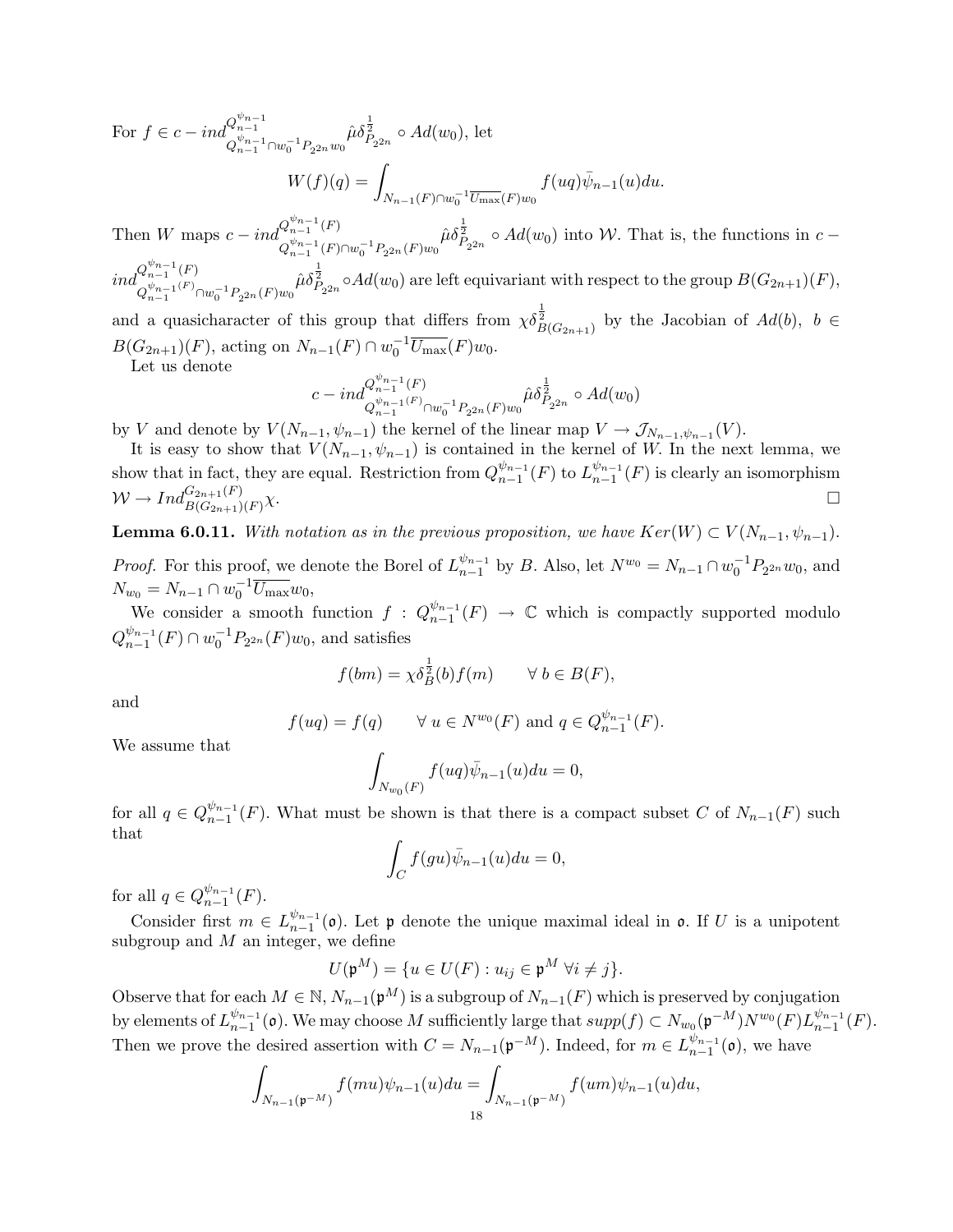For  $f \in c - ind_{\frac{\psi_{n-1}}{\psi_{n-1}}}^{Q_{n-1}^{\psi_{n-1}}}$  $Q_{n-1}^{\psi_{n-1}} \cap w_0^{-1} P_{2^{2n}} w_0$  $\hat{\mu}\delta_{P_{2^{2n}}}^{\frac{1}{2}} \circ Ad(w_0)$ , let  $W(f)(q) = \square$  $N_{n-1}(F) \cap w_0^{-1} \overline{U_{\text{max}}}(F) w_0$  $f(uq)\overline{\psi}_{n-1}(u)du$ .

Then W maps  $c - ind_{\psi_{n-1}+1}^{Q_{n-1}^{\psi_{n-1}}(F)}$  $Q_{n-1}^{\psi_{n-1}}(F) \cap w_0^{-1} P_{2^{2n}}(F) w_0$  $\hat{\mu}\delta_{P_{2^{2n}}}^{\frac{1}{2}} \circ Ad(w_0)$  into W. That is, the functions in  $c$  –

 $ind_{\psi_{n-1}(F)}^{Q_{n-1}^{\psi_{n-1}}(F)}$  $Q_{n-1}^{\psi_{n-1}(F)} \cap w_0^{-1} P_{2^{2n}}(F) w_0$  $\hat{\mu}\delta_{P_{2^{2n}}}^{\frac{1}{2}} \circ Ad(w_0)$  are left equivariant with respect to the group  $B(G_{2n+1})(F)$ ,

and a quasicharacter of this group that differs from  $\chi \delta_{B(G_{2n+1})}^{\frac{1}{2}}$  by the Jacobian of  $Ad(b)$ ,  $b \in$  $B(G_{2n+1})(F)$ , acting on  $N_{n-1}(F) \cap w_0^{-1} \overline{U_{\text{max}}}(F)w_0$ .

Let us denote

$$
c-ind_{Q_{n-1}^{w_{n-1}}(F)}^{Q_{n-1}^{w_{n-1}}(F)} \cap w_0^{-1}P_{2^{2n}}(F)w_0^{\hat{\mu}\delta_{P_{2^{2n}}}^{\frac{1}{2}}} \circ Ad(w_0)
$$

by V and denote by  $V(N_{n-1}, \psi_{n-1})$  the kernel of the linear map  $V \to \mathcal{J}_{N_{n-1}, \psi_{n-1}}(V)$ .

It is easy to show that  $V(N_{n-1}, \psi_{n-1})$  is contained in the kernel of W. In the next lemma, we show that in fact, they are equal. Restriction from  $Q_{n-1}^{\psi_{n-1}}$  $\frac{\psi_{n-1}}{n-1}(F)$  to  $L_{n-1}^{\psi_{n-1}}$  $_{n-1}^{\psi_{n-1}}(F)$  is clearly an isomorphism  $W \to Ind_{B(G_{2n+1})(F)}^{G_{2n+1}(F)}$  $\chi$ .

**Lemma 6.0.11.** With notation as in the previous proposition, we have  $Ker(W) \subset V(N_{n-1}, \psi_{n-1})$ . *Proof.* For this proof, we denote the Borel of  $L_{n-1}^{\psi_{n-1}}$  $\int_{n-1}^{\psi_{n-1}}$  by *B*. Also, let  $N^{w_0} = N_{n-1} \cap w_0^{-1} P_{2^{2n}} w_0$ , and

 $N_{w_0} = N_{n-1} \cap w_0^{-1} \overline{U_{\text{max}}} w_0,$ We consider a smooth function  $f: Q_{n-1}^{\psi_{n-1}}$  $\frac{\psi_{n-1}}{n-1}(F) \rightarrow \mathbb{C}$  which is compactly supported modulo  $Q_{n-1}^{\psi_{n-1}}$  $_{n-1}^{\psi_{n-1}}(F) \cap w_0^{-1}P_{2^{2n}}(F)w_0$ , and satisfies

$$
f(bm) = \chi \delta_B^{\frac{1}{2}}(b) f(m) \qquad \forall \ b \in B(F),
$$

and

$$
f( uq) = f(q)
$$
  $\forall u \in N^{w_0}(F)$  and  $q \in Q_{n-1}^{\psi_{n-1}}(F)$ .

We assume that

$$
\int_{N_{w_0}(F)} f(uq)\bar{\psi}_{n-1}(u)du = 0,
$$

for all  $q \in Q_{n-1}^{\psi_{n-1}}$  $\binom{w_{n-1}}{n-1}(F)$ . What must be shown is that there is a compact subset C of  $N_{n-1}(F)$  such that

$$
\int_C f(gu)\bar{\psi}_{n-1}(u)du = 0,
$$

for all  $q \in Q_{n-1}^{\psi_{n-1}}$  $_{n-1}^{\psi_{n-1}}(F).$ 

Consider first  $m \in L_{n-1}^{\psi_{n-1}}$  $\binom{\psi_{n-1}}{n-1}$  (o). Let p denote the unique maximal ideal in o. If U is a unipotent subgroup and  $M$  an integer, we define

$$
U(\mathfrak{p}^M) = \{ u \in U(F) : u_{ij} \in \mathfrak{p}^M \; \forall i \neq j \}.
$$

Observe that for each  $M \in \mathbb{N}$ ,  $N_{n-1}(\mathfrak{p}^M)$  is a subgroup of  $N_{n-1}(F)$  which is preserved by conjugation by elements of  $L_{n-1}^{\psi_{n-1}}$  $\frac{\psi_{n-1}}{n-1}$  (o). We may choose M sufficiently large that  $supp(f) \subset N_{w_0}(\mathfrak{p}^{-M})N^{w_0}(F)L_{n-1}^{\psi_{n-1}}$  $_{n-1}^{\psi_{n-1}}(F).$ Then we prove the desired assertion with  $C = N_{n-1}(\mathfrak{p}^{-M})$ . Indeed, for  $m \in L_{n-1}^{\psi_{n-1}}$  $_{n-1}^{\psi_{n-1}}(0)$ , we have

$$
\int_{N_{n-1}(\mathfrak{p}^{-M})} f(mu)\psi_{n-1}(u)du = \int_{N_{n-1}(\mathfrak{p}^{-M})} f(um)\psi_{n-1}(u)du,
$$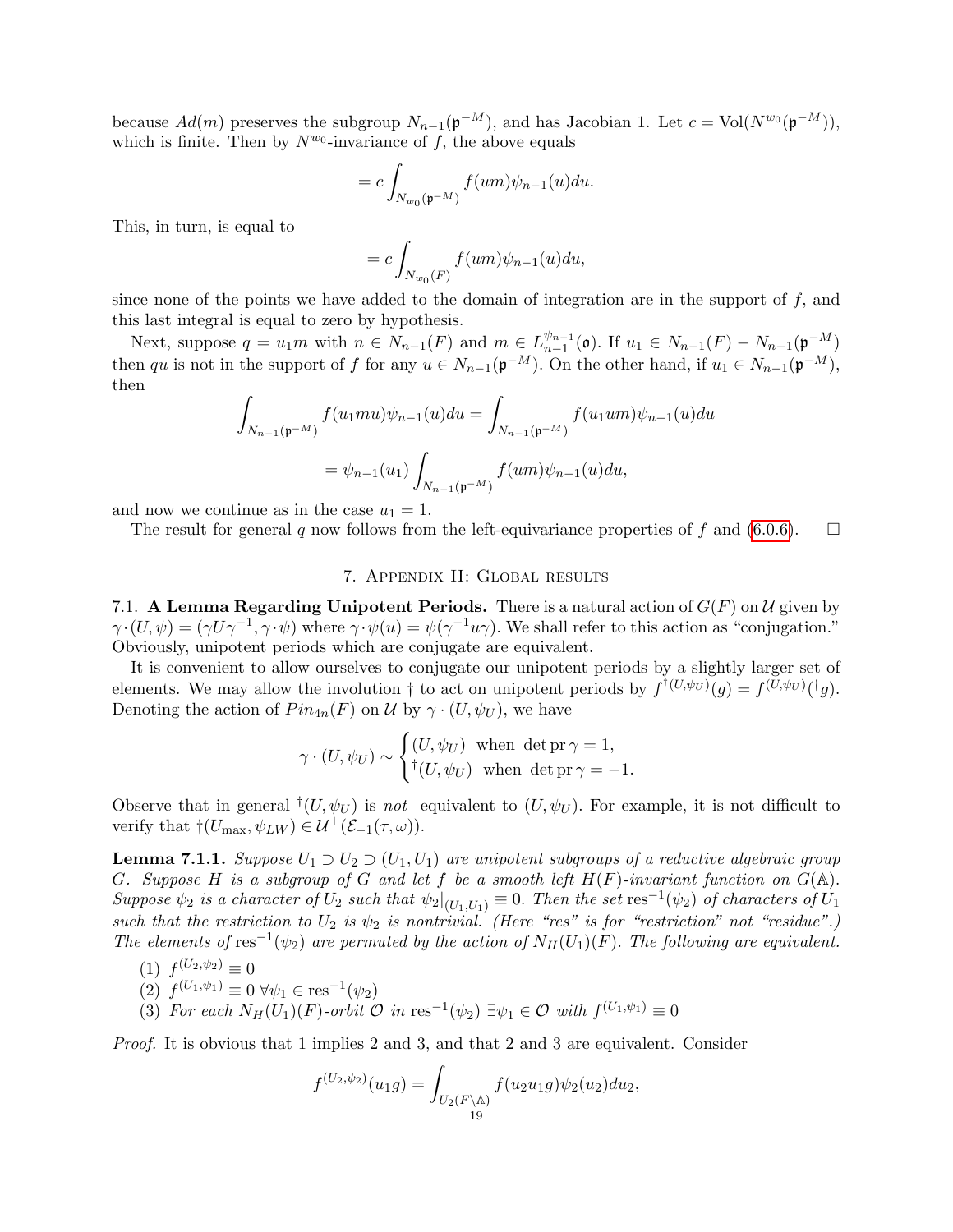because  $Ad(m)$  preserves the subgroup  $N_{n-1}(\mathfrak{p}^{-M})$ , and has Jacobian 1. Let  $c = Vol(N^{w_0}(\mathfrak{p}^{-M}))$ , which is finite. Then by  $N^{w_0}$ -invariance of f, the above equals

$$
=c\int_{N_{w_0}(\mathfrak{p}^{-M})}f(um)\psi_{n-1}(u)du.
$$

This, in turn, is equal to

$$
=c\int_{N_{w_0}(F)}f(um)\psi_{n-1}(u)du,
$$

since none of the points we have added to the domain of integration are in the support of  $f$ , and this last integral is equal to zero by hypothesis.

Next, suppose  $q = u_1 m$  with  $n \in N_{n-1}(F)$  and  $m \in L_{n-1}^{\psi_{n-1}}$  $\frac{\psi_{n-1}}{n-1}(\mathfrak{o})$ . If  $u_1 \in N_{n-1}(F) - N_{n-1}(\mathfrak{p}^{-M})$ then qu is not in the support of f for any  $u \in N_{n-1}(\mathfrak{p}^{-M})$ . On the other hand, if  $u_1 \in N_{n-1}(\mathfrak{p}^{-M})$ , then

$$
\int_{N_{n-1}(\mathfrak{p}^{-M})} f(u_1mu)\psi_{n-1}(u)du = \int_{N_{n-1}(\mathfrak{p}^{-M})} f(u_1um)\psi_{n-1}(u)du
$$

$$
= \psi_{n-1}(u_1) \int_{N_{n-1}(\mathfrak{p}^{-M})} f(um)\psi_{n-1}(u)du,
$$

and now we continue as in the case  $u_1 = 1$ .

The result for general q now follows from the left-equivariance properties of f and (6.0.6).  $\Box$ 

# 7. Appendix II: Global results

7.1. A Lemma Regarding Unipotent Periods. There is a natural action of  $G(F)$  on U given by  $\gamma \cdot (U, \psi) = (\gamma U \gamma^{-1}, \gamma \cdot \psi)$  where  $\gamma \cdot \psi(u) = \psi(\gamma^{-1}u\gamma)$ . We shall refer to this action as "conjugation." Obviously, unipotent periods which are conjugate are equivalent.

It is convenient to allow ourselves to conjugate our unipotent periods by a slightly larger set of elements. We may allow the involution  $\dagger$  to act on unipotent periods by  $f^{\dagger}(U,\psi_U)(g) = f^{(U,\psi_U)}(\dagger g)$ . Denoting the action of  $Pin_{4n}(F)$  on U by  $\gamma \cdot (U, \psi_U)$ , we have

$$
\gamma \cdot (U, \psi_U) \sim \begin{cases} (U, \psi_U) & \text{when } \det \mathrm{pr} \, \gamma = 1, \\ {}^{\dagger} (U, \psi_U) & \text{when } \det \mathrm{pr} \, \gamma = -1. \end{cases}
$$

Observe that in general  $^{\dagger}(U, \psi_U)$  is not equivalent to  $(U, \psi_U)$ . For example, it is not difficult to verify that  $\dagger(U_{\text{max}}, \psi_{LW}) \in \mathcal{U}^{\perp}(\mathcal{E}_{-1}(\tau, \omega)).$ 

**Lemma 7.1.1.** Suppose  $U_1 \supset U_2 \supset (U_1, U_1)$  are unipotent subgroups of a reductive algebraic group G. Suppose H is a subgroup of G and let f be a smooth left  $H(F)$ -invariant function on  $G(\mathbb{A})$ . Suppose  $\psi_2$  is a character of  $U_2$  such that  $\psi_2|_{(U_1,U_1)} \equiv 0$ . Then the set  $\text{res}^{-1}(\psi_2)$  of characters of  $U_1$ such that the restriction to  $U_2$  is  $\psi_2$  is nontrivial. (Here "res" is for "restriction" not "residue".) The elements of res<sup>-1</sup>( $\psi_2$ ) are permuted by the action of  $N_H(U_1)(F)$ . The following are equivalent.

$$
(1) f^{(U_2,\psi_2)} \equiv 0
$$

(2) 
$$
f^{(U_1,\psi_1)} \equiv 0 \,\forall \psi_1 \in \text{res}^{-1}(\psi_2)
$$

(3) For each  $N_H(U_1)(F)$ -orbit  $\mathcal O$  in res<sup>-1</sup>( $\psi_2$ )  $\exists \psi_1 \in \mathcal O$  with  $f^{(U_1,\psi_1)} \equiv 0$ 

Proof. It is obvious that 1 implies 2 and 3, and that 2 and 3 are equivalent. Consider

$$
f^{(U_2,\psi_2)}(u_1g) = \int_{U_2(F \backslash \mathbb{A})} f(u_2u_1g)\psi_2(u_2)du_2,
$$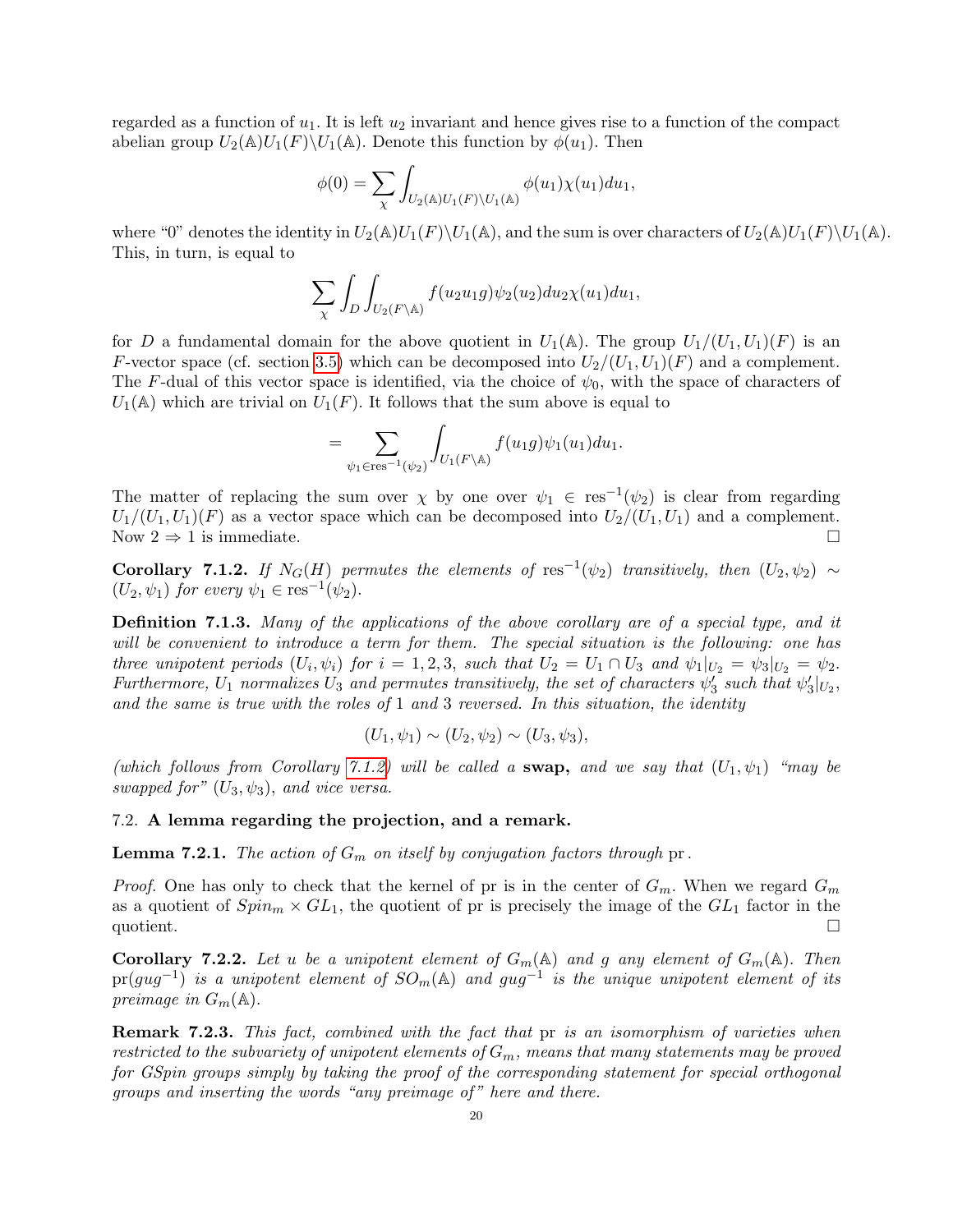regarded as a function of  $u_1$ . It is left  $u_2$  invariant and hence gives rise to a function of the compact abelian group  $U_2(\mathbb{A})U_1(F)\backslash U_1(\mathbb{A})$ . Denote this function by  $\phi(u_1)$ . Then

$$
\phi(0) = \sum_{\chi} \int_{U_2(\mathbb{A})U_1(F)\backslash U_1(\mathbb{A})} \phi(u_1) \chi(u_1) du_1,
$$

where "0" denotes the identity in  $U_2(\mathbb{A})U_1(F)\setminus U_1(\mathbb{A})$ , and the sum is over characters of  $U_2(\mathbb{A})U_1(F)\setminus U_1(\mathbb{A})$ . This, in turn, is equal to

$$
\sum_{\chi} \int_{D} \int_{U_2(F \backslash \mathbb{A})} f(u_2 u_1 g) \psi_2(u_2) du_2 \chi(u_1) du_1,
$$

for D a fundamental domain for the above quotient in  $U_1(\mathbb{A})$ . The group  $U_1/(U_1, U_1)(F)$  is an F-vector space (cf. section 3.5) which can be decomposed into  $U_2/(U_1, U_1)(F)$  and a complement. The F-dual of this vector space is identified, via the choice of  $\psi_0$ , with the space of characters of  $U_1(\mathbb{A})$  which are trivial on  $U_1(F)$ . It follows that the sum above is equal to

$$
=\sum_{\psi_1\in\mathrm{res}^{-1}(\psi_2)}\int_{U_1(F\backslash\mathbb{A})}f(u_1g)\psi_1(u_1)du_1.
$$

The matter of replacing the sum over  $\chi$  by one over  $\psi_1 \in \text{res}^{-1}(\psi_2)$  is clear from regarding  $U_1/(U_1, U_1)(F)$  as a vector space which can be decomposed into  $U_2/(U_1, U_1)$  and a complement. Now  $2 \Rightarrow 1$  is immediate.

Corollary 7.1.2. If  $N_G(H)$  permutes the elements of res<sup>-1</sup>( $\psi_2$ ) transitively, then  $(U_2, \psi_2) \sim$  $(U_2, \psi_1)$  for every  $\psi_1 \in \text{res}^{-1}(\psi_2)$ .

Definition 7.1.3. Many of the applications of the above corollary are of a special type, and it will be convenient to introduce a term for them. The special situation is the following: one has three unipotent periods  $(U_i, \psi_i)$  for  $i = 1, 2, 3$ , such that  $U_2 = U_1 \cap U_3$  and  $\psi_1|_{U_2} = \psi_3|_{U_2} = \psi_2$ . Furthermore,  $U_1$  normalizes  $U_3$  and permutes transitively, the set of characters  $\psi'_3$  such that  $\psi'_3|_{U_2}$ , and the same is true with the roles of  $1$  and  $3$  reversed. In this situation, the identity

$$
(U_1, \psi_1) \sim (U_2, \psi_2) \sim (U_3, \psi_3),
$$

(which follows from Corollary 7.1.2) will be called a swap, and we say that  $(U_1, \psi_1)$  "may be swapped for"  $(U_3, \psi_3)$ , and vice versa.

# 7.2. A lemma regarding the projection, and a remark.

**Lemma 7.2.1.** The action of  $G_m$  on itself by conjugation factors through pr.

*Proof.* One has only to check that the kernel of pr is in the center of  $G_m$ . When we regard  $G_m$ as a quotient of  $Spin_m \times GL_1$ , the quotient of pr is precisely the image of the  $GL_1$  factor in the quotient.

**Corollary 7.2.2.** Let u be a unipotent element of  $G_m(\mathbb{A})$  and g any element of  $G_m(\mathbb{A})$ . Then  $pr(gug^{-1})$  is a unipotent element of  $SO_m(\mathbb{A})$  and  $gug^{-1}$  is the unique unipotent element of its preimage in  $G_m(\mathbb{A})$ .

Remark 7.2.3. This fact, combined with the fact that pr is an isomorphism of varieties when restricted to the subvariety of unipotent elements of  $G_m$ , means that many statements may be proved for GSpin groups simply by taking the proof of the corresponding statement for special orthogonal groups and inserting the words "any preimage of" here and there.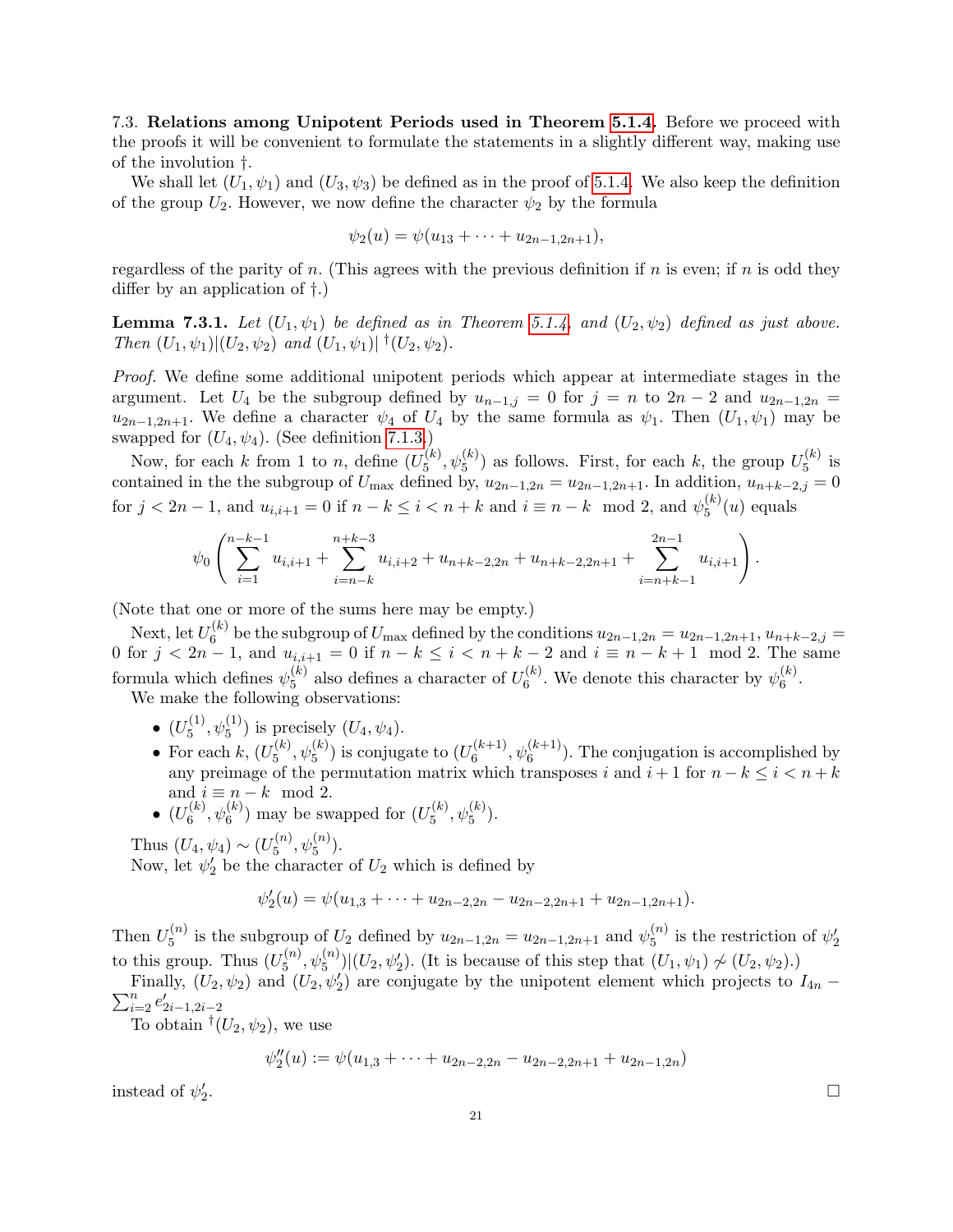7.3. Relations among Unipotent Periods used in Theorem 5.1.4. Before we proceed with the proofs it will be convenient to formulate the statements in a slightly different way, making use of the involution †.

We shall let  $(U_1, \psi_1)$  and  $(U_3, \psi_3)$  be defined as in the proof of 5.1.4. We also keep the definition of the group  $U_2$ . However, we now define the character  $\psi_2$  by the formula

$$
\psi_2(u) = \psi(u_{13} + \cdots + u_{2n-1,2n+1}),
$$

regardless of the parity of n. (This agrees with the previous definition if n is even; if n is odd they differ by an application of †.)

**Lemma 7.3.1.** Let  $(U_1, \psi_1)$  be defined as in Theorem 5.1.4, and  $(U_2, \psi_2)$  defined as just above. Then  $(U_1, \psi_1)|(U_2, \psi_2)$  and  $(U_1, \psi_1)|$ <sup>†</sup> $(U_2, \psi_2)$ .

Proof. We define some additional unipotent periods which appear at intermediate stages in the argument. Let  $U_4$  be the subgroup defined by  $u_{n-1,j} = 0$  for  $j = n$  to  $2n-2$  and  $u_{2n-1,2n} =$  $u_{2n-1,2n+1}$ . We define a character  $\psi_4$  of  $U_4$  by the same formula as  $\psi_1$ . Then  $(U_1, \psi_1)$  may be swapped for  $(U_4, \psi_4)$ . (See definition 7.1.3.)

Now, for each k from 1 to n, define  $(U_5^{(k)})$  $\mathcal{L}_5^{(k)}$ ,  $\psi_5^{(k)}$ ) as follows. First, for each k, the group  $U_5^{(k)}$  $5^{(k)}$  is contained in the the subgroup of  $U_{\text{max}}$  defined by,  $u_{2n-1,2n} = u_{2n-1,2n+1}$ . In addition,  $u_{n+k-2,j} = 0$ for  $j < 2n - 1$ , and  $u_{i,i+1} = 0$  if  $n - k \le i < n + k$  and  $i \equiv n - k \mod 2$ , and  $\psi_5^{(k)}$  $\int_5^{(\kappa)}(u)$  equals

$$
\psi_0\left(\sum_{i=1}^{n-k-1} u_{i,i+1} + \sum_{i=n-k}^{n+k-3} u_{i,i+2} + u_{n+k-2,2n} + u_{n+k-2,2n+1} + \sum_{i=n+k-1}^{2n-1} u_{i,i+1}\right).
$$

(Note that one or more of the sums here may be empty.)

Next, let  $U_6^{(k)}$ <sup>(k)</sup> be the subgroup of  $U_{\text{max}}$  defined by the conditions  $u_{2n-1,2n} = u_{2n-1,2n+1}, u_{n+k-2,j} =$ 0 for  $j < 2n - 1$ , and  $u_{i,i+1} = 0$  if  $n - k \le i < n + k - 2$  and  $i \equiv n - k + 1 \mod 2$ . The same formula which defines  $\psi_5^{(k)}$  $_5^{(k)}$  also defines a character of  $U_6^{(k)}$  $\mathfrak{h}_6^{(k)}$ . We denote this character by  $\psi_6^{(k)}$  $\binom{\kappa}{6}$ .

We make the following observations:

- $\bullet$   $(U_5^{(1)}$  $(\xi_5^{(1)}, \psi_5^{(1)})$  is precisely  $(U_4, \psi_4)$ .
- For each  $k, (U_5^{(k)})$  $\mathcal{L}_5^{(k)}, \psi_5^{(k)}$ ) is conjugate to  $(U_6^{(k+1)})$  $\mathfrak{h}_{6}^{(k+1)}$ ,  $\psi_{6}^{(k+1)}$ ). The conjugation is accomplished by any preimage of the permutation matrix which transposes i and  $i + 1$  for  $n - k \leq i < n + k$ and  $i \equiv n - k \mod 2$ .
- $\bullet$   $(U_6^{(k)}$  $\mathbf{f}_{6}^{(k)}, \mathbf{\psi}_{6}^{(k)}$ ) may be swapped for  $(U_5^{(k)})$  $_{5}^{(k)}, \psi_{5}^{(k)}).$

Thus 
$$
(U_4, \psi_4) \sim (U_5^{(n)}, \psi_5^{(n)})
$$
.

Now, let  $\psi_2'$  be the character of  $U_2$  which is defined by

$$
\psi_2'(u) = \psi(u_{1,3} + \cdots + u_{2n-2,2n} - u_{2n-2,2n+1} + u_{2n-1,2n+1}).
$$

Then  $U_5^{(n)}$  $\mathbf{z}_{5}^{(n)}$  is the subgroup of  $U_2$  defined by  $u_{2n-1,2n} = u_{2n-1,2n+1}$  and  $\psi_{5}^{(n)}$  $\binom{n}{5}$  is the restriction of  $\psi'_2$ to this group. Thus  $(U_5^{(n)}$  $\mathcal{L}_5^{(n)}, \psi_5^{(n)}$  | $(U_2, \psi_2')$ . (It is because of this step that  $(U_1, \psi_1) \not\sim (U_2, \psi_2)$ .)

Finally,  $(U_2, \psi_2)$  and  $(U_2, \psi_2)$  are conjugate by the unipotent element which projects to  $I_{4n}$  –  $\sum_{i=2}^{n} e'_{2i-1,2i-2}$ 

To obtain  $^{\dagger}(U_2, \psi_2)$ , we use

$$
\psi''_2(u) := \psi(u_{1,3} + \dots + u_{2n-2,2n} - u_{2n-2,2n+1} + u_{2n-1,2n})
$$

instead of  $\psi_2'$ 

.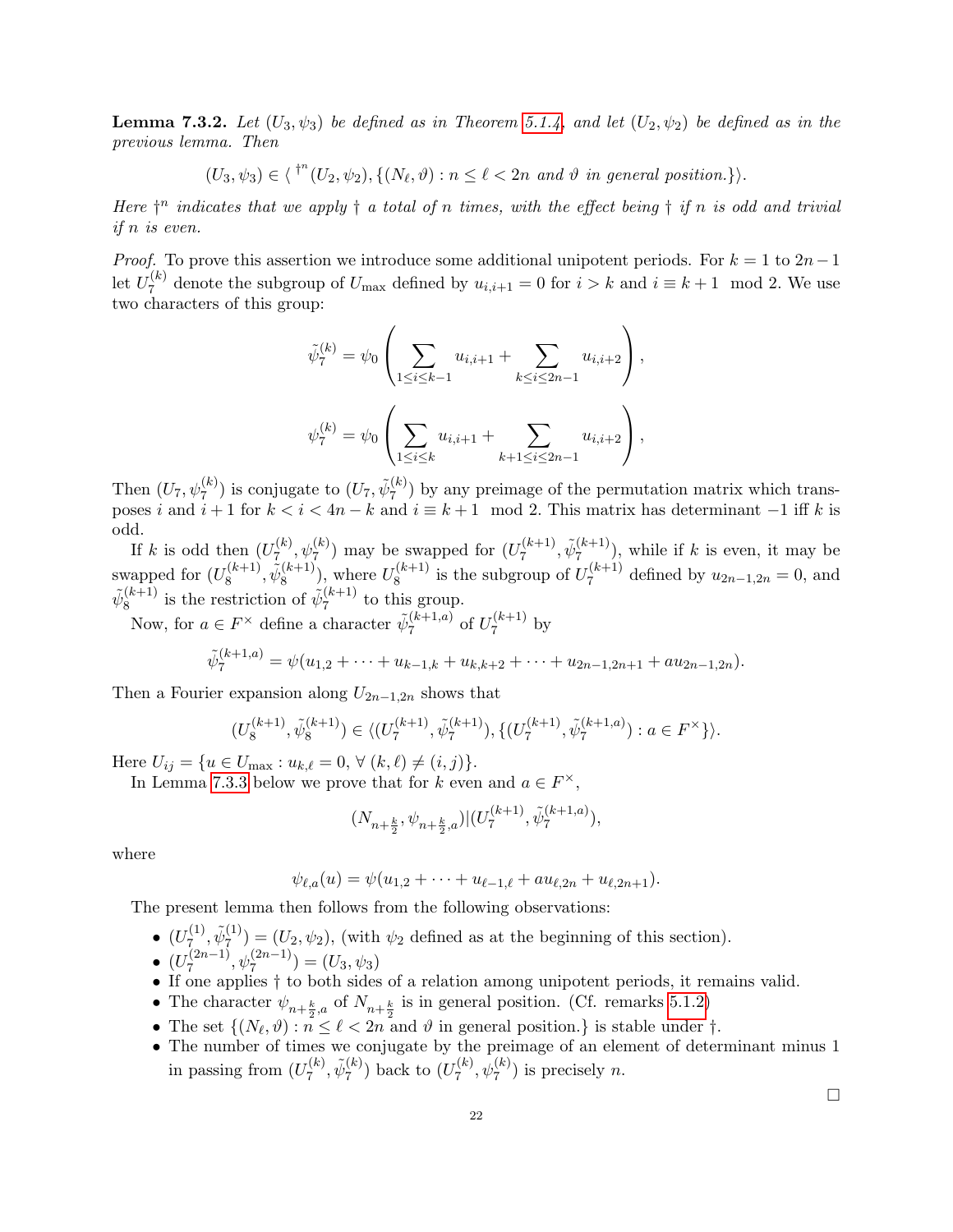**Lemma 7.3.2.** Let  $(U_3, \psi_3)$  be defined as in Theorem 5.1.4, and let  $(U_2, \psi_2)$  be defined as in the previous lemma. Then

$$
(U_3, \psi_3) \in \langle V^{\dagger n}(U_2, \psi_2), \{(N_\ell, \vartheta) : n \leq \ell < 2n \text{ and } \vartheta \text{ in general position.}\}\rangle.
$$

Here  $\dagger^n$  indicates that we apply  $\dagger$  a total of n times, with the effect being  $\dagger$  if n is odd and trivial if n is even.

*Proof.* To prove this assertion we introduce some additional unipotent periods. For  $k = 1$  to  $2n-1$ let  $U_7^{(k)}$  $U_7^{(k)}$  denote the subgroup of  $U_{\text{max}}$  defined by  $u_{i,i+1} = 0$  for  $i > k$  and  $i \equiv k+1 \mod 2$ . We use two characters of this group:

$$
\tilde{\psi}_7^{(k)} = \psi_0 \left( \sum_{1 \le i \le k-1} u_{i,i+1} + \sum_{k \le i \le 2n-1} u_{i,i+2} \right),
$$
  

$$
\psi_7^{(k)} = \psi_0 \left( \sum_{1 \le i \le k} u_{i,i+1} + \sum_{k+1 \le i \le 2n-1} u_{i,i+2} \right),
$$

Then  $(U_7, \psi_7^{(k)})$  is conjugate to  $(U_7, \tilde{\psi}_7^{(k)})$  $\binom{k}{7}$  by any preimage of the permutation matrix which transposes i and  $i + 1$  for  $k < i < 4n - k$  and  $i \equiv k + 1 \mod 2$ . This matrix has determinant  $-1$  iff k is odd.

If k is odd then  $(U_7^{(k)}$  $\mathcal{L}_{7}^{(k)}, \psi_{7}^{(k)}$  may be swapped for  $(U_{7}^{(k+1)})$  $\tilde{\psi}_7^{(k+1)}, \tilde{\psi}_7^{(k+1)}$  $\binom{k+1}{7}$ , while if k is even, it may be swapped for  $(U_8^{(k+1)}$  $\tilde{\psi}_8^{(k+1)}, \tilde{\psi}_8^{(k+1)}$  $\binom{(k+1)}{8}$ , where  $U_8^{(k+1)}$  $\mathcal{E}_8^{(k+1)}$  is the subgroup of  $U_7^{(k+1)}$  $u_{2n-1,2n} = 0$ , and  $u_{2n-1,2n} = 0$  $\tilde{\psi}^{(k+1)}_8$  $\tilde{\mathbf{g}}_8^{(k+1)}$  is the restriction of  $\tilde{\psi}_7^{(k+1)}$  $\frac{7^{(k+1)}}{7}$  to this group.

Now, for  $a \in F^{\times}$  define a character  $\tilde{\psi}_{7}^{(k+1,a)}$  $\frac{(k+1,a)}{7}$  of  $U_7^{(k+1)}$  $\frac{1}{7}$  by

$$
\tilde{\psi}_7^{(k+1,a)} = \psi(u_{1,2} + \cdots + u_{k-1,k} + u_{k,k+2} + \cdots + u_{2n-1,2n+1} + au_{2n-1,2n}).
$$

Then a Fourier expansion along  $U_{2n-1,2n}$  shows that

$$
(U_8^{(k+1)},\tilde{\psi}^{(k+1)}_8)\in \langle (U_7^{(k+1)},\tilde{\psi}^{(k+1)}_7), \{(U_7^{(k+1)},\tilde{\psi}^{(k+1,a)}_7): a\in F^\times\}\rangle.
$$

Here  $U_{ij} = \{u \in U_{\text{max}} : u_{k,\ell} = 0, \forall (k,\ell) \neq (i, j)\}.$ 

In Lemma 7.3.3 below we prove that for k even and  $a \in F^{\times}$ ,

$$
(N_{n+\frac{k}{2}},\psi_{n+\frac{k}{2},a})|(U_7^{(k+1)},\tilde{\psi}_7^{(k+1,a)}),
$$

where

$$
\psi_{\ell,a}(u) = \psi(u_{1,2} + \cdots + u_{\ell-1,\ell} + au_{\ell,2n} + u_{\ell,2n+1}).
$$

The present lemma then follows from the following observations:

 $\bullet$   $(U_7^{(1)}$  $\tilde{\psi}_7^{(1)}, \tilde{\psi}_7^{(1)}$  $\mathcal{F}^{(1)}_7$  =  $(U_2, \psi_2)$ , (with  $\psi_2$  defined as at the beginning of this section).

• 
$$
(U_7^{(2n-1)}, \psi_7^{(2n-1)}) = (U_3, \psi_3)
$$

- If one applies † to both sides of a relation among unipotent periods, it remains valid.
- The character  $\psi_{n+\frac{k}{2},a}$  of  $N_{n+\frac{k}{2}}$  is in general position. (Cf. remarks 5.1.2)
- The set  $\{(N_\ell, \vartheta) : n \leq \ell < 2n \text{ and } \vartheta \text{ in general position.}\}\$ is stable under  $\dagger$ .
- The number of times we conjugate by the preimage of an element of determinant minus 1 in passing from  $(U_7^{(k)}$  $\tilde{\psi}_7^{(k)}, \tilde{\psi}_7^{(k)}$  $\binom{k}{7}$  back to  $(U_7^{(k)}$  $\psi_7^{(k)}$ ,  $\psi_7^{(k)}$ ) is precisely *n*.

 $\Box$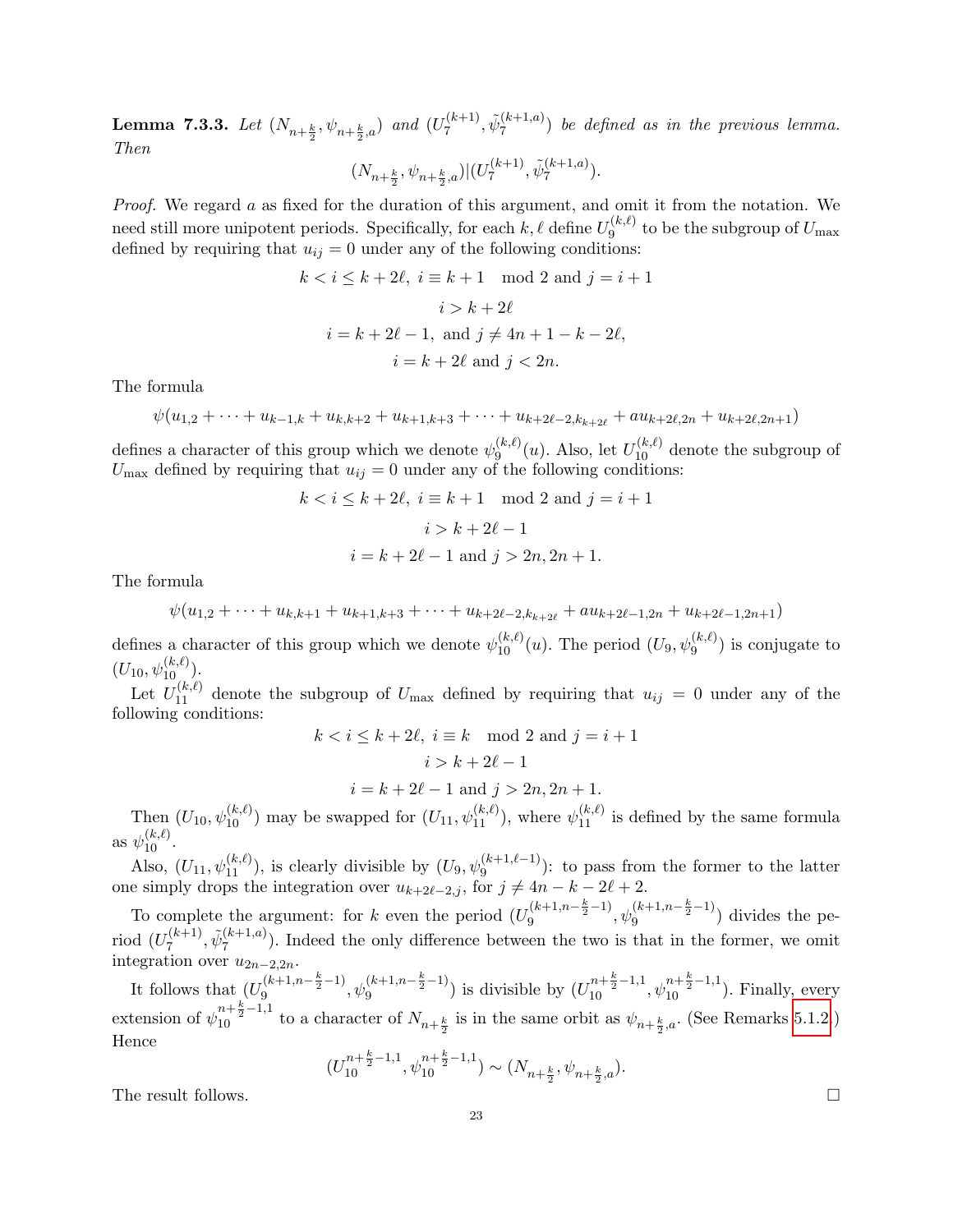**Lemma 7.3.3.** Let  $(N_{n+\frac{k}{2}},\psi_{n+\frac{k}{2},a})$  and  $(U_7^{(k+1)}$  $\tilde{\psi}_7^{(k+1),}$   $\tilde{\psi}_7^{(k+1,a)}$  $\binom{k+1, a}{7}$  be defined as in the previous lemma. Then

$$
(N_{n+\frac{k}{2}}, \psi_{n+\frac{k}{2},a})|(U_7^{(k+1)}, \tilde{\psi}_7^{(k+1,a)}).
$$

Proof. We regard a as fixed for the duration of this argument, and omit it from the notation. We need still more unipotent periods. Specifically, for each  $k, \ell$  define  $U_9^{(k,\ell)}$  $9^{(k,\ell)}$  to be the subgroup of  $U_{\text{max}}$ defined by requiring that  $u_{ij} = 0$  under any of the following conditions:

$$
k < i \leq k + 2\ell, \ i \equiv k + 1 \mod 2 \text{ and } j = i + 1
$$
\n
$$
i > k + 2\ell
$$
\n
$$
i = k + 2\ell - 1, \text{ and } j \neq 4n + 1 - k - 2\ell,
$$
\n
$$
i = k + 2\ell \text{ and } j < 2n.
$$

The formula

$$
\psi(u_{1,2} + \cdots + u_{k-1,k} + u_{k,k+2} + u_{k+1,k+3} + \cdots + u_{k+2\ell-2,k_{k+2\ell}} + au_{k+2\ell,2n} + u_{k+2\ell,2n+1})
$$

defines a character of this group which we denote  $\psi_9^{(k,\ell)}$  $\mathcal{L}_9^{(k,\ell)}(u)$ . Also, let  $U_{10}^{(k,\ell)}$  denote the subgroup of  $U_{\text{max}}$  defined by requiring that  $u_{ij} = 0$  under any of the following conditions:

$$
k < i \le k + 2\ell, \ i \equiv k + 1 \mod 2 \text{ and } j = i + 1
$$

$$
i > k + 2\ell - 1
$$

$$
i = k + 2\ell - 1 \text{ and } j > 2n, 2n + 1.
$$

The formula

$$
\psi(u_{1,2} + \cdots + u_{k,k+1} + u_{k+1,k+3} + \cdots + u_{k+2\ell-2,k_{k+2\ell}} + au_{k+2\ell-1,2n} + u_{k+2\ell-1,2n+1})
$$

defines a character of this group which we denote  $\psi_{10}^{(k,\ell)}(u)$ . The period  $(U_9, \psi_9^{(k,\ell)})$  is conjugate to defines a character of this group which we define  $\psi_{10}$  (*u*). The period (*v*<sub>9</sub>,  $\psi_{9}$ )<br>(*U*<sub>10</sub>,  $\psi_{10}^{(k,\ell)}$ ).

Let  $U_{11}^{(k,\ell)}$  denote the subgroup of  $U_{\text{max}}$  defined by requiring that  $u_{ij} = 0$  under any of the following conditions:  $k < i \leq k + 2\ell, i = k \mod 2$  and  $i =$ 

$$
k < i \le k + 2\ell, i \equiv k \mod 2 \text{ and } j = i + 1
$$
  

$$
i > k + 2\ell - 1
$$
  

$$
i = k + 2\ell - 1 \text{ and } j > 2n, 2n + 1.
$$

Then  $(U_{10}, \psi_{10}^{(k,\ell)})$  may be swapped for  $(U_{11}, \psi_{11}^{(k,\ell)})$ , where  $\psi_{11}^{(k,\ell)}$  is defined by the same formula as  $\psi_{10}^{(k,\ell)}$ .

Also,  $(U_{11}, \psi_{11}^{(k,\ell)})$ , is clearly divisible by  $(U_9, \psi_9^{(k+1,\ell-1)})$ : to pass from the former to the latter one simply drops the integration over  $u_{k+2\ell-2,j}$ , for  $j \neq 4n - k - 2\ell + 2$ .

To complete the argument: for k even the period  $(U_9^{(k+1,n-\frac{k}{2}-1)}, \psi_9^{(k+1,n-\frac{k}{2}-1)})$  divides the period  $(U_7^{(k+1)}$  $\tilde{\psi}_7^{(k+1,a)}$ ,  $\tilde{\psi}_7^{(k+1,a)}$  $\binom{k+1, a}{7}$ . Indeed the only difference between the two is that in the former, we omit integration over  $u_{2n-2,2n}$ .

It follows that  $(U_9^{(k+1,n-\frac{k}{2}-1)}, \psi_9^{(k+1,n-\frac{k}{2}-1)})$  is divisible by  $(U_{10}^{n+\frac{k}{2}-1,1}, \psi_{10}^{n+\frac{k}{2}-1,1})$ . Finally, every extension of  $\psi_{10}^{n+\frac{k}{2}-1,1}$  to a character of  $N_{n+\frac{k}{2}}$  is in the same orbit as  $\psi_{n+\frac{k}{2},a}$ . (See Remarks 5.1.2.) Hence

$$
(U_{10}^{n+\frac{k}{2}-1,1},\psi_{10}^{n+\frac{k}{2}-1,1})\sim (N_{n+\frac{k}{2}},\psi_{n+\frac{k}{2},a}).
$$

The result follows.  $\Box$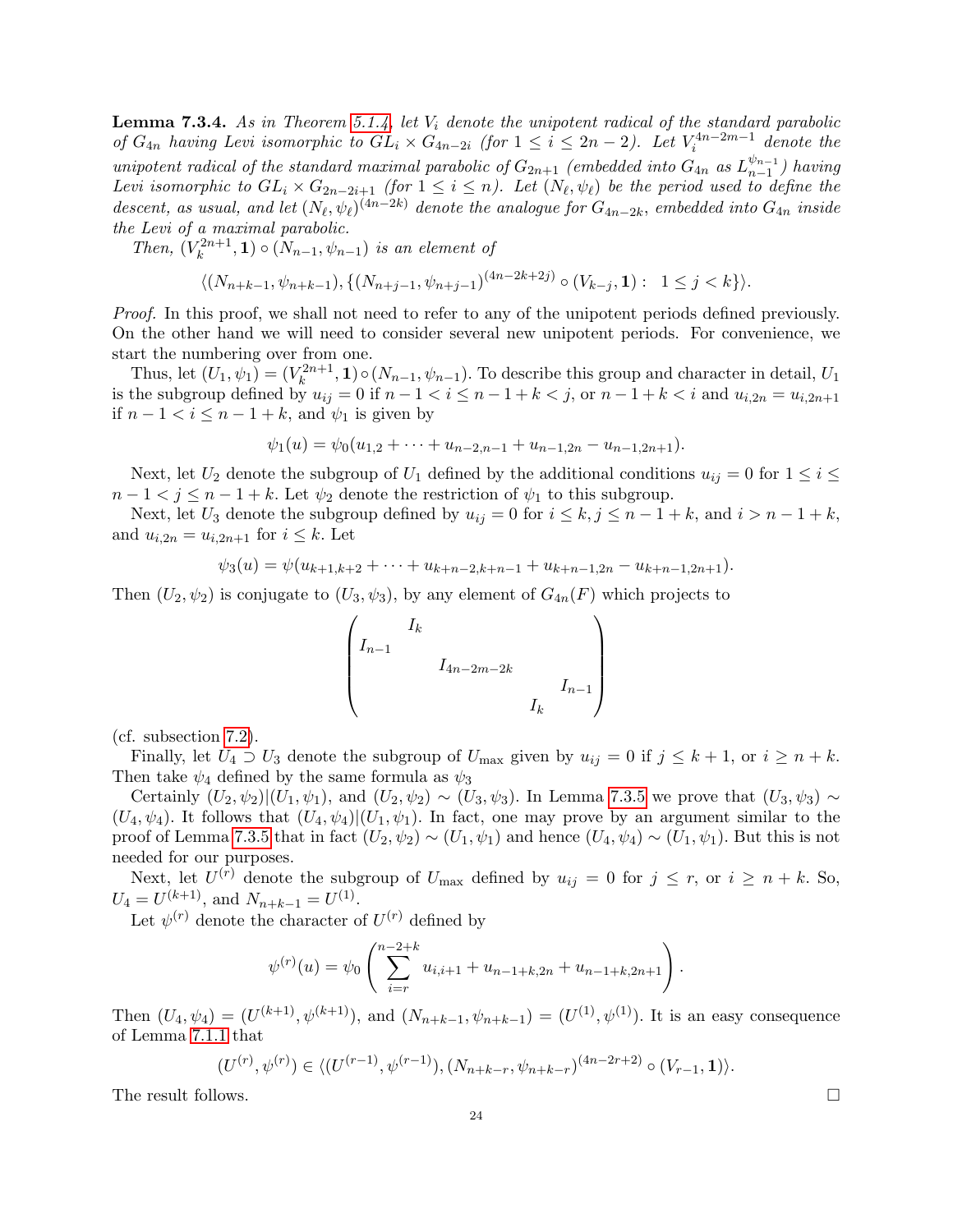**Lemma 7.3.4.** As in Theorem 5.1.4, let  $V_i$  denote the unipotent radical of the standard parabolic of  $G_{4n}$  having Levi isomorphic to  $GL_i \times G_{4n-2i}$  (for  $1 \leq i \leq 2n-2$ ). Let  $V_i^{4n-2m-1}$  denote the unipotent radical of the standard maximal parabolic of  $G_{2n+1}$  (embedded into  $G_{4n}$  as  $L_{n-1}^{\psi_{n-1}}$  $_{n-1}^{\psi_{n-1}}$ ) having Levi isomorphic to  $GL_i \times G_{2n-2i+1}$  (for  $1 \leq i \leq n$ ). Let  $(N_\ell, \psi_\ell)$  be the period used to define the descent, as usual, and let  $(N_\ell, \psi_\ell)^{(4n-2k)}$  denote the analogue for  $G_{4n-2k}$ , embedded into  $G_{4n}$  inside the Levi of a maximal parabolic.

Then,  $(V_k^{2n+1})$  $(k^{2n+1}, 1) \circ (N_{n-1}, \psi_{n-1})$  is an element of

$$
\langle (N_{n+k-1}, \psi_{n+k-1}), \{ (N_{n+j-1}, \psi_{n+j-1})^{(4n-2k+2j)} \circ (V_{k-j}, \mathbf{1}) : 1 \le j < k \} \rangle.
$$

Proof. In this proof, we shall not need to refer to any of the unipotent periods defined previously. On the other hand we will need to consider several new unipotent periods. For convenience, we start the numbering over from one.

Thus, let  $(U_1, \psi_1) = (V_k^{2n+1})$  $(k_k^{2n+1}, 1) \circ (N_{n-1}, \psi_{n-1})$ . To describe this group and character in detail,  $U_1$ is the subgroup defined by  $u_{ij} = 0$  if  $n - 1 < i \le n - 1 + k < j$ , or  $n - 1 + k < i$  and  $u_{i,2n} = u_{i,2n+1}$ if  $n-1 < i \leq n-1+k$ , and  $\psi_1$  is given by

$$
\psi_1(u) = \psi_0(u_{1,2} + \cdots + u_{n-2,n-1} + u_{n-1,2n} - u_{n-1,2n+1}).
$$

Next, let  $U_2$  denote the subgroup of  $U_1$  defined by the additional conditions  $u_{ij} = 0$  for  $1 \le i \le j$  $n-1 < j \leq n-1+k$ . Let  $\psi_2$  denote the restriction of  $\psi_1$  to this subgroup.

Next, let  $U_3$  denote the subgroup defined by  $u_{ij} = 0$  for  $i \leq k, j \leq n - 1 + k$ , and  $i > n - 1 + k$ , and  $u_{i,2n} = u_{i,2n+1}$  for  $i \leq k$ . Let

$$
\psi_3(u) = \psi(u_{k+1,k+2} + \cdots + u_{k+n-2,k+n-1} + u_{k+n-1,2n} - u_{k+n-1,2n+1}).
$$

Then  $(U_2, \psi_2)$  is conjugate to  $(U_3, \psi_3)$ , by any element of  $G_{4n}(F)$  which projects to

$$
\begin{pmatrix} I_k & & & & \\ I_{n-1} & & & & \\ & I_{4n-2m-2k} & & & \\ & & I_k & & \\ & & & I_k \end{pmatrix}
$$

(cf. subsection 7.2).

Finally, let  $U_4 \supset U_3$  denote the subgroup of  $U_{\text{max}}$  given by  $u_{ij} = 0$  if  $j \leq k+1$ , or  $i \geq n+k$ . Then take  $\psi_4$  defined by the same formula as  $\psi_3$ 

Certainly  $(U_2, \psi_2)|(U_1, \psi_1)$ , and  $(U_2, \psi_2) \sim (U_3, \psi_3)$ . In Lemma 7.3.5 we prove that  $(U_3, \psi_3) \sim$  $(U_4, \psi_4)$ . It follows that  $(U_4, \psi_4)|(U_1, \psi_1)$ . In fact, one may prove by an argument similar to the proof of Lemma 7.3.5 that in fact  $(U_2, \psi_2) \sim (U_1, \psi_1)$  and hence  $(U_4, \psi_4) \sim (U_1, \psi_1)$ . But this is not needed for our purposes.

Next, let  $U^{(r)}$  denote the subgroup of  $U_{\text{max}}$  defined by  $u_{ij} = 0$  for  $j \leq r$ , or  $i \geq n + k$ . So,  $U_4 = U^{(k+1)}$ , and  $N_{n+k-1} = U^{(1)}$ .

Let  $\psi^{(r)}$  denote the character of  $U^{(r)}$  defined by

$$
\psi^{(r)}(u) = \psi_0 \left( \sum_{i=r}^{n-2+k} u_{i,i+1} + u_{n-1+k,2n} + u_{n-1+k,2n+1} \right).
$$

Then  $(U_4, \psi_4) = (U^{(k+1)}, \psi^{(k+1)})$ , and  $(N_{n+k-1}, \psi_{n+k-1}) = (U^{(1)}, \psi^{(1)})$ . It is an easy consequence of Lemma 7.1.1 that

$$
(U^{(r)}, \psi^{(r)}) \in \langle (U^{(r-1)}, \psi^{(r-1)}), (N_{n+k-r}, \psi_{n+k-r})^{(4n-2r+2)} \circ (V_{r-1}, \mathbf{1}) \rangle.
$$

The result follows.  $\Box$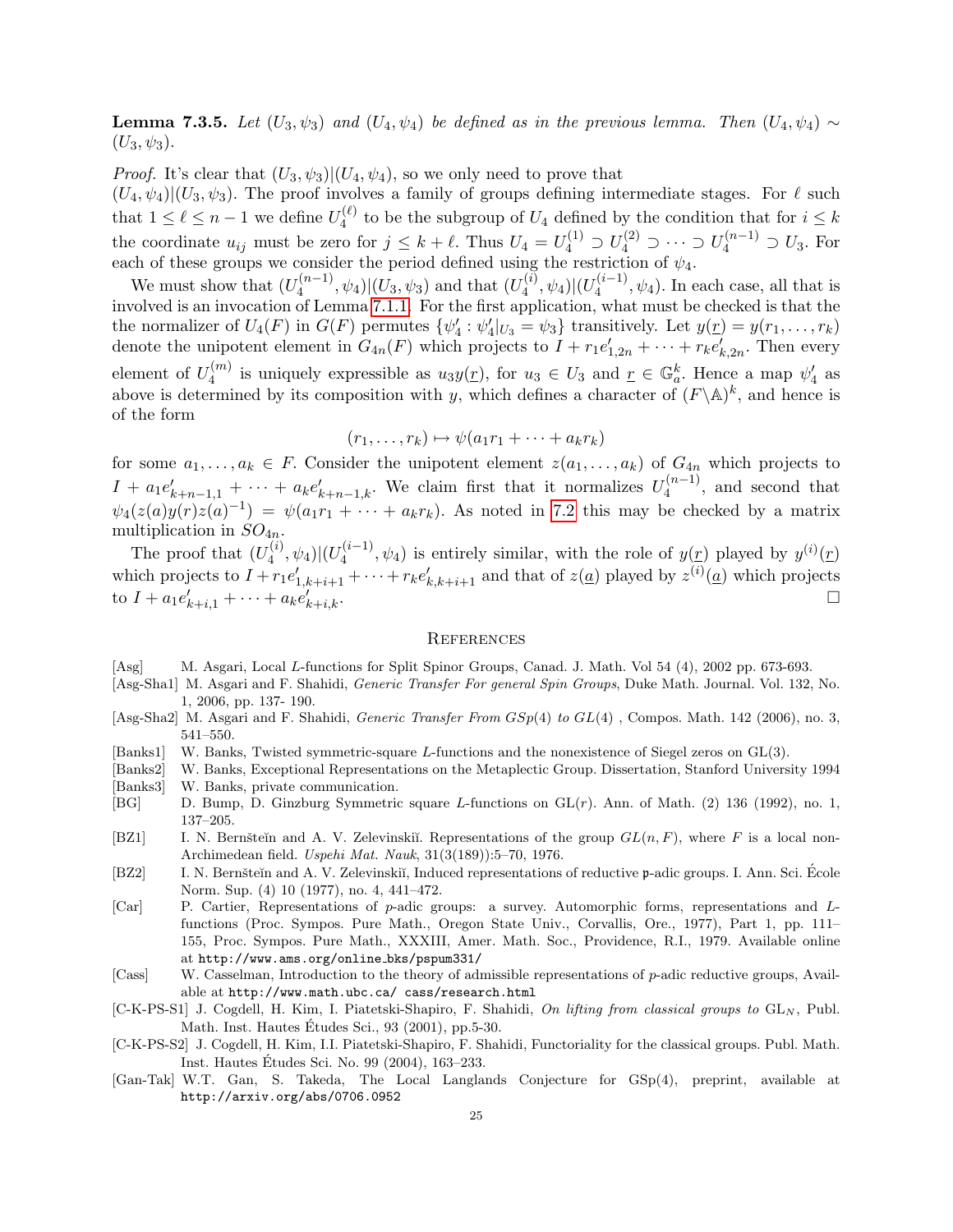**Lemma 7.3.5.** Let  $(U_3, \psi_3)$  and  $(U_4, \psi_4)$  be defined as in the previous lemma. Then  $(U_4, \psi_4) \sim$  $(U_3, \psi_3).$ 

*Proof.* It's clear that  $(U_3, \psi_3)|(U_4, \psi_4)$ , so we only need to prove that

 $(U_4, \psi_4)|(U_3, \psi_3)$ . The proof involves a family of groups defining intermediate stages. For  $\ell$  such that  $1 \leq \ell \leq n-1$  we define  $U_4^{(\ell)}$  to be the subgroup of  $U_4$  defined by the condition that for  $i \leq k$ 4 the coordinate  $u_{ij}$  must be zero for  $j \leq k + \ell$ . Thus  $U_4 = U_4^{(1)} \supset U_4^{(2)} \supset \cdots \supset U_4^{(n-1)} \supset U_3$ . For each of these groups we consider the period defined using the restriction of  $\psi_4$ .

We must show that  $(U_4^{(n-1)}$  $\mathcal{L}_4^{(n-1)}, \psi_4 \rangle |(U_3, \psi_3)$  and that  $(U_4^{(i)})$  $\frac{d^{(i)}}{4},\psi _{4})|(U_{4}^{(i-1)}% )\psi (U_{4}^{(i-1)}% )|\psi (U_{4}^{(i-1)}% )|^{2}$  $\psi_4^{(\ell-1)}, \psi_4$ ). In each case, all that is involved is an invocation of Lemma 7.1.1. For the first application, what must be checked is that the the normalizer of  $U_4(F)$  in  $G(F)$  permutes  $\{\psi'_4 : \psi'_4|_{U_3} = \psi_3\}$  transitively. Let  $y(\underline{r}) = y(r_1, \ldots, r_k)$ denote the unipotent element in  $G_{4n}(F)$  which projects to  $I + r_1 e'_{1,2n} + \cdots + r_k e'_{k,2n}$ . Then every element of  $U_4^{(m)}$  $u_4^{(m)}$  is uniquely expressible as  $u_3y(r)$ , for  $u_3 \in U_3$  and  $r \in \mathbb{G}_a^k$ . Hence a map  $\psi'_4$  as above is determined by its composition with y, which defines a character of  $(F \backslash A)^k$ , and hence is of the form

$$
(r_1,\ldots,r_k)\mapsto\psi(a_1r_1+\cdots+a_kr_k)
$$

for some  $a_1, \ldots, a_k \in F$ . Consider the unipotent element  $z(a_1, \ldots, a_k)$  of  $G_{4n}$  which projects to  $I + a_1 e'_{k+n-1,1} + \cdots + a_k e'_{k+n-1,k}$ . We claim first that it normalizes  $U_4^{(n-1)}$  $\binom{n-1}{4}$ , and second that  $\psi_4(z(a)y(r)z(a)^{-1}) = \psi(a_1r_1 + \cdots + a_kr_k)$ . As noted in 7.2 this may be checked by a matrix multiplication in  $SO_{4n}$ .

The proof that  $(U_4^{(i)}$  $\frac{d^{(i)}}{4},\psi _{4})|(U_{4}^{(i-1)}% )\psi (U_{4}^{(i-1)}% )|\psi (U_{4}^{(i-1)}% )|^{2}$  $\mathcal{L}_4^{(i-1)}$ ,  $\psi_4$ ) is entirely similar, with the role of  $y(\underline{r})$  played by  $y^{(i)}(\underline{r})$ which projects to  $I + r_1 e'_{1,k+i+1} + \cdots + r_k e'_{k,k+i+1}$  and that of  $z(\underline{a})$  played by  $z^{(i)}(\underline{a})$  which projects to  $I + a_1 e'_{k+i,1} + \cdots + a_k e'_{k}$  $\bigcup_{k+i,k}$ .

#### **REFERENCES**

- [Asg] M. Asgari, Local L-functions for Split Spinor Groups, Canad. J. Math. Vol 54 (4), 2002 pp. 673-693.
- [Asg-Sha1] M. Asgari and F. Shahidi, Generic Transfer For general Spin Groups, Duke Math. Journal. Vol. 132, No. 1, 2006, pp. 137- 190.
- [Asg-Sha2] M. Asgari and F. Shahidi, Generic Transfer From  $GSp(4)$  to  $GL(4)$ , Compos. Math. 142 (2006), no. 3, 541–550.
- [Banks1] W. Banks, Twisted symmetric-square L-functions and the nonexistence of Siegel zeros on GL(3).
- [Banks2] W. Banks, Exceptional Representations on the Metaplectic Group. Dissertation, Stanford University 1994 [Banks3] W. Banks, private communication.
- [BG] D. Bump, D. Ginzburg Symmetric square L-functions on GL(r). Ann. of Math. (2) 136 (1992), no. 1, 137–205.
- [BZ1] I. N. Bernšteĭn and A. V. Zelevinskiĭ. Representations of the group  $GL(n, F)$ , where F is a local non-Archimedean field. Uspehi Mat. Nauk, 31(3(189)):5–70, 1976.
- [BZ2] I. N. Bernšteĭn and A. V. Zelevinskiĭ, Induced representations of reductive p-adic groups. I. Ann. Sci. Ecole Norm. Sup. (4) 10 (1977), no. 4, 441–472.
- [Car] P. Cartier, Representations of p-adic groups: a survey. Automorphic forms, representations and Lfunctions (Proc. Sympos. Pure Math., Oregon State Univ., Corvallis, Ore., 1977), Part 1, pp. 111– 155, Proc. Sympos. Pure Math., XXXIII, Amer. Math. Soc., Providence, R.I., 1979. Available online at http://www.ams.org/online bks/pspum331/
- [Cass] W. Casselman, Introduction to the theory of admissible representations of p-adic reductive groups, Available at http://www.math.ubc.ca/ cass/research.html
- $[C-K-PS-S1]$  J. Cogdell, H. Kim, I. Piatetski-Shapiro, F. Shahidi, On lifting from classical groups to  $GL_N$ , Publ. Math. Inst. Hautes Etudes Sci., 93 (2001), pp.5-30. ´
- [C-K-PS-S2] J. Cogdell, H. Kim, I.I. Piatetski-Shapiro, F. Shahidi, Functoriality for the classical groups. Publ. Math. Inst. Hautes Etudes Sci. No. 99 (2004), 163–233. ´
- [Gan-Tak] W.T. Gan, S. Takeda, The Local Langlands Conjecture for GSp(4), preprint, available at http://arxiv.org/abs/0706.0952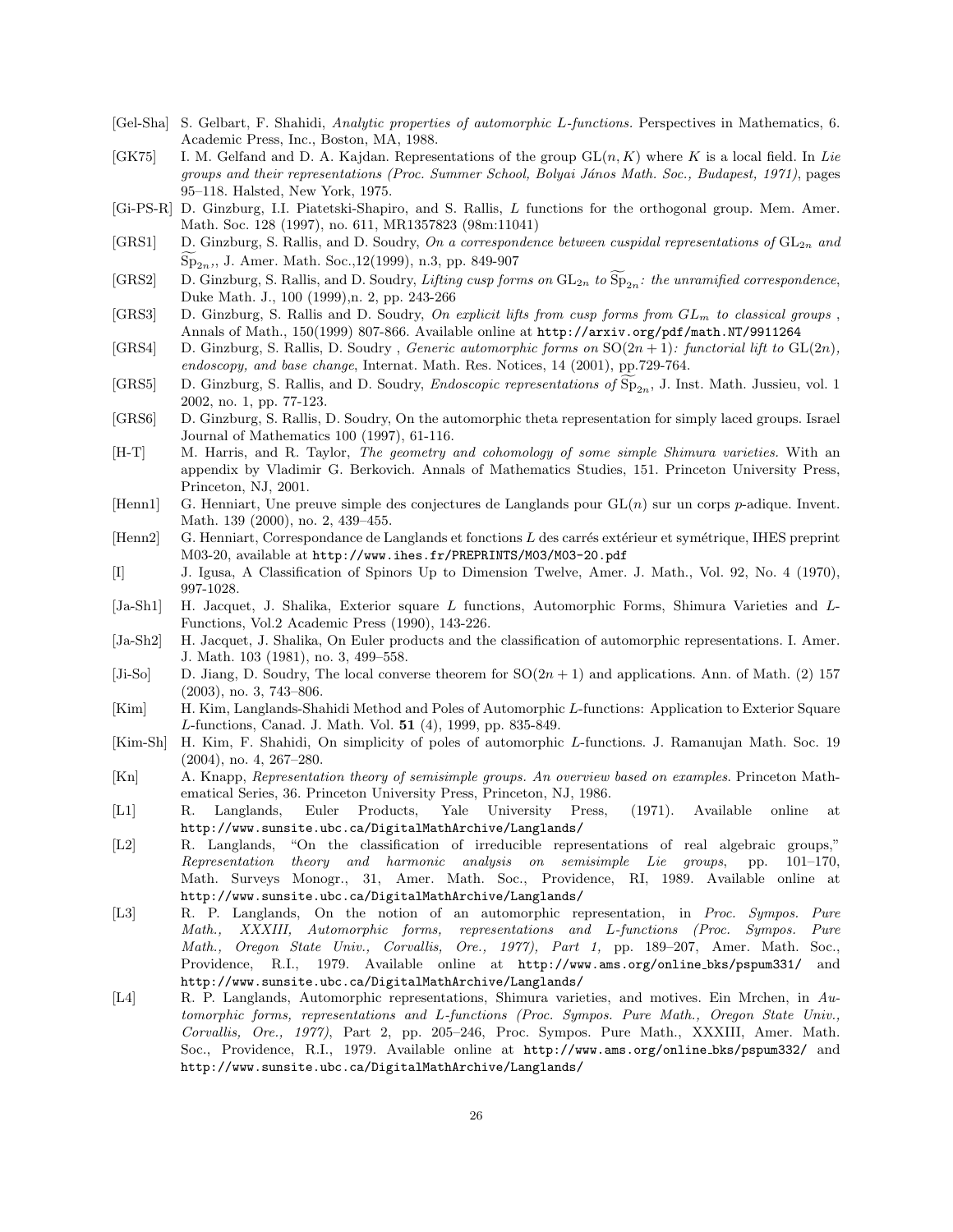- [Gel-Sha] S. Gelbart, F. Shahidi, Analytic properties of automorphic L-functions. Perspectives in Mathematics, 6. Academic Press, Inc., Boston, MA, 1988.
- [GK75] I. M. Gelfand and D. A. Kajdan. Representations of the group  $GL(n, K)$  where K is a local field. In Lie groups and their representations (Proc. Summer School, Bolyai János Math. Soc., Budapest, 1971), pages 95–118. Halsted, New York, 1975.
- [Gi-PS-R] D. Ginzburg, I.I. Piatetski-Shapiro, and S. Rallis, L functions for the orthogonal group. Mem. Amer. Math. Soc. 128 (1997), no. 611, MR1357823 (98m:11041)
- [GRS1] D. Ginzburg, S. Rallis, and D. Soudry, On a correspondence between cuspidal representations of  $GL_{2n}$  and  $Sp_{2n}$ ,, J. Amer. Math. Soc.,12(1999), n.3, pp. 849-907
- [GRS2] D. Ginzburg, S. Rallis, and D. Soudry, Lifting cusp forms on  $GL_{2n}$  to  $\widetilde{\mathrm{Sp}}_{2n}$ : the unramified correspondence, Duke Math. J., 100 (1999),n. 2, pp. 243-266
- [GRS3] D. Ginzburg, S. Rallis and D. Soudry, On explicit lifts from cusp forms from  $GL_m$  to classical groups , Annals of Math., 150(1999) 807-866. Available online at http://arxiv.org/pdf/math.NT/9911264
- [GRS4] D. Ginzburg, S. Rallis, D. Soudry, Generic automorphic forms on  $SO(2n + 1)$ : functorial lift to  $GL(2n)$ , endoscopy, and base change, Internat. Math. Res. Notices, 14 (2001), pp.729-764.
- [GRS5] D. Ginzburg, S. Rallis, and D. Soudry, *Endoscopic representations of*  $Sp_{2n}$ , J. Inst. Math. Jussieu, vol. 1 2002, no. 1, pp. 77-123.
- [GRS6] D. Ginzburg, S. Rallis, D. Soudry, On the automorphic theta representation for simply laced groups. Israel Journal of Mathematics 100 (1997), 61-116.
- [H-T] M. Harris, and R. Taylor, *The geometry and cohomology of some simple Shimura varieties*. With an appendix by Vladimir G. Berkovich. Annals of Mathematics Studies, 151. Princeton University Press, Princeton, NJ, 2001.
- [Henn1] G. Henniart, Une preuve simple des conjectures de Langlands pour  $GL(n)$  sur un corps p-adique. Invent. Math. 139 (2000), no. 2, 439–455.
- [Henn2] G. Henniart, Correspondance de Langlands et fonctions L des carrés extérieur et symétrique, IHES preprint M03-20, available at http://www.ihes.fr/PREPRINTS/M03/M03-20.pdf
- [I] J. Igusa, A Classification of Spinors Up to Dimension Twelve, Amer. J. Math., Vol. 92, No. 4 (1970), 997-1028.
- [Ja-Sh1] H. Jacquet, J. Shalika, Exterior square L functions, Automorphic Forms, Shimura Varieties and L-Functions, Vol.2 Academic Press (1990), 143-226.
- [Ja-Sh2] H. Jacquet, J. Shalika, On Euler products and the classification of automorphic representations. I. Amer. J. Math. 103 (1981), no. 3, 499–558.
- [Ji-So] D. Jiang, D. Soudry, The local converse theorem for  $SO(2n + 1)$  and applications. Ann. of Math. (2) 157 (2003), no. 3, 743–806.
- [Kim] H. Kim, Langlands-Shahidi Method and Poles of Automorphic L-functions: Application to Exterior Square L-functions, Canad. J. Math. Vol. 51 (4), 1999, pp. 835-849.
- [Kim-Sh] H. Kim, F. Shahidi, On simplicity of poles of automorphic L-functions. J. Ramanujan Math. Soc. 19 (2004), no. 4, 267–280.
- [Kn] A. Knapp, Representation theory of semisimple groups. An overview based on examples. Princeton Mathematical Series, 36. Princeton University Press, Princeton, NJ, 1986.
- [L1] R. Langlands, Euler Products, Yale University Press, (1971). Available online at http://www.sunsite.ubc.ca/DigitalMathArchive/Langlands/
- [L2] R. Langlands, "On the classification of irreducible representations of real algebraic groups," Representation theory and harmonic analysis on semisimple Lie groups, pp. 101–170, Math. Surveys Monogr., 31, Amer. Math. Soc., Providence, RI, 1989. Available online at http://www.sunsite.ubc.ca/DigitalMathArchive/Langlands/
- [L3] R. P. Langlands, On the notion of an automorphic representation, in Proc. Sympos. Pure Math., XXXIII, Automorphic forms, representations and L-functions (Proc. Sympos. Pure Math., Oregon State Univ., Corvallis, Ore., 1977), Part 1, pp. 189–207, Amer. Math. Soc., Providence, R.I., 1979. Available online at http://www.ams.org/online bks/pspum331/ and http://www.sunsite.ubc.ca/DigitalMathArchive/Langlands/
- [L4] R. P. Langlands, Automorphic representations, Shimura varieties, and motives. Ein Mrchen, in Automorphic forms, representations and L-functions (Proc. Sympos. Pure Math., Oregon State Univ., Corvallis, Ore., 1977), Part 2, pp. 205–246, Proc. Sympos. Pure Math., XXXIII, Amer. Math. Soc., Providence, R.I., 1979. Available online at http://www.ams.org/online bks/pspum332/ and http://www.sunsite.ubc.ca/DigitalMathArchive/Langlands/